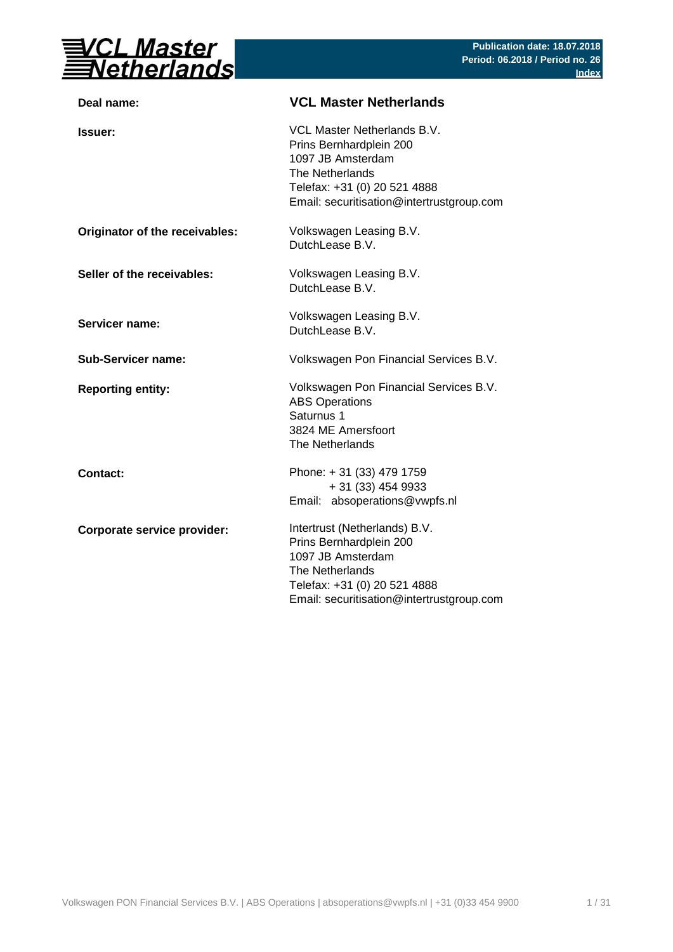

| Deal name:                     | <b>VCL Master Netherlands</b>                                                                                                                                                 |
|--------------------------------|-------------------------------------------------------------------------------------------------------------------------------------------------------------------------------|
| <b>Issuer:</b>                 | VCL Master Netherlands B.V.<br>Prins Bernhardplein 200<br>1097 JB Amsterdam<br>The Netherlands<br>Telefax: +31 (0) 20 521 4888<br>Email: securitisation@intertrustgroup.com   |
| Originator of the receivables: | Volkswagen Leasing B.V.<br>DutchLease B.V.                                                                                                                                    |
| Seller of the receivables:     | Volkswagen Leasing B.V.<br>DutchLease B.V.                                                                                                                                    |
| <b>Servicer name:</b>          | Volkswagen Leasing B.V.<br>DutchLease B.V.                                                                                                                                    |
| <b>Sub-Servicer name:</b>      | Volkswagen Pon Financial Services B.V.                                                                                                                                        |
| <b>Reporting entity:</b>       | Volkswagen Pon Financial Services B.V.<br><b>ABS Operations</b><br>Saturnus 1<br>3824 ME Amersfoort<br>The Netherlands                                                        |
| <b>Contact:</b>                | Phone: +31 (33) 479 1759<br>+ 31 (33) 454 9933<br>Email: absoperations@vwpfs.nl                                                                                               |
| Corporate service provider:    | Intertrust (Netherlands) B.V.<br>Prins Bernhardplein 200<br>1097 JB Amsterdam<br>The Netherlands<br>Telefax: +31 (0) 20 521 4888<br>Email: securitisation@intertrustgroup.com |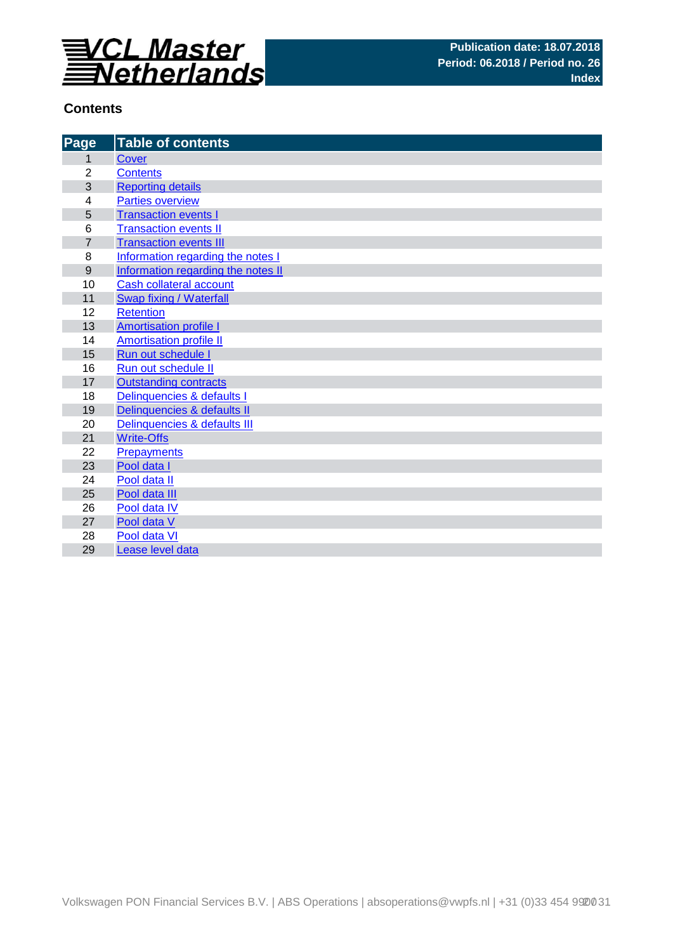

## **Contents**

| Page             | <b>Table of contents</b>           |
|------------------|------------------------------------|
| 1                | <b>Cover</b>                       |
| $\overline{2}$   | <b>Contents</b>                    |
| 3                | <b>Reporting details</b>           |
| 4                | <b>Parties overview</b>            |
| 5                | <b>Transaction events I</b>        |
| 6                | <b>Transaction events II</b>       |
| $\overline{7}$   | <b>Transaction events III</b>      |
| 8                | Information regarding the notes I  |
| $\boldsymbol{9}$ | Information regarding the notes II |
| 10               | Cash collateral account            |
| 11               | Swap fixing / Waterfall            |
| 12               | <b>Retention</b>                   |
| 13               | <b>Amortisation profile I</b>      |
| 14               | <b>Amortisation profile II</b>     |
| 15               | Run out schedule I                 |
| 16               | Run out schedule II                |
| 17               | <b>Outstanding contracts</b>       |
| 18               | Delinquencies & defaults I         |
| 19               | Delinquencies & defaults II        |
| 20               | Delinquencies & defaults III       |
| 21               | <b>Write-Offs</b>                  |
| 22               | <b>Prepayments</b>                 |
| 23               | Pool data I                        |
| 24               | Pool data II                       |
| 25               | Pool data III                      |
| 26               | Pool data IV                       |
| 27               | Pool data V                        |
| 28               | Pool data VI                       |
| 29               | Lease level data                   |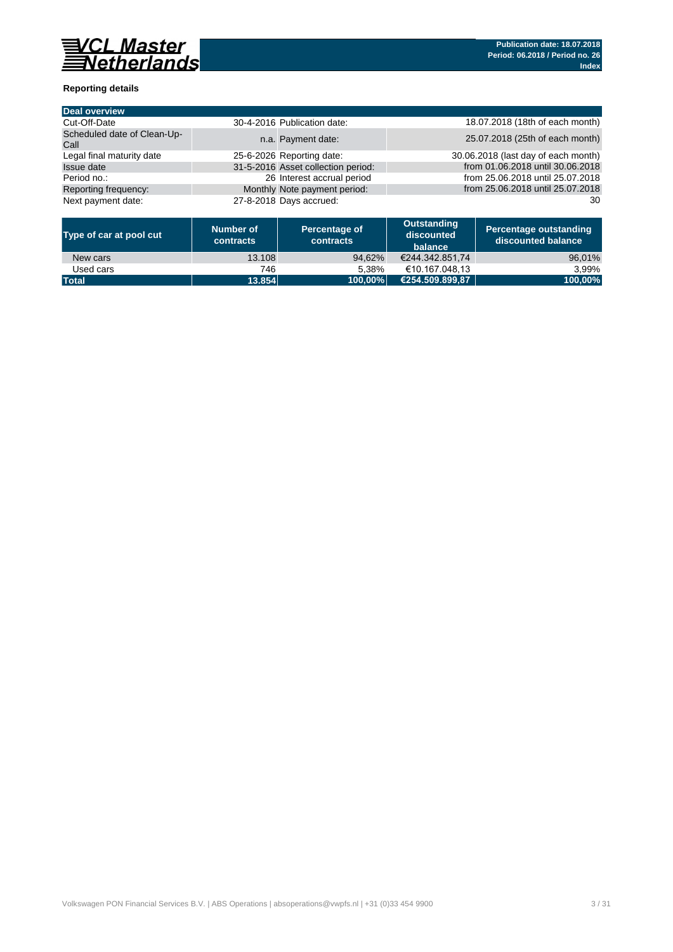

### **Reporting details**

| <b>Deal overview</b>                |                                    |                                     |
|-------------------------------------|------------------------------------|-------------------------------------|
| Cut-Off-Date                        | 30-4-2016 Publication date:        | 18.07.2018 (18th of each month)     |
| Scheduled date of Clean-Up-<br>Call | n.a. Payment date:                 | 25.07.2018 (25th of each month)     |
| Legal final maturity date           | 25-6-2026 Reporting date:          | 30.06.2018 (last day of each month) |
| Issue date                          | 31-5-2016 Asset collection period: | from 01.06.2018 until 30.06.2018    |
| Period no.:                         | 26 Interest accrual period         | from 25.06.2018 until 25.07.2018    |
| Reporting frequency:                | Monthly Note payment period:       | from 25.06.2018 until 25.07.2018    |
| Next payment date:                  | 27-8-2018 Days accrued:            | 30                                  |

| Type of car at pool cut | Number of<br>contracts | Percentage of<br>contracts | Outstanding<br>discounted<br>balance | <b>Percentage outstanding</b><br>l discounted balance \ |
|-------------------------|------------------------|----------------------------|--------------------------------------|---------------------------------------------------------|
| New cars                | 13.108                 | 94.62%                     | €244.342.851.74                      | 96,01%                                                  |
| Used cars               | 746                    | 5.38%                      | €10.167.048.13                       | 3.99%                                                   |
| <b>Total</b>            | 13.854                 | 100.00%                    | €254.509.899.87                      | 100,00%                                                 |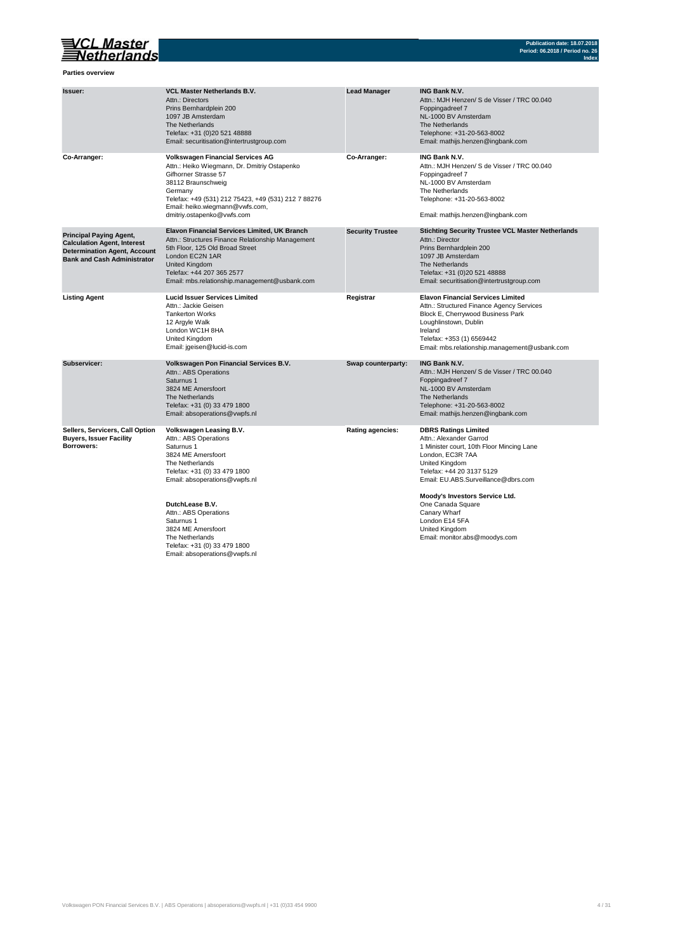## VCL Master<br>Setherlands

**Parties overview**

| Issuer:                                                                                                                                           | <b>VCL Master Netherlands B.V.</b><br>Attn.: Directors<br>Prins Bernhardplein 200<br>1097 JB Amsterdam<br>The Netherlands<br>Telefax: +31 (0)20 521 48888<br>Email: securitisation@intertrustgroup.com                                                                   | <b>Lead Manager</b>     | <b>ING Bank N.V.</b><br>Attn.: MJH Henzen/ S de Visser / TRC 00.040<br>Foppingadreef 7<br>NL-1000 BV Amsterdam<br>The Netherlands<br>Telephone: +31-20-563-8002<br>Email: mathijs.henzen@ingbank.com                                         |
|---------------------------------------------------------------------------------------------------------------------------------------------------|--------------------------------------------------------------------------------------------------------------------------------------------------------------------------------------------------------------------------------------------------------------------------|-------------------------|----------------------------------------------------------------------------------------------------------------------------------------------------------------------------------------------------------------------------------------------|
| Co-Arranger:                                                                                                                                      | <b>Volkswagen Financial Services AG</b><br>Attn.: Heiko Wiegmann, Dr. Dmitriy Ostapenko<br>Gifhorner Strasse 57<br>38112 Braunschweig<br>Germany<br>Telefax: +49 (531) 212 75423, +49 (531) 212 7 88276<br>Email: heiko.wiegmann@vwfs.com,<br>dmitriy.ostapenko@vwfs.com | Co-Arranger:            | <b>ING Bank N.V.</b><br>Attn.: MJH Henzen/ S de Visser / TRC 00.040<br>Foppingadreef 7<br>NL-1000 BV Amsterdam<br>The Netherlands<br>Telephone: +31-20-563-8002<br>Email: mathijs.henzen@ingbank.com                                         |
| <b>Principal Paying Agent,</b><br><b>Calculation Agent, Interest</b><br><b>Determination Agent, Account</b><br><b>Bank and Cash Administrator</b> | <b>Elavon Financial Services Limited, UK Branch</b><br>Attn.: Structures Finance Relationship Management<br>5th Floor, 125 Old Broad Street<br>London EC2N 1AR<br>United Kingdom<br>Telefax: +44 207 365 2577<br>Email: mbs.relationship.management@usbank.com           | <b>Security Trustee</b> | <b>Stichting Security Trustee VCL Master Netherlands</b><br>Attn.: Director<br>Prins Bernhardplein 200<br>1097 JB Amsterdam<br>The Netherlands<br>Telefax: +31 (0)20 521 48888<br>Email: securitisation@intertrustgroup.com                  |
| <b>Listing Agent</b>                                                                                                                              | <b>Lucid Issuer Services Limited</b><br>Attn.: Jackie Geisen<br><b>Tankerton Works</b><br>12 Argyle Walk<br>London WC1H 8HA<br>United Kingdom<br>Email: jgeisen@lucid-is.com                                                                                             | Registrar               | <b>Elavon Financial Services Limited</b><br>Attn.: Structured Finance Agency Services<br>Block E, Cherrywood Business Park<br>Loughlinstown, Dublin<br>Ireland<br>Telefax: +353 (1) 6569442<br>Email: mbs.relationship.management@usbank.com |
| Subservicer:                                                                                                                                      | Volkswagen Pon Financial Services B.V.<br>Attn.: ABS Operations<br>Saturnus 1<br>3824 ME Amersfoort<br>The Netherlands<br>Telefax: +31 (0) 33 479 1800<br>Email: absoperations@vwpfs.nl                                                                                  | Swap counterparty:      | <b>ING Bank N.V.</b><br>Attn.: MJH Henzen/ S de Visser / TRC 00.040<br>Foppingadreef 7<br>NL-1000 BV Amsterdam<br>The Netherlands<br>Telephone: +31-20-563-8002<br>Email: mathijs.henzen@ingbank.com                                         |
| Sellers, Servicers, Call Option<br><b>Buyers, Issuer Facility</b><br>Borrowers:                                                                   | Volkswagen Leasing B.V.<br>Attn.: ABS Operations<br>Saturnus 1<br>3824 ME Amersfoort<br>The Netherlands<br>Telefax: +31 (0) 33 479 1800<br>Email: absoperations@vwpfs.nl                                                                                                 | <b>Rating agencies:</b> | <b>DBRS Ratings Limited</b><br>Attn.: Alexander Garrod<br>1 Minister court, 10th Floor Mincing Lane<br>London, EC3R 7AA<br>United Kingdom<br>Telefax: +44 20 3137 5129<br>Email: EU.ABS.Surveillance@dbrs.com                                |
|                                                                                                                                                   | DutchLease B.V.<br>Attn.: ABS Operations<br>Saturnus 1<br>3824 ME Amersfoort<br>The Netherlands<br>Telefax: +31 (0) 33 479 1800<br>Email: absoperations@vwpfs.nl                                                                                                         |                         | Moody's Investors Service Ltd.<br>One Canada Square<br>Canary Wharf<br>London E14 5FA<br>United Kingdom<br>Email: monitor.abs@moodys.com                                                                                                     |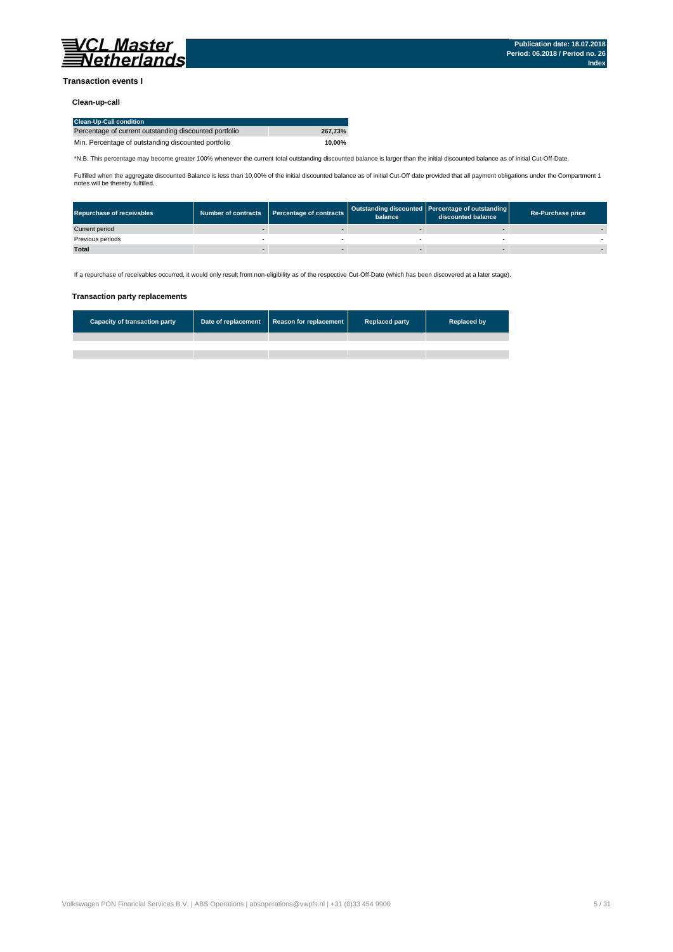

### **Transaction events I**

### **Clean-up-call**

| <b>Clean-Up-Call condition</b>                         |         |
|--------------------------------------------------------|---------|
| Percentage of current outstanding discounted portfolio | 267.73% |
| Min. Percentage of outstanding discounted portfolio    | 10.00%  |

\*N.B. This percentage may become greater 100% whenever the current total outstanding discounted balance is larger than the initial discounted balance as of initial Cut-Off-Date.

Fulfilled when the aggregate discounted Balance is less than 10,00% of the initial discounted balance as of initial Cut-Off date provided that all payment obligations under the Compartment 1 notes will be thereby fulfilled.

| <b>Repurchase of receivables</b> | Number of contracts   Percentage of contracts | balance | Outstanding discounted Percentage of outstanding<br>discounted balance | <b>Re-Purchase price</b> |
|----------------------------------|-----------------------------------------------|---------|------------------------------------------------------------------------|--------------------------|
| Current period                   |                                               |         |                                                                        |                          |
| Previous periods                 |                                               |         |                                                                        |                          |
| <b>Total</b>                     |                                               |         |                                                                        |                          |

If a repurchase of receivables occurred, it would only result from non-eligibility as of the respective Cut-Off-Date (which has been discovered at a later stage).

#### **Transaction party replacements**

| <b>Capacity of transaction party</b> | Date of replacement Reason for replacement | <b>Replaced party</b> | <b>Replaced by</b> |
|--------------------------------------|--------------------------------------------|-----------------------|--------------------|
|                                      |                                            |                       |                    |
|                                      |                                            |                       |                    |
|                                      |                                            |                       |                    |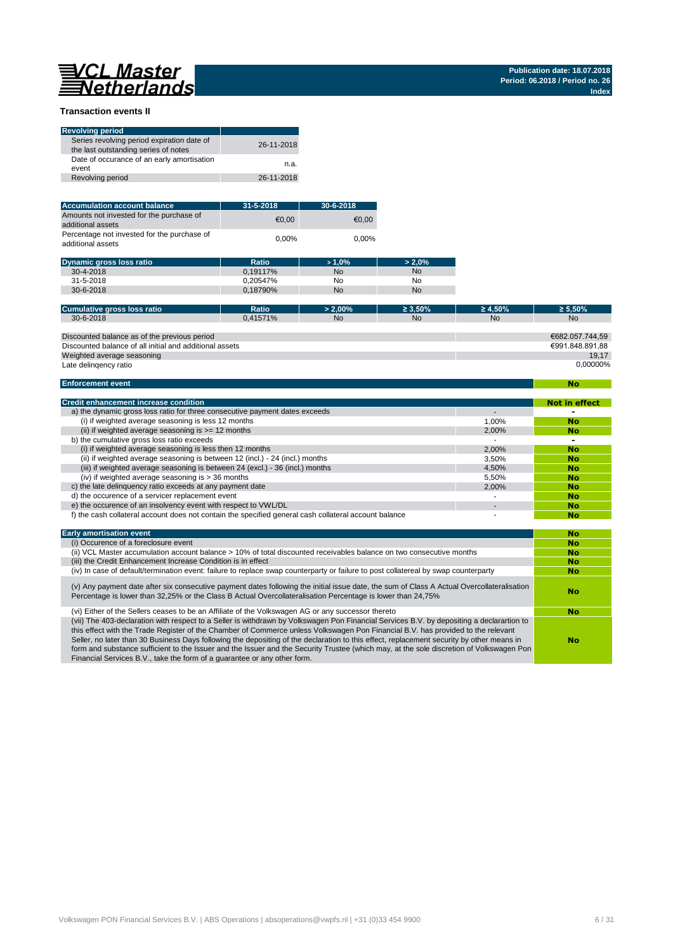# 

**No**

### **Transaction events II**

| <b>Revolving period</b>                                                            |            |
|------------------------------------------------------------------------------------|------------|
| Series revolving period expiration date of<br>the last outstanding series of notes | 26-11-2018 |
| Date of occurance of an early amortisation<br>event                                | n.a.       |
| Revolving period                                                                   | 26-11-2018 |

| <b>Accumulation account balance</b>                              | $31 - 5 - 2018$ | $30 - 6 - 2018$ |
|------------------------------------------------------------------|-----------------|-----------------|
| Amounts not invested for the purchase of<br>additional assets    | €0.00           | €0.00           |
| Percentage not invested for the purchase of<br>additional assets | $0.00\%$        | 0.00%           |

| <b>Dynamic gross loss ratio</b> | Ratio    | >1.0%     | $> 2.0\%$ |
|---------------------------------|----------|-----------|-----------|
| $30 - 4 - 2018$                 | 0.19117% | <b>No</b> | <b>No</b> |
| 31-5-2018                       | 0.20547% | No        | No        |
| $30 - 6 - 2018$                 | 0.18790% | <b>No</b> | <b>No</b> |

| Cumulative gross loss ratio                             | Ratio    | $> 2.00\%$ | $\geq 3.50\%$ | $\geq 4.50\%$ | $\geq 5.50\%$   |
|---------------------------------------------------------|----------|------------|---------------|---------------|-----------------|
| $30 - 6 - 2018$                                         | 0.41571% | <b>No</b>  | <b>No</b>     | <b>No</b>     | <b>No</b>       |
|                                                         |          |            |               |               |                 |
| Discounted balance as of the previous period            |          |            |               |               | €682.057.744.59 |
| Discounted balance of all initial and additional assets |          |            |               |               | €991.848.891.88 |
| Weighted average seasoning                              |          |            |               |               | 19.17           |
| Late delingency ratio                                   |          |            |               |               | 0.00000%        |

#### **Enforcement event**

| <b>Credit enhancement increase condition</b>                                                          |       | Not in effect |
|-------------------------------------------------------------------------------------------------------|-------|---------------|
| a) the dynamic gross loss ratio for three consecutive payment dates exceeds                           |       |               |
| (i) if weighted average seasoning is less 12 months                                                   | 1.00% | <b>No</b>     |
| (ii) if weighted average seasoning is $>= 12$ months                                                  | 2.00% | <b>No</b>     |
| b) the cumulative gross loss ratio exceeds                                                            |       | -             |
| (i) if weighted average seasoning is less then 12 months                                              | 2.00% | <b>No</b>     |
| (ii) if weighted average seasoning is between 12 (incl.) - 24 (incl.) months                          | 3.50% | <b>No</b>     |
| (iii) if weighted average seasoning is between 24 (excl.) - 36 (incl.) months                         | 4.50% | <b>No</b>     |
| (iv) if weighted average seasoning is $>$ 36 months                                                   | 5.50% | <b>No</b>     |
| c) the late delinguency ratio exceeds at any payment date                                             | 2.00% | <b>No</b>     |
| d) the occurence of a servicer replacement event                                                      |       | <b>No</b>     |
| e) the occurence of an insolvency event with respect to VWL/DL                                        |       | <b>No</b>     |
| f) the cash collateral account does not contain the specified general cash collateral account balance |       | No            |

| <b>Early amortisation event</b>                                                                                                                                                                                                                                                                                                                                                                                                                                                                                                                                                                                                                    | No        |
|----------------------------------------------------------------------------------------------------------------------------------------------------------------------------------------------------------------------------------------------------------------------------------------------------------------------------------------------------------------------------------------------------------------------------------------------------------------------------------------------------------------------------------------------------------------------------------------------------------------------------------------------------|-----------|
| (i) Occurence of a foreclosure event                                                                                                                                                                                                                                                                                                                                                                                                                                                                                                                                                                                                               | <b>No</b> |
| (ii) VCL Master accumulation account balance > 10% of total discounted receivables balance on two consecutive months                                                                                                                                                                                                                                                                                                                                                                                                                                                                                                                               | <b>No</b> |
| (iii) the Credit Enhancement Increase Condition is in effect                                                                                                                                                                                                                                                                                                                                                                                                                                                                                                                                                                                       | <b>No</b> |
| (iv) In case of default/termination event: failure to replace swap counterparty or failure to post collatereal by swap counterparty                                                                                                                                                                                                                                                                                                                                                                                                                                                                                                                | <b>No</b> |
| (v) Any payment date after six consecutive payment dates following the initial issue date, the sum of Class A Actual Overcollateralisation<br>Percentage is lower than 32,25% or the Class B Actual Overcollateralisation Percentage is lower than 24,75%                                                                                                                                                                                                                                                                                                                                                                                          | No        |
| (vi) Either of the Sellers ceases to be an Affiliate of the Volkswagen AG or any successor thereto                                                                                                                                                                                                                                                                                                                                                                                                                                                                                                                                                 | <b>No</b> |
| (vii) The 403-declaration with respect to a Seller is withdrawn by Volkswagen Pon Financial Services B.V. by depositing a declarartion to<br>this effect with the Trade Register of the Chamber of Commerce unless Volkswagen Pon Financial B.V. has provided to the relevant<br>Seller, no later than 30 Business Days following the depositing of the declaration to this effect, replacement security by other means in<br>form and substance sufficient to the Issuer and the Issuer and the Security Trustee (which may, at the sole discretion of Volkswagen Pon<br>Financial Services B.V., take the form of a quarantee or any other form. | No        |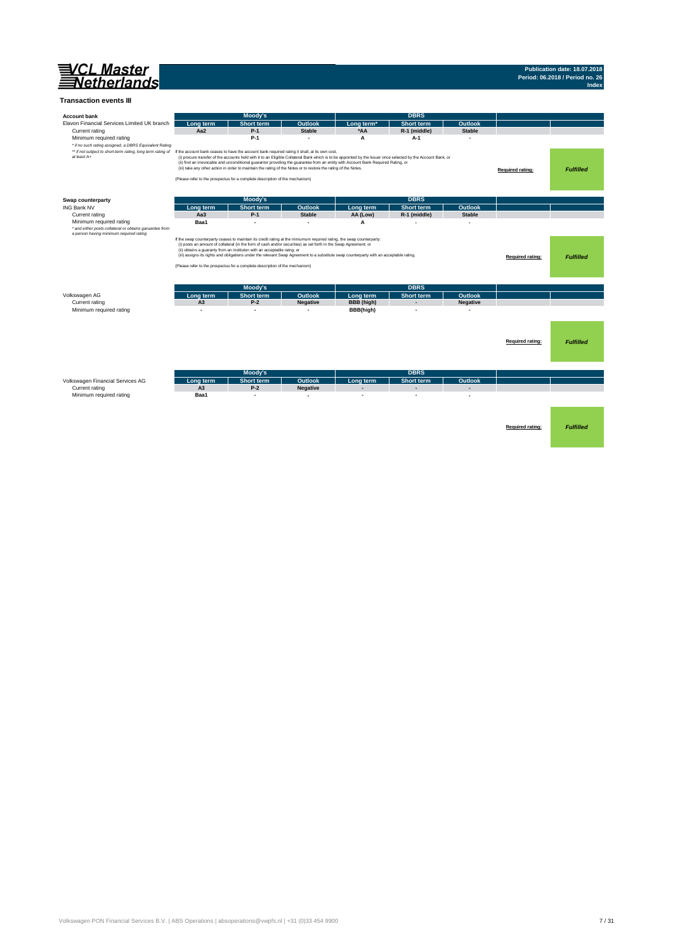

#### **Transaction events III**

| <b>Account bank</b>                                                                                                                                                                                                                             |                                                                                                                       | Moody's                                                                 |                                                                                                                  |                                                                                                                                                                                                                                                                                                    | <b>DBRS</b>              |                 |                         |                  |
|-------------------------------------------------------------------------------------------------------------------------------------------------------------------------------------------------------------------------------------------------|-----------------------------------------------------------------------------------------------------------------------|-------------------------------------------------------------------------|------------------------------------------------------------------------------------------------------------------|----------------------------------------------------------------------------------------------------------------------------------------------------------------------------------------------------------------------------------------------------------------------------------------------------|--------------------------|-----------------|-------------------------|------------------|
| Elavon Financial Services Limited UK branch                                                                                                                                                                                                     | Long term                                                                                                             | <b>Short term</b>                                                       | Outlook                                                                                                          | Long term <sup>*</sup>                                                                                                                                                                                                                                                                             | <b>Short term</b>        | Outlook         |                         |                  |
| Current rating                                                                                                                                                                                                                                  | Aa2                                                                                                                   | $P-1$                                                                   | <b>Stable</b>                                                                                                    | *AA                                                                                                                                                                                                                                                                                                | R-1 (middle)             | <b>Stable</b>   |                         |                  |
| Minimum required rating<br>* if no such rating assigned, a DBRS Equivalent Rating<br>** if not subject to short-term rating, long term rating of If the account bank ceases to have the account bank required rating it shall, at its own cost, |                                                                                                                       | $P-1$                                                                   | $\overline{\phantom{a}}$                                                                                         | A                                                                                                                                                                                                                                                                                                  | A-1                      |                 |                         |                  |
| at least A+                                                                                                                                                                                                                                     | (Please refer to the prospectus for a complete description of the mechanism)                                          |                                                                         | (iii) take any other action in order to maintain the rating of the Notes or to restore the rating of the Notes.  | (i) procure transfer of the accounts held with it to an Eligible Collateral Bank which is to be appointed by the Issuer once selected by the Account Bank, or<br>(ii) find an irrevocable and unconditional guarantor providing the guarantee from an entity with Account Bank Required Rating, or |                          |                 | <b>Required rating:</b> | <b>Fulfilled</b> |
| Swap counterparty                                                                                                                                                                                                                               |                                                                                                                       | Moody's                                                                 |                                                                                                                  |                                                                                                                                                                                                                                                                                                    | <b>DBRS</b>              |                 |                         |                  |
| <b>ING Bank NV</b>                                                                                                                                                                                                                              | Long term                                                                                                             | <b>Short term</b>                                                       | Outlook                                                                                                          | Long term                                                                                                                                                                                                                                                                                          | <b>Short term</b>        | Outlook         |                         |                  |
| Current rating                                                                                                                                                                                                                                  | Aa <sub>3</sub>                                                                                                       | $P-1$                                                                   | <b>Stable</b>                                                                                                    | AA (Low)                                                                                                                                                                                                                                                                                           | R-1 (middle)             | <b>Stable</b>   |                         |                  |
| Minimum required rating                                                                                                                                                                                                                         | Baa1                                                                                                                  |                                                                         |                                                                                                                  | A                                                                                                                                                                                                                                                                                                  |                          |                 |                         |                  |
| * and either posts collateral or obtains garuantee from<br>a person having minimum required rating                                                                                                                                              | If the swap counterparty ceases to maintain its credit rating at the miniumum required rating, the swap counterparty: | (ii) obtains a guaranty from an instituton with an acceptable ratng; or | (i) posts an amount of collateral (in the form of cash and/or securities) as set forth in the Swap Agreement; or | (iii) assigns its rights and obligations under the relevant Swap Agreement to a substitute swap counterparty with an acceptable rating.                                                                                                                                                            |                          |                 | Required rating:        | <b>Fulfilled</b> |
|                                                                                                                                                                                                                                                 | (Please refer to the prospectus for a complete description of the mechanism)                                          |                                                                         |                                                                                                                  |                                                                                                                                                                                                                                                                                                    |                          |                 |                         |                  |
|                                                                                                                                                                                                                                                 |                                                                                                                       |                                                                         |                                                                                                                  |                                                                                                                                                                                                                                                                                                    |                          |                 |                         |                  |
|                                                                                                                                                                                                                                                 |                                                                                                                       |                                                                         |                                                                                                                  |                                                                                                                                                                                                                                                                                                    |                          |                 |                         |                  |
|                                                                                                                                                                                                                                                 |                                                                                                                       | Moody's                                                                 |                                                                                                                  |                                                                                                                                                                                                                                                                                                    | <b>DBRS</b>              |                 |                         |                  |
| Volkswagen AG                                                                                                                                                                                                                                   | Long term                                                                                                             | <b>Short term</b>                                                       | Outlook                                                                                                          | Long term                                                                                                                                                                                                                                                                                          | <b>Short term</b>        | <b>Outlook</b>  |                         |                  |
| Current rating                                                                                                                                                                                                                                  | A <sub>3</sub>                                                                                                        | $P-2$                                                                   | <b>Negative</b>                                                                                                  | <b>BBB</b> (high)                                                                                                                                                                                                                                                                                  | $\overline{\phantom{a}}$ | <b>Negative</b> |                         |                  |
| Minimum required rating                                                                                                                                                                                                                         |                                                                                                                       | ۰                                                                       |                                                                                                                  | BBB(high)                                                                                                                                                                                                                                                                                          |                          |                 |                         |                  |
|                                                                                                                                                                                                                                                 |                                                                                                                       |                                                                         |                                                                                                                  |                                                                                                                                                                                                                                                                                                    |                          |                 |                         |                  |
|                                                                                                                                                                                                                                                 |                                                                                                                       |                                                                         |                                                                                                                  |                                                                                                                                                                                                                                                                                                    |                          |                 |                         |                  |
|                                                                                                                                                                                                                                                 |                                                                                                                       |                                                                         |                                                                                                                  |                                                                                                                                                                                                                                                                                                    |                          |                 |                         |                  |
|                                                                                                                                                                                                                                                 |                                                                                                                       |                                                                         |                                                                                                                  |                                                                                                                                                                                                                                                                                                    |                          |                 | Required rating:        | <b>Fulfilled</b> |
|                                                                                                                                                                                                                                                 |                                                                                                                       |                                                                         |                                                                                                                  |                                                                                                                                                                                                                                                                                                    |                          |                 |                         |                  |
|                                                                                                                                                                                                                                                 |                                                                                                                       |                                                                         |                                                                                                                  |                                                                                                                                                                                                                                                                                                    |                          |                 |                         |                  |
|                                                                                                                                                                                                                                                 |                                                                                                                       | Moody's                                                                 |                                                                                                                  |                                                                                                                                                                                                                                                                                                    | <b>DBRS</b>              |                 |                         |                  |
| Volkswagen Financial Services AG                                                                                                                                                                                                                | Long term                                                                                                             | <b>Short term</b>                                                       | Outlook                                                                                                          | Long term                                                                                                                                                                                                                                                                                          | Short term               | Outlook         |                         |                  |
| Current rating                                                                                                                                                                                                                                  | A <sub>3</sub>                                                                                                        | $P-2$                                                                   | <b>Negative</b>                                                                                                  | ٠                                                                                                                                                                                                                                                                                                  |                          |                 |                         |                  |
| Minimum required rating                                                                                                                                                                                                                         | Baa1                                                                                                                  |                                                                         |                                                                                                                  |                                                                                                                                                                                                                                                                                                    |                          |                 |                         |                  |
|                                                                                                                                                                                                                                                 |                                                                                                                       |                                                                         |                                                                                                                  |                                                                                                                                                                                                                                                                                                    |                          |                 |                         |                  |
|                                                                                                                                                                                                                                                 |                                                                                                                       |                                                                         |                                                                                                                  |                                                                                                                                                                                                                                                                                                    |                          |                 |                         |                  |
|                                                                                                                                                                                                                                                 |                                                                                                                       |                                                                         |                                                                                                                  |                                                                                                                                                                                                                                                                                                    |                          |                 |                         |                  |
|                                                                                                                                                                                                                                                 |                                                                                                                       |                                                                         |                                                                                                                  |                                                                                                                                                                                                                                                                                                    |                          |                 | Required rating:        | <b>Fulfilled</b> |
|                                                                                                                                                                                                                                                 |                                                                                                                       |                                                                         |                                                                                                                  |                                                                                                                                                                                                                                                                                                    |                          |                 |                         |                  |
|                                                                                                                                                                                                                                                 |                                                                                                                       |                                                                         |                                                                                                                  |                                                                                                                                                                                                                                                                                                    |                          |                 |                         |                  |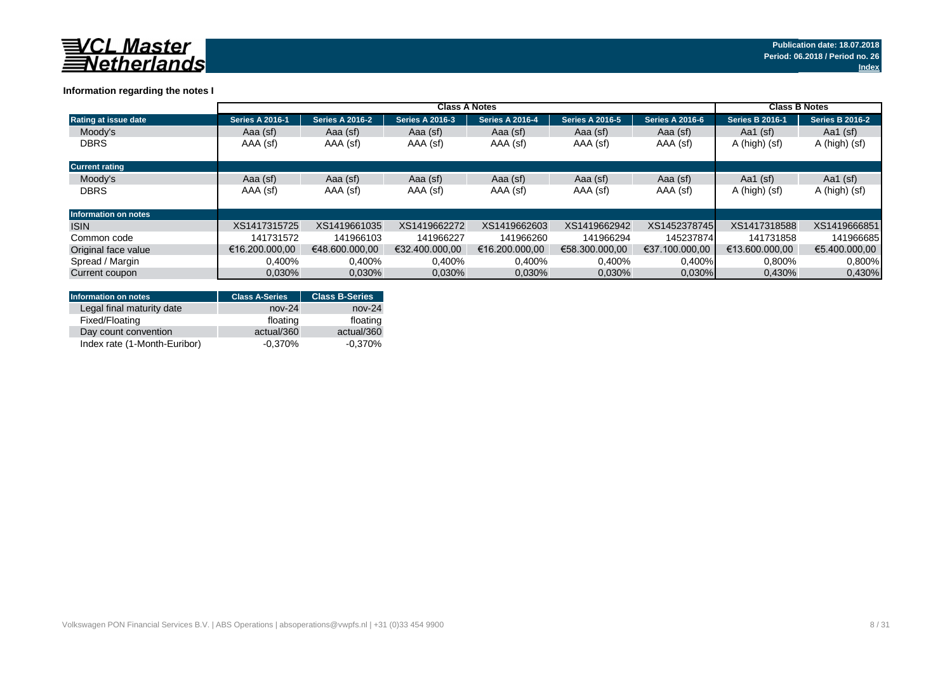

### **Information regarding the notes I**

|                             |                        | <b>Class B Notes</b>   |                        |                        |                        |                        |                        |                        |
|-----------------------------|------------------------|------------------------|------------------------|------------------------|------------------------|------------------------|------------------------|------------------------|
| Rating at issue date        | <b>Series A 2016-1</b> | <b>Series A 2016-2</b> | <b>Series A 2016-3</b> | <b>Series A 2016-4</b> | <b>Series A 2016-5</b> | <b>Series A 2016-6</b> | <b>Series B 2016-1</b> | <b>Series B 2016-2</b> |
| Moody's                     | Aaa (sf)               | Aaa (sf)               | Aaa (sf)               | Aaa (sf)               | Aaa (sf)               | Aaa (sf)               | Aa1 $(sf)$             | Aa1 $(sf)$             |
| <b>DBRS</b>                 | AAA (sf)               | AAA (sf)               | AAA (sf)               | AAA (sf)               | AAA (sf)               | AAA (sf)               | A (high) (sf)          | A (high) (sf)          |
| <b>Current rating</b>       |                        |                        |                        |                        |                        |                        |                        |                        |
| Moody's                     | Aaa (sf)               | Aaa (sf)               | Aaa (sf)               | Aaa (sf)               | Aaa (sf)               | Aaa (sf)               | Aa1 $(sf)$             | Aa1 $(sf)$             |
| <b>DBRS</b>                 | AAA (sf)               | AAA (sf)               | AAA (sf)               | AAA (sf)               | AAA (sf)               | AAA (sf)               | A (high) (sf)          | A (high) (sf)          |
| <b>Information on notes</b> |                        |                        |                        |                        |                        |                        |                        |                        |
| <b>ISIN</b>                 | XS1417315725           | XS1419661035           | XS1419662272           | XS1419662603           | XS1419662942           | XS1452378745           | XS1417318588           | XS1419666851           |
| Common code                 | 141731572              | 141966103              | 141966227              | 141966260              | 141966294              | 145237874              | 141731858              | 141966685              |
| Original face value         | €16.200.000.00         | €48.600.000.00         | €32.400.000.00         | €16.200.000.00         | €58.300.000.00         | €37.100.000.00         | €13.600.000.00         | €5.400.000.00          |
| Spread / Margin             | 0,400%                 | 0,400%                 | 0,400%                 | 0,400%                 | 0,400%                 | $0,400\%$              | 0,800%                 | 0.800%                 |
| Current coupon              | 0.030%                 | 0.030%                 | 0.030%                 | 0.030%                 | 0.030%                 | $0.030\%$              | 0,430%                 | 0,430%                 |

| <b>Information on notes</b>  | <b>Class A-Series</b> | <b>Class B-Series</b> |
|------------------------------|-----------------------|-----------------------|
| Legal final maturity date    | $nov-24$              | $nov-24$              |
| Fixed/Floating               | floating              | floating              |
| Day count convention         | actual/360            | actual/360            |
| Index rate (1-Month-Euribor) | $-0.370\%$            | $-0.370\%$            |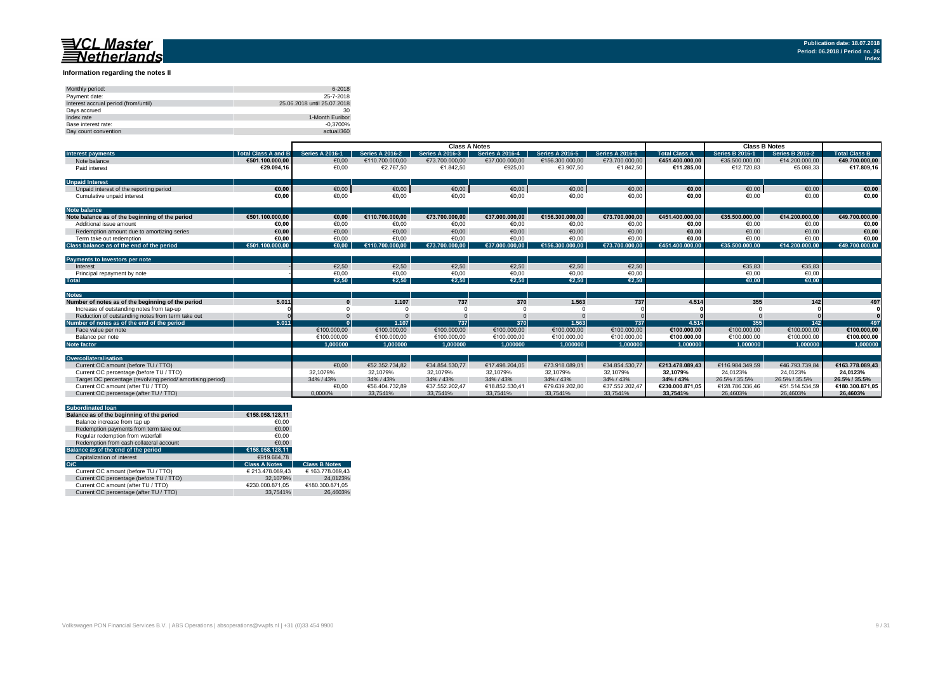#### **Information regarding the notes II**

| Monthly period:                      | 6-2018                      |
|--------------------------------------|-----------------------------|
| Payment date:                        | 25-7-2018                   |
| Interest accrual period (from/until) | 25.06.2018 until 25.07.2018 |
| Davs accrued                         | 30                          |
| Index rate                           | 1-Month Euribor             |
| Base interest rate:                  | $-0.3700%$                  |
| Day count convention                 | actual/360                  |

|                                                           |                            | <b>Class A Notes</b>   |                        |                        |                        |                        | <b>Class B Notes</b>   |                      |                        |                        |                 |
|-----------------------------------------------------------|----------------------------|------------------------|------------------------|------------------------|------------------------|------------------------|------------------------|----------------------|------------------------|------------------------|-----------------|
| <b>Interest payments</b>                                  | <b>Total Class A and B</b> | <b>Series A 2016-1</b> | <b>Series A 2016-2</b> | <b>Series A 2016-3</b> | <b>Series A 2016-4</b> | <b>Series A 2016-5</b> | <b>Series A 2016-6</b> | <b>Total Class A</b> | <b>Series B 2016-1</b> | <b>Series B 2016-2</b> | Total Class B   |
| Note balance                                              | €501.100.000,00            | €0,00                  | €110.700.000.00        | €73.700.000.00         | €37.000.000.00         | €156.300.000.00        | €73.700.000,00         | €451.400.000.00      | €35.500.000.00         | €14.200.000.00         | €49.700.000,00  |
| Paid interest                                             | €29.094.16                 | €0,00                  | €2.767,50              | €1.842,50              | €925,00                | €3.907,50              | €1.842,50              | €11.285,00           | €12.720,83             | €5.088,33              | €17.809,16      |
| <b>Unpaid Interest</b>                                    |                            |                        |                        |                        |                        |                        |                        |                      |                        |                        |                 |
| Unpaid interest of the reporting period                   | €0.00                      | €0,00                  | $\epsilon$ 0,00        | €0,00                  | €0,00                  | $\epsilon$ 0,00        | €0,00                  | €0,00                | €0,00                  | €0,00                  | €0,00           |
| Cumulative unpaid interest                                | €0.00                      | €0.00                  | €0.00                  | €0.00                  | €0.00                  | €0.00                  | €0.00                  | €0.00                | €0.00                  | €0.00                  | €0,00           |
| <b>Note balance</b>                                       |                            |                        |                        |                        |                        |                        |                        |                      |                        |                        |                 |
| Note balance as of the beginning of the period            | €501.100.000.00            | €0.00                  | €110.700.000,00        | €73.700.000.00         | €37.000.000.00         | €156.300.000.00        | €73.700.000,00         | €451.400.000.00      | €35.500.000.00         | €14.200.000,00         | €49.700.000,00  |
| Additional issue amount                                   | €0.00                      | €0.00                  | €0,00                  | €0,00                  | €0.00                  | €0.00                  | €0,00                  | €0.00                | €0.00                  | €0.00                  | €0,00           |
| Redemption amount due to amortizing series                | €0.00                      | €0,00                  | €0,00                  | €0,00                  | €0,00                  | €0.00                  | €0,00                  | €0,00                | €0.00                  | €0,00                  | €0,00           |
| Term take out redemption                                  | €0.00                      | €0.00                  | €0.00                  | €0.00                  | €0.00                  | €0.00                  | €0.00                  | €0.00                | €0.00                  | €0.00                  | €0,00           |
| Class balance as of the end of the period                 | €501.100.000.00            | $\epsilon$ 0.00        | €110.700.000.00        | €73.700.000.00         | €37.000.000.00         | €156.300.000.00        | €73.700.000.00         | €451.400.000.00      | €35.500.000.00         | €14.200.000.00         | €49.700.000.00  |
| Payments to Investors per note                            |                            |                        |                        |                        |                        |                        |                        |                      |                        |                        |                 |
| Interest                                                  |                            | €2.50                  | €2,50                  | €2,50                  | €2.50                  | €2.50                  | €2,50                  |                      | €35.83                 | €35.83                 |                 |
| Principal repayment by note                               |                            | €0,00                  | €0,00                  | €0,00                  | €0,00                  | €0,00                  | €0,00                  |                      | €0,00                  | €0,00                  |                 |
| <b>Total</b>                                              |                            | €2.50                  | €2.50                  | €2.50                  | €2.50                  | €2.50                  | €2.50                  |                      | €0.00                  | €0.00                  |                 |
|                                                           |                            |                        |                        |                        |                        |                        |                        |                      |                        |                        |                 |
| <b>Notes</b>                                              |                            |                        |                        |                        |                        |                        |                        |                      |                        |                        |                 |
| Number of notes as of the beginning of the period         | 5.011                      |                        | 1.107                  | 737                    | 370                    | 1.563                  | 737                    | 4.514                | 355                    | 142                    | 497             |
| Increase of outstanding notes from tap-up                 |                            |                        |                        |                        |                        |                        |                        |                      |                        |                        |                 |
| Reduction of outstanding notes from term take out         |                            |                        |                        |                        |                        |                        |                        |                      |                        |                        |                 |
| Number of notes as of the end of the period               | 5.011                      |                        | 1.107                  | 737                    | 370                    | 1.563                  | 737                    | 4.514                | 355                    | 142                    | 497             |
| Face value per note                                       |                            | €100.000,00            | €100.000,00            | €100.000,00            | €100.000,00            | €100.000,00            | €100.000,00            | €100.000.00          | €100.000,00            | €100.000,00            | €100.000,00     |
| Balance per note                                          |                            | €100.000,00            | €100,000.00            | €100.000,00            | €100.000,00            | €100.000,00            | €100.000,00            | €100.000,00          | €100.000,00            | €100.000,00            | €100.000,00     |
| <b>Note factor</b>                                        |                            | 1.000000               | 1.000000               | 1.000000               | 1.000000               | 1.000000               | 1.000000               | 1.000000             | 1.000000               | 1.000000               | 1.000000        |
| Overcollateralisation                                     |                            |                        |                        |                        |                        |                        |                        |                      |                        |                        |                 |
| Current OC amount (before TU / TTO)                       |                            | €0.00                  | €52.352.734.82         | €34.854.530.77         | €17.498.204.05         | €73.918.089.01         | €34.854.530.77         | €213.478.089.43      | €116.984.349.59        | €46.793.739.84         | €163.778.089.43 |
| Current OC percentage (before TU / TTO)                   |                            | 32.1079%               | 32.1079%               | 32,1079%               | 32.1079%               | 32,1079%               | 32,1079%               | 32.1079%             | 24.0123%               | 24,0123%               | 24.0123%        |
| Target OC percentage (revolving period/amortising period) |                            | 34% / 43%              | 34% / 43%              | 34% / 43%              | 34% / 43%              | 34% / 43%              | 34% / 43%              | 34% / 43%            | 26.5% / 35.5%          | 26.5% / 35.5%          | 26.5% / 35.5%   |
| Current OC amount (after TU / TTO)                        |                            | €0,00                  | €56.404.732.89         | €37.552.202.47         | €18.852.530,41         | €79.639.202.80         | €37.552.202.47         | €230.000.871.05      | €128.786.336.46        | €51.514.534.59         | €180.300.871.05 |
| Current OC percentage (after TU / TTO)                    |                            | 0.0000%                | 33.7541%               | 33.7541%               | 33.7541%               | 33.7541%               | 33,7541%               | 33.7541%             | 26.4603%               | 26.4603%               | 26.4603%        |

|     | <b>Subordinated loan</b>                  |                      |                      |
|-----|-------------------------------------------|----------------------|----------------------|
|     | Balance as of the beginning of the period | €158.058.128.11      |                      |
|     | Balance increase from tap up              | €0.00                |                      |
|     | Redemption payments from term take out    | €0.00                |                      |
|     | Regular redemption from waterfall         | €0.00                |                      |
|     | Redemption from cash collateral account   | €0.00                |                      |
|     | Balance as of the end of the period       | €158.058.128.11      |                      |
|     | Capitalization of interest                | €919.664.78          |                      |
| O/C |                                           | <b>Class A Notes</b> | <b>Class B Notes</b> |
|     | Current OC amount (before TU / TTO)       | € 213.478.089.43     | € 163.778.089.43     |
|     | Current OC percentage (before TU / TTO)   | 32.1079%             | 24.0123%             |
|     | Current OC amount (after TU / TTO)        | €230.000.871.05      | €180.300.871.05      |
|     | Current OC percentage (after TU / TTO)    | 33.7541%             | 26.4603%             |
|     |                                           |                      |                      |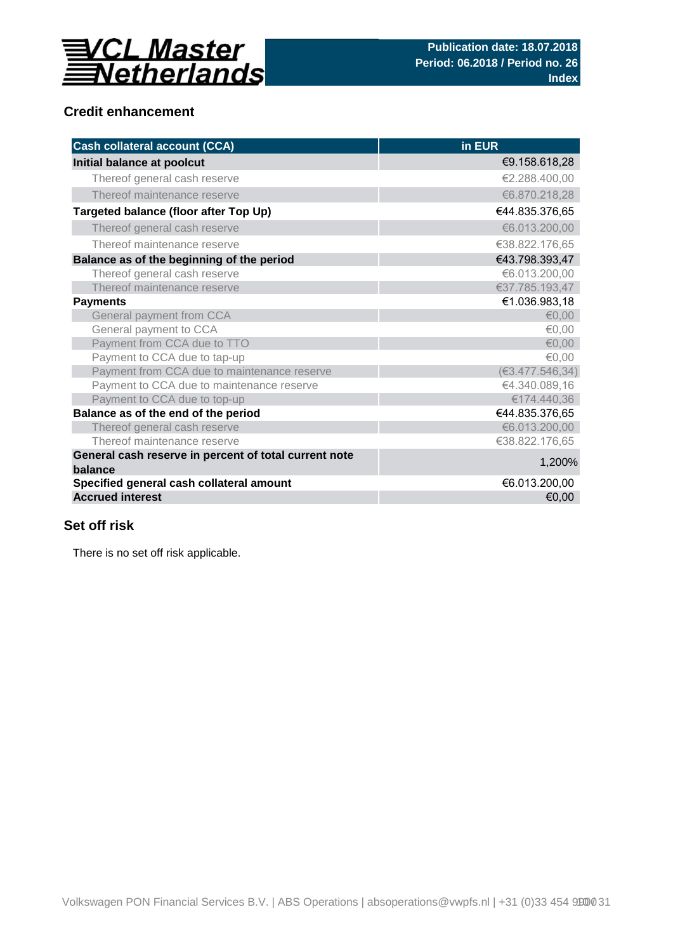

## **Credit enhancement**

| <b>Cash collateral account (CCA)</b>                             | in EUR          |
|------------------------------------------------------------------|-----------------|
| Initial balance at poolcut                                       | €9.158.618,28   |
| Thereof general cash reserve                                     | €2.288.400,00   |
| Thereof maintenance reserve                                      | €6.870.218,28   |
| Targeted balance (floor after Top Up)                            | €44.835.376,65  |
| Thereof general cash reserve                                     | €6.013.200,00   |
| Thereof maintenance reserve                                      | €38.822.176,65  |
| Balance as of the beginning of the period                        | €43.798.393,47  |
| Thereof general cash reserve                                     | €6.013.200,00   |
| Thereof maintenance reserve                                      | €37.785.193,47  |
| <b>Payments</b>                                                  | €1.036.983,18   |
| General payment from CCA                                         | € $0,00$        |
| General payment to CCA                                           | €0,00           |
| Payment from CCA due to TTO                                      | € $0,00$        |
| Payment to CCA due to tap-up                                     | €0,00           |
| Payment from CCA due to maintenance reserve                      | (63.477.546.34) |
| Payment to CCA due to maintenance reserve                        | €4.340.089,16   |
| Payment to CCA due to top-up                                     | €174.440,36     |
| Balance as of the end of the period                              | €44.835.376,65  |
| Thereof general cash reserve                                     | €6.013.200,00   |
| Thereof maintenance reserve                                      | €38.822.176,65  |
| General cash reserve in percent of total current note<br>balance | 1,200%          |
| Specified general cash collateral amount                         | €6.013.200,00   |
| <b>Accrued interest</b>                                          | €0,00           |

## **Set off risk**

There is no set off risk applicable.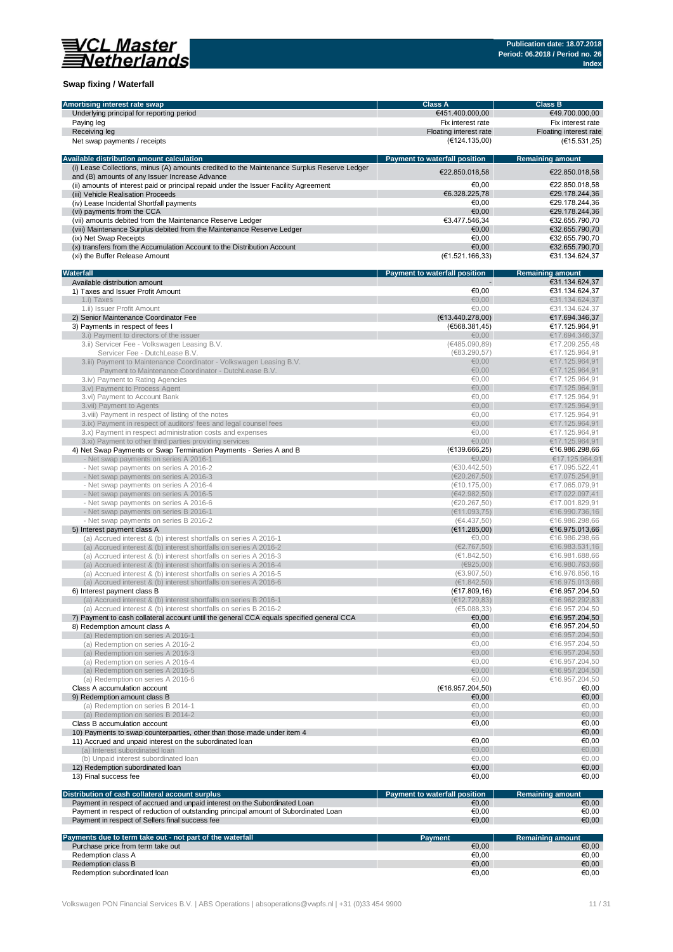

### **Swap fixing / Waterfall**

| Amortising interest rate swap                                                               | <b>Class A</b>                       | <b>Class B</b>                   |
|---------------------------------------------------------------------------------------------|--------------------------------------|----------------------------------|
| Underlying principal for reporting period                                                   | €451.400.000,00                      | €49.700.000,00                   |
| Paying leg                                                                                  | Fix interest rate                    | Fix interest rate                |
| Receiving leg                                                                               | Floating interest rate               | Floating interest rate           |
| Net swap payments / receipts                                                                | (€124.135,00)                        | (E15.531, 25)                    |
|                                                                                             |                                      |                                  |
| Available distribution amount calculation                                                   | <b>Payment to waterfall position</b> | <b>Remaining amount</b>          |
| (i) Lease Collections, minus (A) amounts credited to the Maintenance Surplus Reserve Ledger |                                      |                                  |
| and (B) amounts of any Issuer Increase Advance                                              | €22.850.018,58                       | €22.850.018,58                   |
| (ii) amounts of interest paid or principal repaid under the Issuer Facility Agreement       | €0,00                                | €22.850.018,58                   |
| (iii) Vehicle Realisation Proceeds                                                          | €6.328.225,78                        | €29.178.244,36                   |
|                                                                                             | €0.00                                | €29.178.244,36                   |
| (iv) Lease Incidental Shortfall payments                                                    | €0.00                                |                                  |
| (vi) payments from the CCA                                                                  |                                      | €29.178.244,36<br>€32.655.790.70 |
| (vii) amounts debited from the Maintenance Reserve Ledger                                   | €3.477.546,34                        | €32.655.790.70                   |
| (viii) Maintenance Surplus debited from the Maintenance Reserve Ledger                      | €0,00                                |                                  |
| (ix) Net Swap Receipts                                                                      | €0.00<br>€0.00                       | €32.655.790,70<br>€32.655.790.70 |
| (x) transfers from the Accumulation Account to the Distribution Account                     |                                      |                                  |
| (xi) the Buffer Release Amount                                                              | (E1.521.166, 33)                     | €31.134.624,37                   |
|                                                                                             |                                      |                                  |
| Waterfall                                                                                   | Payment to waterfall position        | <b>Remaining amount</b>          |
| Available distribution amount                                                               |                                      | €31.134.624,37                   |
| 1) Taxes and Issuer Profit Amount                                                           | €0,00                                | €31.134.624,37                   |
| 1.i) Taxes                                                                                  | €0.00                                | €31.134.624,37                   |
| 1.ii) Issuer Profit Amount                                                                  | €0,00                                | €31.134.624,37                   |
| 2) Senior Maintenance Coordinator Fee                                                       | (E13.440.278,00)                     | €17.694.346,37                   |
| 3) Payments in respect of fees I                                                            | (6568.381.45)                        | €17.125.964,91                   |
| 3.i) Payment to directors of the issuer                                                     | €0,00                                | €17.694.346,37                   |
| 3.ii) Servicer Fee - Volkswagen Leasing B.V.                                                | (€485.090,89)                        | €17.209.255,48                   |
| Servicer Fee - DutchLease B.V.                                                              | (683.290, 57)                        | €17.125.964,91                   |
| 3.iii) Payment to Maintenance Coordinator - Volkswagen Leasing B.V.                         | €0,00                                | €17.125.964.91                   |
| Payment to Maintenance Coordinator - DutchLease B.V.                                        | €0,00                                | €17.125.964,91                   |
| 3.iv) Payment to Rating Agencies                                                            | €0.00                                | €17.125.964,91                   |
| 3.v) Payment to Process Agent                                                               | €0,00                                | €17.125.964,91                   |
| 3.vi) Payment to Account Bank                                                               | €0,00                                | €17.125.964,91                   |
| 3. vii) Payment to Agents                                                                   | €0.00                                | €17.125.964,91                   |
| 3. viii) Payment in respect of listing of the notes                                         | €0,00                                | €17.125.964,91                   |
| 3.ix) Payment in respect of auditors' fees and legal counsel fees                           | €0.00                                | €17.125.964,91                   |
| 3.x) Payment in respect administration costs and expenses                                   | €0,00                                | €17.125.964,91                   |
| 3.xi) Payment to other third parties providing services                                     | €0,00                                | €17.125.964,91                   |
| 4) Net Swap Payments or Swap Termination Payments - Series A and B                          | (E139.666, 25)                       | €16.986.298,66                   |
|                                                                                             | €0,00                                | €17.125.964,91                   |
| - Net swap payments on series A 2016-1                                                      |                                      |                                  |
| - Net swap payments on series A 2016-2                                                      | (630.442, 50)                        | €17.095.522,41                   |
| - Net swap payments on series A 2016-3                                                      | (E20.267, 50)                        | €17.075.254,91                   |
| - Net swap payments on series A 2016-4                                                      | (€10.175,00)                         | €17.065.079,91                   |
| - Net swap payments on series A 2016-5                                                      | (€42.982,50)                         | €17.022.097,41                   |
| - Net swap payments on series A 2016-6                                                      | (€20.267,50)                         | €17.001.829,91                   |
| - Net swap payments on series B 2016-1                                                      | (E11.093,75)                         | €16.990.736,16                   |
| - Net swap payments on series B 2016-2                                                      | (€4.437,50)                          | €16.986.298,66                   |
| 5) Interest payment class A                                                                 | (E11.285,00)                         | €16.975.013,66                   |
| (a) Accrued interest & (b) interest shortfalls on series A 2016-1                           | €0,00                                | €16.986.298,66                   |
| (a) Accrued interest & (b) interest shortfalls on series A 2016-2                           | (E2.767, 50)                         | €16.983.531,16                   |
| (a) Accrued interest & (b) interest shortfalls on series A 2016-3                           | (€1.842,50)                          | €16.981.688,66                   |
| (a) Accrued interest & (b) interest shortfalls on series A 2016-4                           | (E925,00)                            | €16.980.763,66                   |
| (a) Accrued interest & (b) interest shortfalls on series A 2016-5                           | (63.907, 50)                         | €16.976.856,16                   |
| (a) Accrued interest & (b) interest shortfalls on series A 2016-6                           | (E1.842, 50)                         | €16.975.013,66                   |
| 6) Interest payment class B                                                                 | (E17.809, 16)                        | €16.957.204,50                   |
| (a) Accrued interest & (b) interest shortfalls on series B 2016-1                           | (E12.720, 83)                        | €16.962.292.83                   |
| (a) Accrued interest & (b) interest shortfalls on series B 2016-2                           | (E5.088, 33)                         | €16.957.204,50                   |
| 7) Payment to cash collateral account until the general CCA equals specified general CCA    | €0,00                                | €16.957.204,50                   |
| 8) Redemption amount class A                                                                | €0,00                                | €16.957.204,50                   |
| (a) Redemption on series A 2016-1                                                           | €0,00                                | €16.957.204,50                   |
| (a) Redemption on series A 2016-2                                                           | €0,00                                | €16.957.204,50                   |
| (a) Redemption on series A 2016-3                                                           | €0,00                                | €16.957.204,50                   |
| (a) Redemption on series A 2016-4                                                           | €0,00                                | €16.957.204,50                   |
| (a) Redemption on series A 2016-5                                                           | €0,00                                | €16.957.204,50                   |
| (a) Redemption on series A 2016-6                                                           | €0,00                                | €16.957.204,50                   |
| Class A accumulation account                                                                | (€16.957.204,50)                     | €0,00                            |
|                                                                                             |                                      |                                  |
| 9) Redemption amount class B                                                                | €0,00                                | €0,00                            |
| (a) Redemption on series B 2014-1                                                           | €0,00                                | €0,00                            |
| (a) Redemption on series B 2014-2                                                           | €0,00                                | €0,00                            |
| Class B accumulation account                                                                | €0,00                                | €0,00                            |
| 10) Payments to swap counterparties, other than those made under item 4                     |                                      | €0,00                            |
| 11) Accrued and unpaid interest on the subordinated loan                                    | €0,00                                | €0,00                            |
| (a) Interest subordinated loan                                                              | €0,00                                | €0,00                            |
| (b) Unpaid interest subordinated loan                                                       | €0,00                                | €0,00                            |
| 12) Redemption subordinated loan                                                            | €0,00                                | €0,00                            |
| 13) Final success fee                                                                       | €0,00                                | €0,00                            |
|                                                                                             |                                      |                                  |
| Distribution of cash collateral account surplus                                             | Payment to waterfall position        | <b>Remaining amount</b>          |
| Payment in respect of accrued and unpaid interest on the Subordinated Loan                  | €0,00                                | €0,00                            |
| Payment in respect of reduction of outstanding principal amount of Subordinated Loan        | €0,00                                | €0,00                            |
| Payment in respect of Sellers final success fee                                             | €0,00                                | €0,00                            |
|                                                                                             |                                      |                                  |
| Payments due to term take out - not part of the waterfall                                   | <b>Payment</b>                       | <b>Remaining amount</b>          |
| Purchase price from term take out                                                           | €0,00                                | €0,00                            |
| Redemption class A                                                                          | €0,00                                | €0,00                            |
| Redemption class B                                                                          | €0,00                                | €0,00                            |
| Redemption subordinated loan                                                                | €0,00                                | €0,00                            |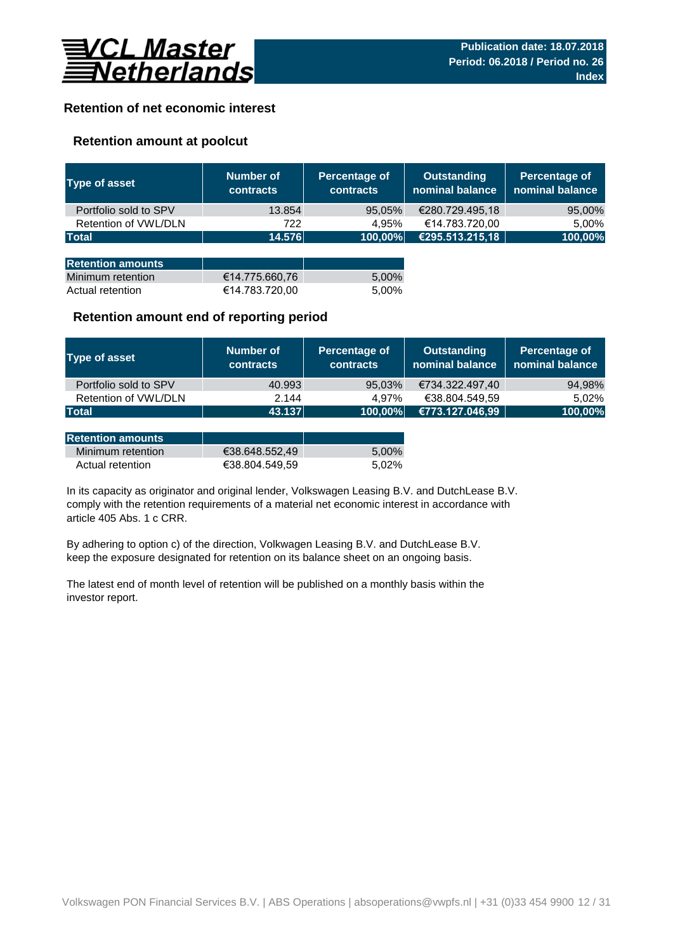

## **Retention of net economic interest**

## **Retention amount at poolcut**

| <b>Type of asset</b>     | <b>Number of</b><br><b>contracts</b> | Percentage of<br><b>contracts</b> | <b>Outstanding</b><br>nominal balance | Percentage of<br>nominal balance |
|--------------------------|--------------------------------------|-----------------------------------|---------------------------------------|----------------------------------|
| Portfolio sold to SPV    | 13.854                               | 95,05%                            | €280.729.495,18                       | 95,00%                           |
| Retention of VWL/DLN     | 722                                  | 4.95%                             | €14.783.720,00                        | 5,00%                            |
| <b>Total</b>             | 14.576                               | 100,00%                           | €295.513.215,18                       | 100,00%                          |
|                          |                                      |                                   |                                       |                                  |
| <b>Retention amounts</b> |                                      |                                   |                                       |                                  |
| Minimum retention        | €14.775.660,76                       | 5,00%                             |                                       |                                  |
| Actual retention         | €14.783.720,00                       | 5.00%                             |                                       |                                  |

## **Retention amount end of reporting period**

| Type of asset         | Number of<br><b>contracts</b> | Percentage of<br><b>contracts</b> | <b>Outstanding</b><br>nominal balance | Percentage of<br>nominal balance |
|-----------------------|-------------------------------|-----------------------------------|---------------------------------------|----------------------------------|
| Portfolio sold to SPV | 40.993                        | 95,03%                            | €734.322.497,40                       | 94,98%                           |
| Retention of VWL/DLN  | 2.144                         | 4.97%                             | €38.804.549,59                        | 5.02%                            |
| <b>Total</b>          | 43.137                        | 100,00%                           | €773.127.046,99                       | 100,00%                          |

| <b>Retention amounts</b> |                |       |
|--------------------------|----------------|-------|
| Minimum retention        | €38.648.552.49 | 5.00% |
| Actual retention         | €38.804.549.59 | 5.02% |

article 405 Abs. 1 c CRR. In its capacity as originator and original lender, Volkswagen Leasing B.V. and DutchLease B.V. comply with the retention requirements of a material net economic interest in accordance with

By adhering to option c) of the direction, Volkwagen Leasing B.V. and DutchLease B.V. keep the exposure designated for retention on its balance sheet on an ongoing basis.

The latest end of month level of retention will be published on a monthly basis within the investor report.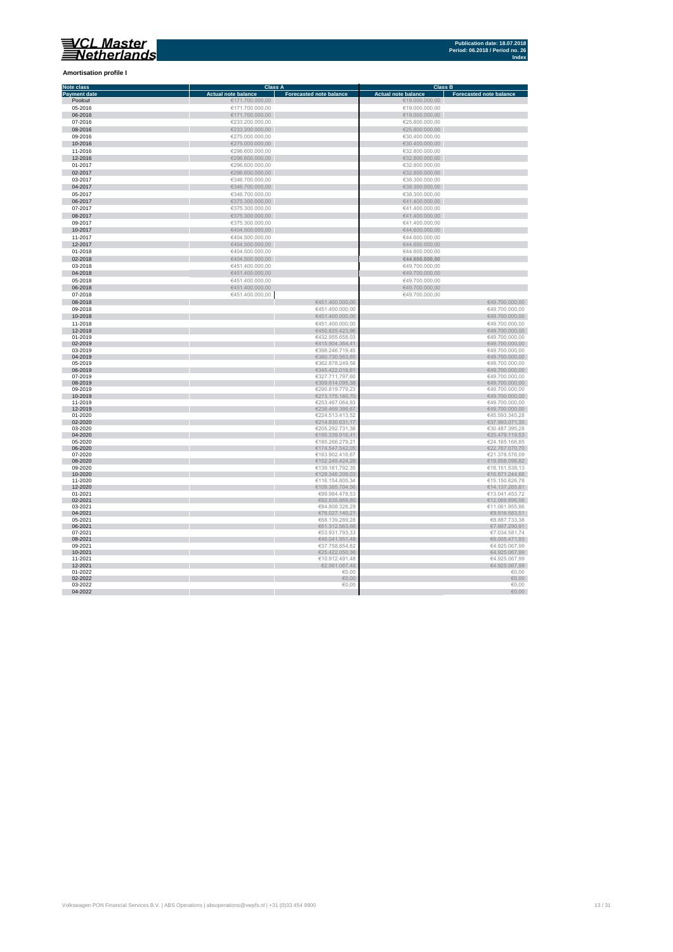**Amortisation profile I**

#### **Class A Class B Class B Class B Class B Class B CLASS B CLASS B CLASS B CLASS B CLASS B CLASS B CLASS B CLASS B CLASS B CLASS B CLASS B CLASS B CLASS B CLASS B CLASS B CLASS B C Note class** T. **Payment date and the Sale of the Case of the Sale of the Sale of the Sale of the Sale of the Sale of the Sale of the Sale of the Sale of the Sale of the Sale of the Sale of the Sale of the Sale of the Sale of the Sale of** Poolcut ∈19.000.000,00 ∈171.700.000,00 ∈171.700.000,00 ∈19.000.000,00 ∈19.000.000,00 ∈19.000.000,00 ∈19.000.000,00 ∈19.000.000,00 ∈19.000.000,00 ∈19.000.000,00 ∈19.000.000,00 ∈19.000.000,00 ∈19.000.000,00 ∈19.000.000,00 ∈ r 06-2016 €171.700.000,00 €19.000.000,00 €19.000.000,00<br>
07-2016 €233.200.000,00<br>
08-2016 €235.200.000,00 €235.200.000,00<br>
09-2016 €275.000.000,00 €275.000.000,00 €30.400.000,00 07-2016 €233.200.000,00 €25.800.000,00 08-2016 €233.200.000,00 €25.800.000,00 09-2016 €275.000.000,00 €30.400.000,00 10-2016 €275.000.000,00 €30.400.000,00 11-2016 €296.600.000,00 €32.800.000,00 Ì. 12-2016 €29.800.000,00 €296.600.000,00<br>01-2017 €32.800.000,00 €32.800.000,00 €32.800.000,00 €32.800.000,00 €32.800.000,00<br>02-2017 €32.800.000,00 €32.800.000,00 €32.800.000,00 €32.800.000,00 €32.800.000,00 €32.800.000,00  $6346.700.000,00$  ∈38.300.000,00 ∈38.300.000,00 × 0**4-2017** €38.300.000,00 €346.700.000,00 €346.700.000,00 €38.300.000,00 €38.300.000,00 €38.300.000,00 €38.300.000,00<br>05-2017 €38.300.000,00 €346.700.000,00 €346.700.000,00 €346.700.000,00 €346.700 €38.300.000,00 €38.300.0 Ì. 06-2017 €375.300.000,00 €41.400.000,00  $\epsilon$ 375.300.000,00  $\epsilon$  (and the set of  $\epsilon$ 41.400.000,00  $\epsilon$ 0**8-2017 ∈**41.400.000,00 ∈375.300.000,00 ∈375.300.000,00 ∈41.400.000,00 ∈41.400.000,00 ∈41.400.000,00 ∈41.400.000,00 ∈41.400.000,00 ∈41.400.000,00 ∈41.400.000,00 ∈41.400.000,00 ∈41.400.000,00 ∈41.400.000,00 ∈41.400.000,00 п 10-2017 €404.500.000,00 €44.600.000,00 11-2017 €404.500.000,00 €404.500.000,00 €404.500.000,00 €404.500.000,00 €404.500.000,00 €44.600.000,00 €44.600.000,00 Ì. 12-2017 €404.500.000,00 €404.500.000,00 €404.500.000,00 €404.500.000,00 €44.600.000,00 €44.600.000,00  $01-2018$  ∈404.500.000,00 ∈404.500.000,00 ∈404.500.000,00 ∈404.600.000,00 × 02-2018 €404.500.000,00 **€44.600.000,00** 03-2018 €451.400.000,00 €49.700.000,00 п 04-2018 €451.400.000,00 €49.700.000,00  $65-2018$  ∈451.400.000,00 ∈451.400.000,00 ∈451.400.000,00 ∈49.700.000,00 × 0**6-2018 €45.700.000,00 €451.400.000,00**<br>17-**2018 €49.700.000,00 €451.400.000,00** €451.400.000,00 €451.400.000,00 €49.700.000,00 €49.700.000,00 €49.700.000 Ė 08-2018 €451.400.000,00 €49.700.000,00  $09-2018$  ∈49.700.000,00 10-2018 €451.400.000,00 €49.700.000,00 11-2018 ∈49.700.000,00 12-2018 €450.825.423,96 €49.700.000,00  $01-2019$  ∈432.955.658,03 ∈432.955.658,03 ∈432.955.658,03 ∈432.955.658,03 ∈432.955.658,03 ∈49.700.000,00 × 02-2019 €415.904.364,41 €49.700.000,00  $03-2019$  ∈49.700.000,00 i. 04-2019 €380.730.563,85 €49.700.000,00  $0.2019$  ∈49.700.000,000 ∈6362.878.249,58  $\epsilon$ ×. 06-2019 €345.422.016,61 €49.700.000,00  $07$ -2019 ∈49.700.000,00 × 08-2019 €309.614.095,38 €49.700.000,00  $09-2019$  ∈290.819.779,23 ∈49.700.000,00 10-2019 €273.175.160,70 €49.700.000,00 11-2019 €253.467.064,93 €49.700.000,00 12-2019 €238.469.386,67 €49.700.000,00 01-2020 ∈45.593.345,28 ∈645.593.345,28 ∈645.593.345,28 ∈224.513.413,52 Г п 02-2020 €37.993.071,35 €37.993.071,35 €37.993.071,35 €37.993.071,35 €37.993.071,35 €37.993.071,35 €37.993.071,35  $03-2020$  €30.487.395,28 €30.487.395,28 Ì. 04-2020 €25.479.119,53 € 6.479.119,53 € 6.479.119,53 € 6.479.119,53 € 6.479.119,53 € 6.479.119,53 € 6.479.119,53  $05-2020$  ∈24.165.166,85 n. 06-2020 €174.547.542,05 €22.767.070,70  $07-2020$  ∈21.378.576,09 r. 08-2020 ∈152.245.424,29 €152.245.424,29 €152.245.424,29 €152.245.424,29 €152.245.424,29 €19.858.098,82  $09-2020$  ∈18.151.538,13 п 10-2020 €129.346.209,03 €16.871.244,66 11-2020 ∈116.154.805,34 ∈15.150.626,78 n. 12-2020 ∈108.385.704,56  $\blacksquare$  €108.385.704,56  $\blacksquare$   $\blacksquare$   $\blacksquare$   $\blacksquare$   $\blacksquare$   $\blacksquare$   $\blacksquare$   $\blacksquare$   $\blacksquare$   $\blacksquare$   $\blacksquare$   $\blacksquare$   $\blacksquare$   $\blacksquare$   $\blacksquare$   $\blacksquare$   $\blacksquare$   $\blacksquare$   $\blacksquare$   $\blacksquare$   $\blacksquare$   $\blacksquare$   $\blacksquare$   $\blacksquare$   $\blacksquare$ 01-2021 ∈99.984.478,53 ∈99.984.478,53 ∈99.984.478,53 ∈99.984.478,53 ∈99.984.478,53 ∈99.984.478,53 ∈99.984.478,53 ∈99.984.478,53 ∈99.984.478,53 ∈99.984.478,53 ∈99.984.478,53 ∈99.984.478,53 ∈99.984.478,53 ∈99.984.478,53 ∈9 02-2021 €12.069.896,06 €12.069.896,06 €12.069.896,06 €12.069.896,06 €12.069.896,06 €12.069.896,06 €12.069.896,06  $03$ -2021 ∈ 11.061.955,86 ∈ 11.061.955,86 04-2021 €76.027.140,21 €9.916.583,51  $05$ -2021 ∈8.887.733,38 06-2021 €61.312.563,66 €61.312.563,66 €61.312.563,66 €7.997.290,91  $07$ -2021 ∈7.034.581,74 08-2021 €46.041.951,48 €6.005.471,93  $09-2021$  ∈37.758.854,62  $\pm$  37.758.854,62  $\pm$ 10-2021 €4.925.067,99 €4.925.067,99 €4.925.067,99 €25.422.050,36 €  $\epsilon$ 11-2021 €4.925.067,99 12-2021 €2.561.067,48  $\blacksquare$  €2.561.067,48  $\blacksquare$  €4.925.067,99  $0.00$   $0.00$   $0.00$   $0.00$   $0.00$   $0.00$   $0.00$   $0.00$   $0.00$   $0.00$   $0.00$   $0.00$   $0.00$   $0.00$   $0.00$   $0.00$   $0.00$   $0.00$   $0.00$   $0.00$   $0.00$   $0.00$   $0.00$   $0.00$   $0.00$   $0.00$   $0.00$   $0.00$   $0.00$   $0.00$   $0.00$   $0.0$ Ì. 02-2022  $\epsilon_{0,00}$   $\epsilon_{0,00}$  $03$ -2022  $\in$  0.00  $\in$  0.00  $\in$  0.00  $\in$  0.00  $\in$  0.00  $\in$  0.00  $\in$  0.00  $\in$  0.00  $\in$  0.00  $\in$  0.00  $\in$  0.00  $\in$  0.00  $\in$  0.00  $\in$  0.00  $\in$  0.00  $\in$  0.00  $\in$  0.00  $\in$  0.00  $\in$  0.00  $\in$  0.00  $\in$  0.00

04-2022  $\epsilon_{0,00}$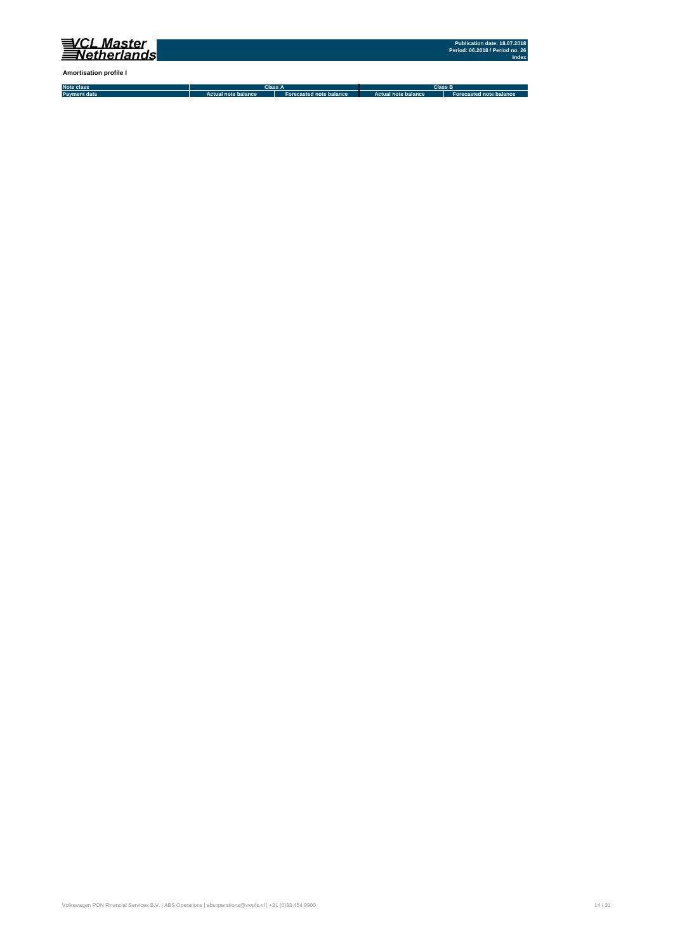

**Amortisation profile I**

**Note class Payment date Actual note balance Forecasted note balance Actual note balance2 Forecasted note balance3 Class A Class B**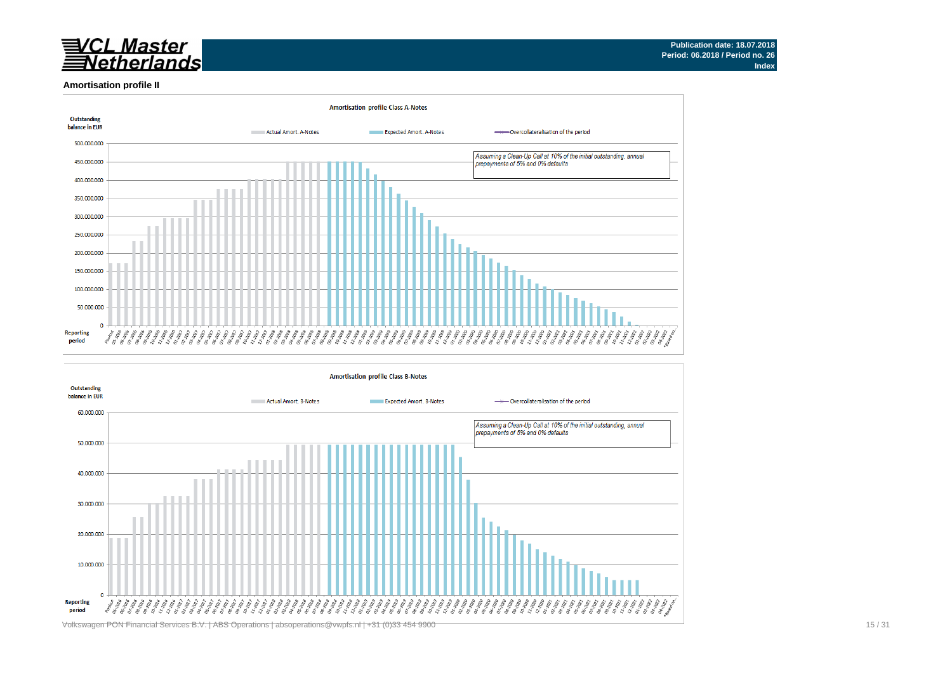# /CL Master<br>Netherlands

#### **Amortisation profile II**



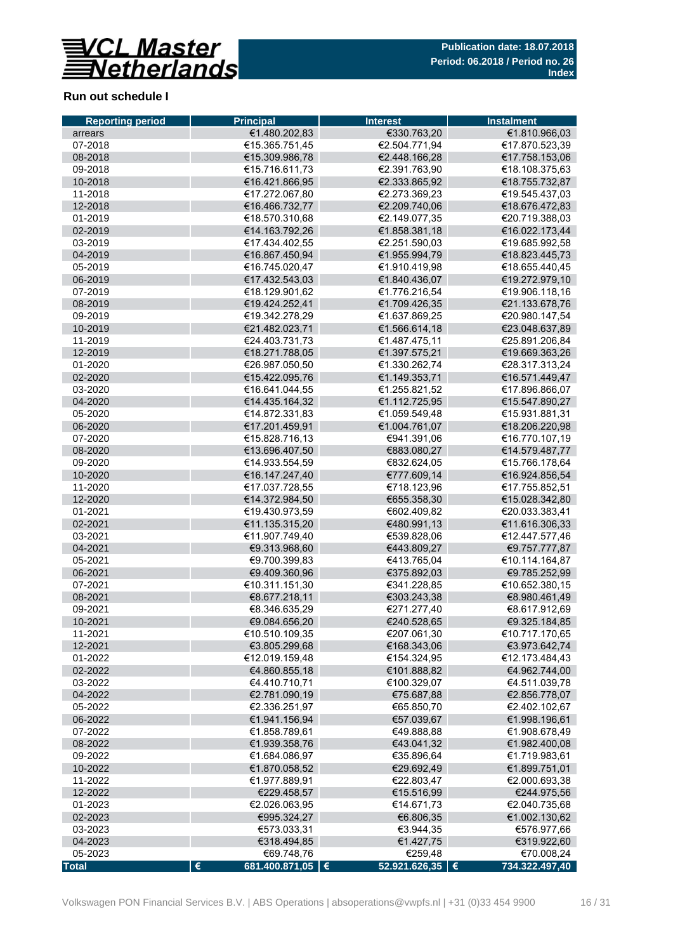

## **Run out schedule I**

| <b>Reporting period</b> | <b>Principal</b>        | <b>Interest</b>   | <b>Instalment</b> |
|-------------------------|-------------------------|-------------------|-------------------|
| arrears                 | €1.480.202,83           | €330.763,20       | €1.810.966,03     |
| 07-2018                 | €15.365.751,45          | €2.504.771,94     | €17.870.523,39    |
| 08-2018                 | €15.309.986,78          | €2.448.166,28     | €17.758.153,06    |
| 09-2018                 | €15.716.611,73          | €2.391.763,90     | €18.108.375,63    |
| 10-2018                 | €16.421.866,95          | €2.333.865,92     | €18.755.732,87    |
| 11-2018                 | €17.272.067,80          | €2.273.369,23     | €19.545.437,03    |
| 12-2018                 | €16.466.732,77          | €2.209.740,06     | €18.676.472,83    |
| 01-2019                 | €18.570.310,68          | €2.149.077,35     | €20.719.388,03    |
| 02-2019                 | €14.163.792,26          | €1.858.381,18     | €16.022.173,44    |
| 03-2019                 | €17.434.402,55          | €2.251.590,03     | €19.685.992,58    |
| 04-2019                 | €16.867.450,94          | €1.955.994,79     | €18.823.445,73    |
| 05-2019                 | €16.745.020,47          | €1.910.419,98     | €18.655.440,45    |
| 06-2019                 | €17.432.543,03          | €1.840.436,07     | €19.272.979,10    |
| 07-2019                 | €18.129.901,62          | €1.776.216,54     | €19.906.118,16    |
| 08-2019                 | €19.424.252,41          | €1.709.426,35     | €21.133.678,76    |
| 09-2019                 | €19.342.278,29          | €1.637.869,25     | €20.980.147,54    |
| 10-2019                 | €21.482.023,71          | €1.566.614,18     | €23.048.637,89    |
| 11-2019                 | €24.403.731,73          | €1.487.475,11     | €25.891.206,84    |
| 12-2019                 | €18.271.788,05          | €1.397.575,21     | €19.669.363,26    |
| 01-2020                 | €26.987.050.50          | €1.330.262,74     | €28.317.313,24    |
| 02-2020                 | €15.422.095,76          | €1.149.353,71     | €16.571.449,47    |
| 03-2020                 | €16.641.044,55          | €1.255.821,52     | €17.896.866,07    |
| 04-2020                 | €14.435.164,32          | €1.112.725,95     | €15.547.890,27    |
| 05-2020                 | €14.872.331,83          | €1.059.549.48     | €15.931.881,31    |
| 06-2020                 | €17.201.459,91          | €1.004.761,07     | €18.206.220,98    |
| 07-2020                 | €15.828.716,13          | €941.391,06       | €16.770.107,19    |
| 08-2020                 | €13.696.407,50          | €883.080,27       | €14.579.487,77    |
| 09-2020                 | €14.933.554,59          | €832.624,05       | €15.766.178,64    |
| 10-2020                 | €16.147.247,40          | €777.609,14       | €16.924.856,54    |
| 11-2020                 | €17.037.728,55          | €718.123,96       | €17.755.852,51    |
| 12-2020                 | €14.372.984,50          | €655.358,30       | €15.028.342,80    |
| 01-2021                 | €19.430.973,59          | €602.409,82       | €20.033.383,41    |
| 02-2021                 | €11.135.315,20          | €480.991,13       | €11.616.306,33    |
| 03-2021                 | €11.907.749,40          | €539.828,06       | €12.447.577,46    |
| 04-2021                 | €9.313.968,60           | €443.809,27       | €9.757.777,87     |
| 05-2021                 | €9.700.399,83           | €413.765,04       | €10.114.164,87    |
| 06-2021                 | €9.409.360,96           | €375.892,03       | €9.785.252,99     |
| 07-2021                 | €10.311.151,30          | €341.228,85       | €10.652.380,15    |
| 08-2021                 | €8.677.218,11           | €303.243,38       | €8.980.461,49     |
| 09-2021                 | €8.346.635.29           | €271.277,40       | €8.617.912.69     |
| 10-2021                 | €9.084.656,20           | €240.528,65       | €9.325.184,85     |
| 11-2021                 | €10.510.109,35          | €207.061,30       | €10.717.170,65    |
| 12-2021                 | €3.805.299,68           | €168.343,06       | €3.973.642,74     |
| 01-2022                 | €12.019.159,48          | €154.324,95       | €12.173.484,43    |
| 02-2022                 | €4.860.855,18           | €101.888,82       | €4.962.744,00     |
| 03-2022                 | €4.410.710.71           | €100.329,07       | €4.511.039,78     |
| 04-2022                 | €2.781.090,19           | €75.687,88        | €2.856.778,07     |
| 05-2022                 | €2.336.251,97           | €65.850,70        | €2.402.102,67     |
| 06-2022                 | €1.941.156,94           | €57.039,67        | €1.998.196,61     |
| 07-2022                 | €1.858.789,61           | €49.888,88        | €1.908.678,49     |
| 08-2022                 | €1.939.358,76           | €43.041,32        | €1.982.400,08     |
| 09-2022                 | €1.684.086,97           | €35.896,64        | €1.719.983,61     |
| 10-2022                 | €1.870.058,52           | €29.692,49        | €1.899.751,01     |
| 11-2022                 | €1.977.889,91           | €22.803,47        | €2.000.693,38     |
| 12-2022                 | €229.458,57             | €15.516,99        | €244.975,56       |
| 01-2023                 | €2.026.063,95           | €14.671,73        | €2.040.735,68     |
| 02-2023                 | €995.324,27             | €6.806,35         | €1.002.130,62     |
| 03-2023                 | €573.033,31             | €3.944,35         | €576.977,66       |
| 04-2023                 | €318.494,85             | €1.427,75         | €319.922,60       |
| 05-2023                 | €69.748,76              | €259,48           | €70.008,24        |
| <b>Total</b>            | €<br>681.400.871,05   € | 52.921.626,35   € | 734.322.497,40    |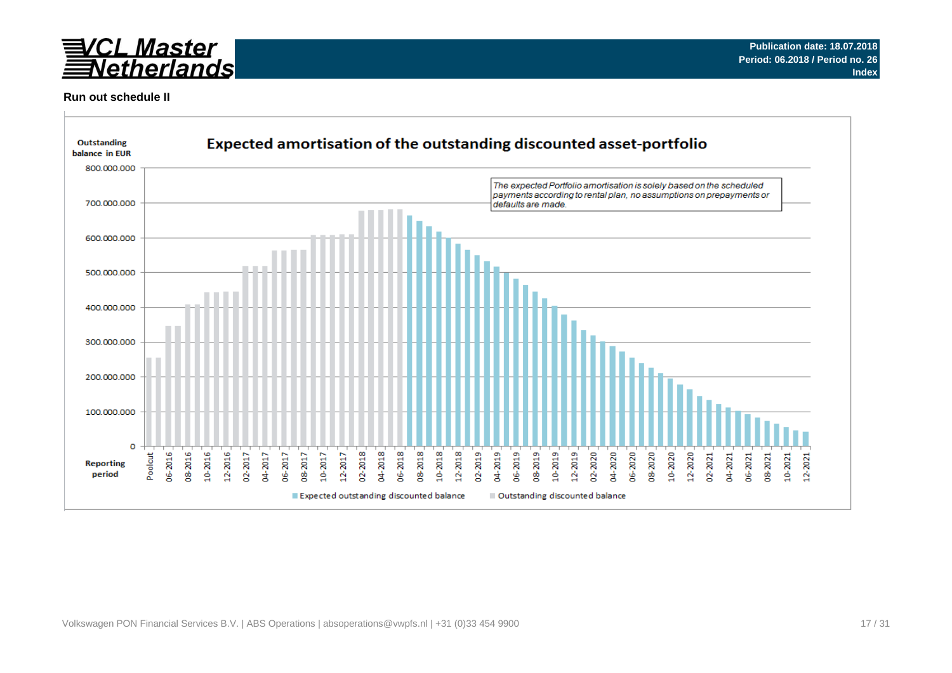

### **Run out schedule II**

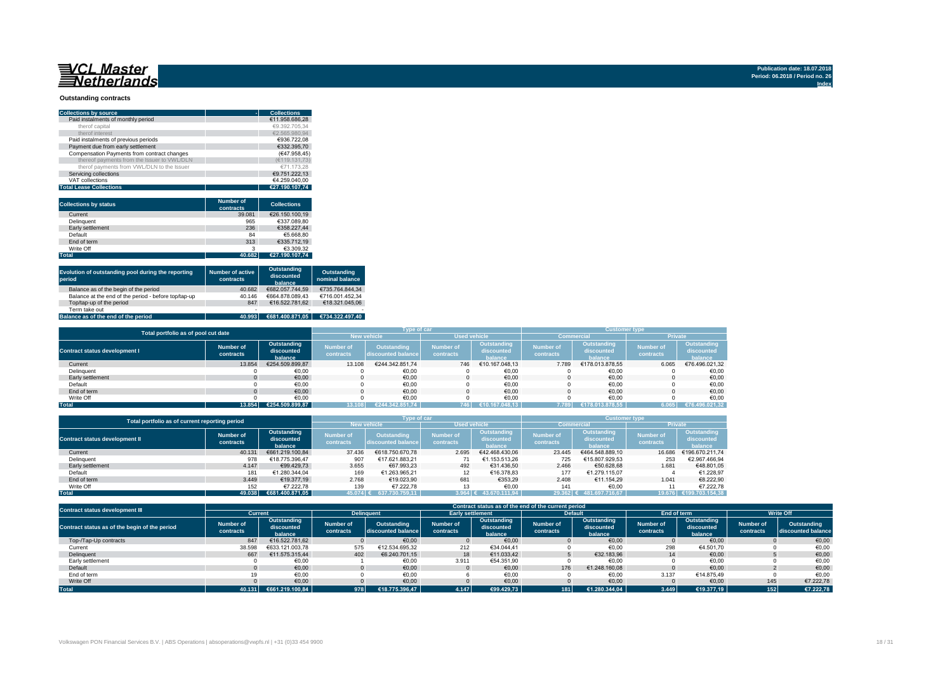## 

#### **Outstanding contracts**

| <b>Collections by source</b>                | <b>Collections</b> |
|---------------------------------------------|--------------------|
| Paid instalments of monthly period          | €11.958.686.28     |
| therof capital                              | €9.392.705.34      |
| therof interest                             | €2.565.980.94      |
| Paid instalments of previous periods        | €936.722.08        |
| Payment due from early settlement           | €332.395.70        |
| Compensation Payments from contract changes | (€47.958.45)       |
| thereof payments from the Issuer to VWL/DLN | (€119.131.73)      |
| therof payments from VWL/DLN to the Issuer  | €71.173.28         |
| Servicing collections                       | €9.751.222.13      |
| VAT collections                             | €4.259.040.00      |
| <b>Total Lease Collections</b>              | €27.190.107.74     |

| <b>Collections by status</b> | <b>Number of</b><br>contracts | <b>Collections</b> |
|------------------------------|-------------------------------|--------------------|
| Current                      | 39,081                        | €26.150.100.19     |
| Delinquent                   | 965                           | €337.089.80        |
| Early settlement             | 236                           | €358.227.44        |
| Default                      | 84                            | €5.668.80          |
| End of term                  | 313                           | €335.712.19        |
| Write Off                    | 3                             | €3.309.32          |
| <b>Total</b>                 | 40.682                        | €27.190.107.74     |

| Evolution of outstanding pool during the reporting<br>period | <b>Number of active</b><br>contracts | Outstanding<br>discounted<br>balance | Outstanding<br>nominal balance |
|--------------------------------------------------------------|--------------------------------------|--------------------------------------|--------------------------------|
| Balance as of the begin of the period                        | 40.682                               | €682.057.744.59                      | €735.764.844.34                |
| Balance at the end of the period - before top/tap-up         | 40.146                               | €664.878.089.43                      | €716.001.452.34                |
| Top/tap-up of the period                                     | 847                                  | €16.522.781.62                       | €18.321.045.06                 |
| Term take out                                                | $\overline{\phantom{a}}$             |                                      |                                |
| Balance as of the end of the period                          | 40.993                               | €681.400.871.05                      | €734.322.497.40                |

| Total portfolio as of pool cut date  |                        |                                      |                               | Type of car                       |                               |                                      | <b>Customer type</b>          |                                      |                               |                                      |  |
|--------------------------------------|------------------------|--------------------------------------|-------------------------------|-----------------------------------|-------------------------------|--------------------------------------|-------------------------------|--------------------------------------|-------------------------------|--------------------------------------|--|
|                                      |                        |                                      |                               |                                   | <b>Used vehicle</b>           |                                      |                               | <b>Commercial</b>                    | <b>Private</b>                |                                      |  |
| <b>Contract status development I</b> | Number of<br>contracts | Outstanding<br>discounted<br>balance | <b>Number of</b><br>contracts | Outstanding<br>discounted balance | <b>Number of</b><br>contracts | Outstanding<br>discounted<br>halance | <b>Number of</b><br>contracts | Outstanding<br>discounted<br>halance | <b>Number of</b><br>contracts | Outstanding<br>discounted<br>balance |  |
| Current                              | 13.854                 | €254.509.899.87                      | 13,108                        | €244.342.851.74                   | 746                           | €10.167.048.13                       | 7.789                         | €178.013.878.55                      | 6.065                         | €76.496.021,32                       |  |
| Delinquent                           |                        | €0,00                                |                               | €0,00                             |                               | €0,00                                |                               | €0,00                                |                               | €0,00                                |  |
| Early settlement                     |                        | €0,00                                |                               | €0,00                             |                               | €0,00                                |                               | €0,00                                |                               | €0,00                                |  |
| Default                              |                        | €0,00                                |                               | €0,00                             |                               | €0,00                                |                               | €0,00                                |                               | €0,00                                |  |
| End of term                          |                        | €0,00                                |                               | €0.00                             |                               | €0.00                                |                               | €0.00                                |                               | €0,00                                |  |
| Write Off                            |                        | €0.00                                |                               | €0.00                             |                               | €0.00                                |                               | €0.00                                |                               | €0,00                                |  |
| <b>Total</b>                         | 13.854                 | €254.509.899.87                      | 13.108                        | €244.342.851.74                   | 746                           | €10.167.048.13                       | 7.789                         | €178.013.878.55                      | 6.065                         | €76.496.021,32                       |  |

| Total portfolio as of current reporting period |                        |                                      | Type of car                   |                                          |                               | <b>Customer type</b>                 |                        |                                      |                               |                                      |  |
|------------------------------------------------|------------------------|--------------------------------------|-------------------------------|------------------------------------------|-------------------------------|--------------------------------------|------------------------|--------------------------------------|-------------------------------|--------------------------------------|--|
|                                                |                        |                                      |                               |                                          | <b>Used vehicle</b>           |                                      |                        | <b>Commercial</b>                    | <b>Private</b>                |                                      |  |
| <b>Contract status development II</b>          | Number of<br>contracts | Outstanding<br>discounted<br>balance | <b>Number of</b><br>contracts | <b>Outstanding</b><br>discounted balance | <b>Number of</b><br>contracts | Outstanding<br>discounted<br>balance | Number of<br>contracts | Outstanding<br>discounted<br>balance | <b>Number of</b><br>contracts | Outstanding<br>discounted<br>balance |  |
| Current                                        | 40.131                 | €661.219.100.84                      | 37.436                        | €618.750.670.78                          | 2.695                         | €42.468.430.06                       | 23.445                 | €464.548.889.10                      | 16.686                        | €196.670.211.74                      |  |
| Delinquent                                     | 978                    | €18.775.396.47                       | 907                           | €17.621.883.21                           |                               | €1.153.513.26                        | 725                    | €15.807.929.53                       | 253                           | €2.967.466.94                        |  |
| Early settlement                               | 4.147                  | €99.429.73                           | 3.655                         | €67.993.23                               | 492                           | €31.436.50                           | 2.466                  | €50.628.68                           | 1.681                         | €48.801.05                           |  |
| Default                                        | 181                    | €1.280.344.04                        | 169                           | €1.263.965.21                            |                               | €16.378.83                           | 177                    | €1.279.115.07                        |                               | €1.228.97                            |  |
| End of term                                    | 3.449                  | €19.377.19                           | 2.768                         | €19.023.90                               | 681                           | €353.29                              | 2.408                  | €11.154.29                           | 1.041                         | €8.222.90                            |  |
| Write Off                                      | 152                    | €7.222.78                            | 139                           | €7.222.78                                |                               | €0.00                                | 141                    | €0.00                                |                               | €7.222.78                            |  |
| <b>Total</b>                                   | 49.038                 | €681.400.871.05                      | 45.074                        | 637.730.759.11                           |                               | $3.964$ € 43.670.111.94              | 29.362 €               | 481.697.716.67                       | 19.676                        | €199.703.154.38                      |  |

| <b>Contract status development III</b>        |                               |                                      |                        |                                   |                        |                                      | Contract status as of the end of the current period |                                      |                               |                                      |                        |                                   |  |
|-----------------------------------------------|-------------------------------|--------------------------------------|------------------------|-----------------------------------|------------------------|--------------------------------------|-----------------------------------------------------|--------------------------------------|-------------------------------|--------------------------------------|------------------------|-----------------------------------|--|
|                                               | <b>Current</b>                |                                      |                        | <b>Delinguent</b>                 |                        | <b>Early settlement</b>              |                                                     | <b>Default</b>                       |                               | End of term                          |                        | <b>Write Off</b>                  |  |
| Contract status as of the begin of the period | <b>Number of</b><br>contracts | Outstanding<br>discounted<br>balance | Number of<br>contracts | Outstanding<br>discounted balance | Number of<br>contracts | Outstanding<br>discounted<br>balance | Number of<br>contracts                              | Outstanding<br>discounted<br>balance | <b>Number of</b><br>contracts | Outstanding<br>discounted<br>balance | Number of<br>contracts | Outstanding<br>discounted balance |  |
| Top-/Tap-Up contracts                         | 847                           | €16.522.781.62                       |                        | €0.00                             |                        | €0.00                                |                                                     | €0.00                                |                               | €0.00                                |                        | €0,00                             |  |
| Current                                       | 38.598                        | €633.121.003.78                      | 575                    | €12.534.695.32                    | 212                    | €34.044.41                           |                                                     | €0,00                                | 298                           | €4.501,70                            |                        | €0,00                             |  |
| Delinquent                                    | 667                           | €11.575.315.44                       | 402                    | €6.240.701.15                     | 18                     | €11.033.42                           |                                                     | €32.183.96                           | 14                            | €0.00                                |                        | €0,00                             |  |
| Early settlement                              |                               | €0,00                                |                        | €0,00                             | 3.911                  | €54.351.90                           |                                                     | €0,00                                |                               | €0,00                                |                        | €0,00                             |  |
| Default                                       |                               | €0.00                                |                        | €0,00                             |                        | €0.00                                | 176                                                 | €1.248.160.08                        |                               | €0.00                                |                        | €0,00                             |  |
| End of term                                   |                               | €0.00                                |                        | €0,00                             |                        | €0,00                                |                                                     | €0,00                                | 3.137                         | €14.875.49                           |                        | €0.00                             |  |
| Write Off                                     |                               | €0.00                                |                        | €0,00                             |                        | €0,00                                |                                                     | €0,00                                |                               | €0.00                                | 145                    | €7.222.78                         |  |
| <b>Total</b>                                  | 40.131                        | €661.219.100.84                      | 978                    | €18.775.396.47                    | 4.147                  | €99.429.73                           | 181                                                 | €1.280.344.04                        | 3.449                         | €19.377.19                           | 152                    | €7.222.78                         |  |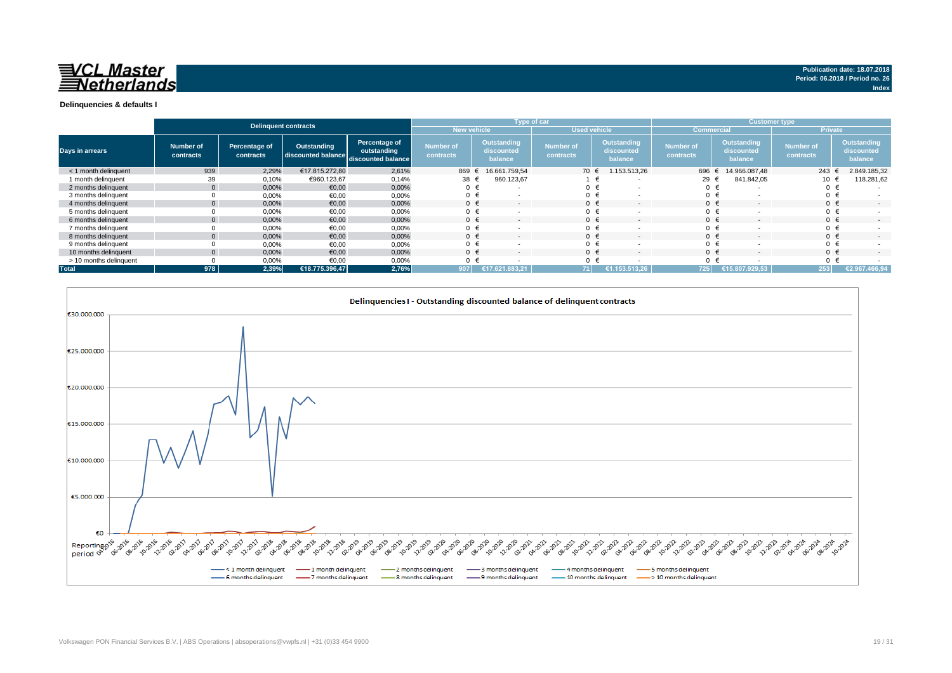

#### **Delinquencies & defaults I**

|                        |                        | Delinquent contracts       |                                                      | Type of car                  |                               |                                             |  |                               |   | <b>Customer type</b>                 |                               |  |                                      |                               |                |                                             |
|------------------------|------------------------|----------------------------|------------------------------------------------------|------------------------------|-------------------------------|---------------------------------------------|--|-------------------------------|---|--------------------------------------|-------------------------------|--|--------------------------------------|-------------------------------|----------------|---------------------------------------------|
|                        |                        |                            |                                                      |                              | New vehicle                   |                                             |  | <b>Used vehicle</b>           |   |                                      | <b>Commercial</b>             |  |                                      | <b>Private</b>                |                |                                             |
| <b>Days in arrears</b> | Number of<br>contracts | Percentage of<br>contracts | Outstanding<br>discounted balance discounted balance | Percentage of<br>outstanding | <b>Number of</b><br>contracts | <b>Outstanding</b><br>discounted<br>balance |  | <b>Number of</b><br>contracts |   | Outstanding<br>discounted<br>balance | <b>Number of</b><br>contracts |  | Outstanding<br>discounted<br>balance | <b>Number of</b><br>contracts |                | <b>Outstanding</b><br>discounted<br>balance |
| < 1 month delinquent   | 939                    | 2,29%                      | €17.815.272.80                                       | 2,61%                        | 869                           | 16.661.759.54                               |  | 70 €                          |   | 1.153.513,26                         | 696 €                         |  | 14.966.087.48                        |                               | 243 $\epsilon$ | 2.849.185,32                                |
| 1 month delinguent     | 39                     | 0,10%                      | €960.123.67                                          | 0,14%                        | 38                            | 960.123,67                                  |  |                               |   | $\overline{\phantom{a}}$             | 29 $\epsilon$                 |  | 841.842,05                           |                               |                | 118.281,62                                  |
| 2 months delinquent    |                        | 0,00%                      | €0,00                                                | 0,00%                        | $0 \in$                       | $\overline{\phantom{a}}$                    |  |                               | € | $\overline{\phantom{a}}$             | 0 <sub>1</sub>                |  |                                      |                               | $0 \in$        |                                             |
| 3 months delinquent    |                        | 0,00%                      | €0,00                                                | 0,00%                        |                               |                                             |  |                               | € |                                      | 0 <sub>0</sub>                |  |                                      |                               | $0 \in$        |                                             |
| 4 months delinquent    |                        | 0,00%                      | €0,00                                                | 0,00%                        | $0 \in$                       | $\overline{\phantom{a}}$                    |  | $0 \in$                       |   | $\overline{\phantom{a}}$             | $0 \in$                       |  |                                      |                               | $0 \in$        | $\overline{\phantom{0}}$                    |
| 5 months delinquent    |                        | 0,00%                      | €0,00                                                | 0,00%                        |                               | <b>.</b>                                    |  | $0 \in$                       |   | $\overline{\phantom{a}}$             | 0 <sub>0</sub>                |  |                                      |                               | $0 \in$        |                                             |
| 6 months delinquent    |                        | 0,00%                      | €0,00                                                | 0,00%                        |                               |                                             |  | $0 \in$                       |   | $\overline{\phantom{a}}$             | $0 \in$                       |  |                                      |                               | $0 \in$        | $\sim$                                      |
| 7 months delinquent    |                        | 0,00%                      | €0,00                                                | 0,00%                        |                               |                                             |  | $0 \in$                       |   | $\overline{\phantom{a}}$             | $0 \in$                       |  |                                      |                               | $0 \in$        |                                             |
| 8 months delinquent    |                        | 0,00%                      | €0,00                                                | 0,00%                        |                               | $\overline{\phantom{a}}$                    |  | $0 \in$                       |   | $\overline{\phantom{a}}$             | $0 \in$                       |  |                                      |                               | $0 \in$        |                                             |
| 9 months delinquent    |                        | 0,00%                      | €0.00                                                | 0,00%                        | $0 \in$                       |                                             |  |                               | € | $\overline{\phantom{a}}$             | $0 \in$                       |  |                                      |                               | $0 \in$        |                                             |
| 10 months delinquent   |                        | 0.00%                      | €0.00                                                | 0.00%                        | $0 \in$                       | $\overline{\phantom{a}}$                    |  | $0 \in$                       |   | $\sim$                               | $0 \in$                       |  | $\overline{a}$                       |                               | $0 \in$        | $\sim$                                      |
| > 10 months delinquent |                        | 0,00%                      | €0.00                                                | 0,00%                        |                               |                                             |  |                               |   |                                      | $\Omega$                      |  |                                      |                               | $0 \in$        |                                             |
| <b>Total</b>           | 978                    | 2.39%                      | €18.775.396.47                                       | 2,76%                        | 907                           | 17.621.883.21                               |  | 71                            |   | €1.153.513.26                        | 725                           |  | €15.807.929.53                       |                               | 253            | €2.967.466.94                               |



**Index**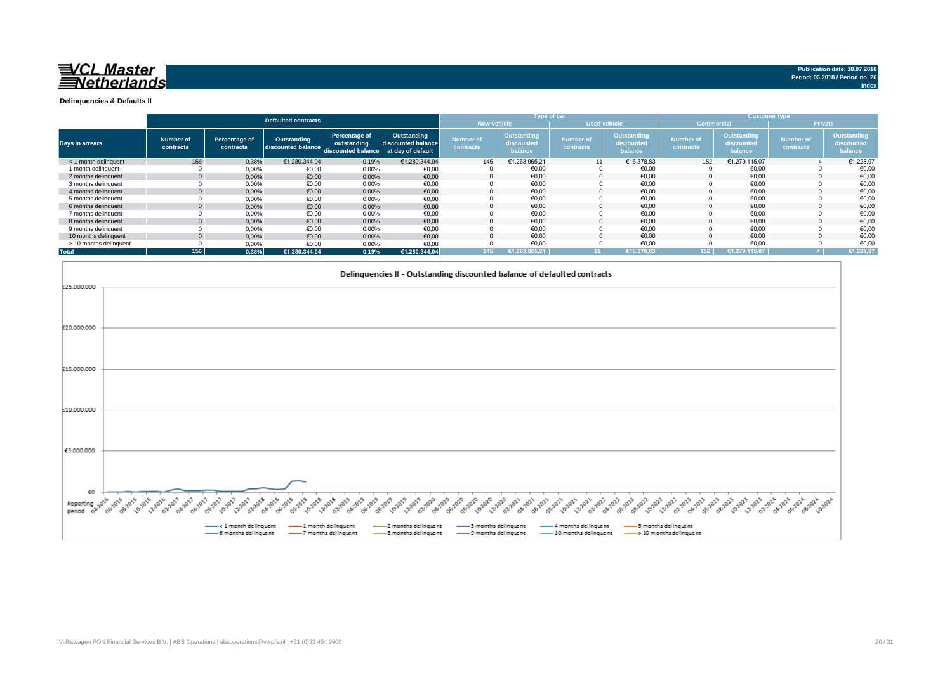

**Index**

**Delinquencies & Defaults II**

|                        |                        |                            |                                   |                                                                      |                                   |                                           |                                      | Type of car                   |                                      |                               |                                      | <b>Customer type</b>          |                                      |
|------------------------|------------------------|----------------------------|-----------------------------------|----------------------------------------------------------------------|-----------------------------------|-------------------------------------------|--------------------------------------|-------------------------------|--------------------------------------|-------------------------------|--------------------------------------|-------------------------------|--------------------------------------|
|                        |                        |                            | <b>Defaulted contracts</b>        |                                                                      |                                   | <b>New vehicle</b><br><b>Used vehicle</b> |                                      |                               |                                      | <b>Commercial</b>             |                                      | <b>Private</b>                |                                      |
| Days in arrears        | Number of<br>contracts | Percentage of<br>contracts | Outstanding<br>discounted balance | Percentage of<br>outstanding<br>discounted balance at day of default | Outstanding<br>discounted balance | <b>Number of</b><br>contracts             | Outstanding<br>discounted<br>balance | <b>Number of</b><br>contracts | Outstanding<br>discounted<br>balance | <b>Number of</b><br>contracts | Outstanding<br>discounted<br>balance | <b>Number of</b><br>contracts | Outstanding<br>discounted<br>balance |
| < 1 month delinquent   | 156                    | 0,38%                      | €1.280.344.04                     | 0,19%                                                                | €1.280.344.04                     | 145                                       | €1.263.965,21                        | 11                            | €16.378,83                           | 152                           | €1.279.115,07                        |                               | €1.228,97                            |
| 1 month delinquent     |                        | 0.00%                      | €0,00                             | 0,00%                                                                | €0,00                             |                                           | €0,00                                |                               | €0,00                                |                               | €0,00                                |                               | €0,00                                |
| 2 months delinguent    | $\Omega$               | 0,00%                      | €0,00                             | 0,00%                                                                | €0,00                             |                                           | €0.00                                | $\Omega$                      | €0,00                                |                               | €0,00                                |                               | €0,00                                |
| 3 months delinquent    |                        | 0,00%                      | €0,00                             | 0,00%                                                                | €0,00                             |                                           | €0,00                                |                               | €0,00                                |                               | €0,00                                |                               | €0,00                                |
| 4 months delinquent    | $\mathbf{0}$           | 0,00%                      | €0,00                             | 0,00%                                                                | €0,00                             |                                           | €0,00                                |                               | €0,00                                |                               | €0,00                                |                               | €0,00                                |
| 5 months delinguent    |                        | 0,00%                      | €0,00                             | 0,00%                                                                | €0,00                             |                                           | €0,00                                |                               | €0,00                                |                               | €0,00                                |                               | €0,00                                |
| 6 months delinguent    | $\Omega$               | 0,00%                      | €0,00                             | 0,00%                                                                | €0,00                             |                                           | €0.00                                |                               | €0,00                                |                               | €0,00                                |                               | €0,00                                |
| 7 months delinquent    |                        | 0,00%                      | €0,00                             | 0,00%                                                                | €0,00                             |                                           | €0,00                                |                               | €0,00                                |                               | €0,00                                |                               | €0,00                                |
| 8 months delinquent    | $\mathbf{0}$           | 0,00%                      | €0,00                             | 0,00%                                                                | €0,00                             |                                           | €0.00                                |                               | €0.00                                |                               | €0.00                                |                               | €0.00                                |
| 9 months delinquent    |                        | 0,00%                      | €0,00                             | 0,00%                                                                | €0,00                             |                                           | €0,00                                |                               | €0,00                                |                               | €0,00                                |                               | €0,00                                |
| 10 months delinquent   | $\Omega$               | 0.00%                      | €0.00                             | 0.00%                                                                | €0,00                             |                                           | €0.00                                |                               | €0.00                                |                               | €0.00                                |                               | €0,00                                |
| > 10 months delinquent |                        | 0,00%                      | €0,00                             | 0,00%                                                                | €0,00                             |                                           | €0,00                                |                               | €0,00                                |                               | €0,00                                |                               | €0,00                                |
| <b>Total</b>           | 156                    | 0.38%                      | €1.280.344.04                     | 0,19%                                                                | €1.280.344,04                     | 145                                       | €1.263.965.21                        | 11 I                          | €16.378.83                           | 152 <sub>1</sub>              | €1.279.115.07                        |                               | €1.228,97                            |

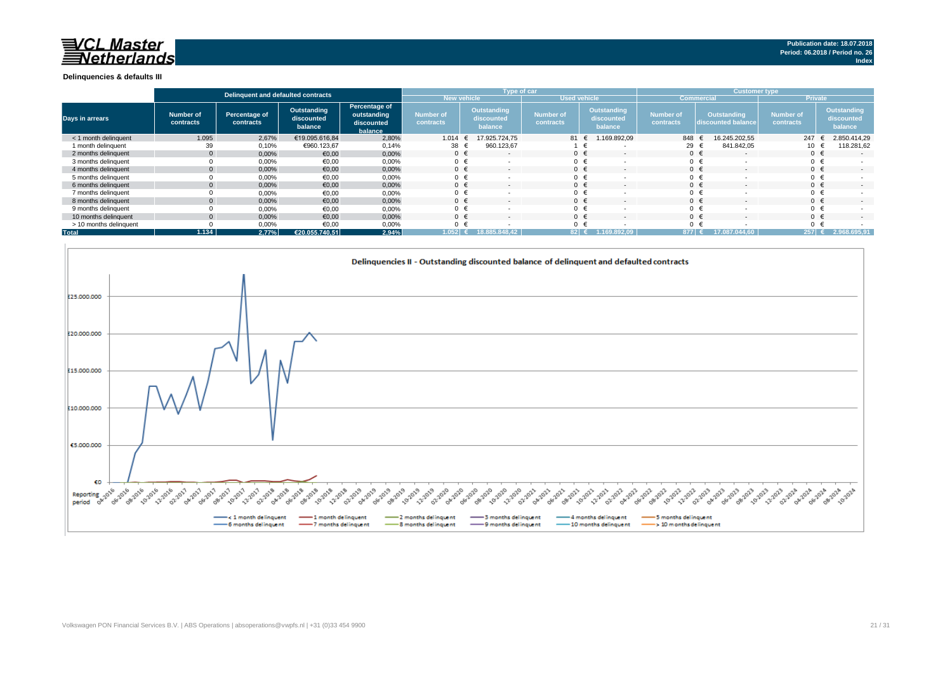## **NOL Master**<br>*Netherlands*

#### **Delinquencies & defaults III**

|                        | Delinguent and defaulted contracts |                            |                                      |                                                       |                               | Type of car                          |                               |                                             | <b>Customer type</b>          |                                          |                               |                                      |  |
|------------------------|------------------------------------|----------------------------|--------------------------------------|-------------------------------------------------------|-------------------------------|--------------------------------------|-------------------------------|---------------------------------------------|-------------------------------|------------------------------------------|-------------------------------|--------------------------------------|--|
|                        |                                    |                            |                                      |                                                       | New vehicle                   |                                      | <b>Used vehicle</b>           |                                             |                               | Commercia                                | <b>Private</b>                |                                      |  |
| <b>Days in arrears</b> | <b>Number of</b><br>contracts      | Percentage of<br>contracts | Outstanding<br>discounted<br>balance | Percentage of<br>outstanding<br>discounted<br>balance | <b>Number of</b><br>contracts | Outstanding<br>discounted<br>balance | <b>Number of</b><br>contracts | <b>Outstanding</b><br>discounted<br>balance | <b>Number of</b><br>contracts | <b>Outstanding</b><br>discounted balance | <b>Number of</b><br>contracts | Outstanding<br>discounted<br>balance |  |
| < 1 month delinguent   | 1.095                              | 2,67%                      | €19.095.616.84                       | 2,80%                                                 | 1.014                         | 17.925.724.75                        | 81 €                          | 1.169.892,09                                | 848                           | 16.245.202.55                            | 247                           | 2.850.414,29                         |  |
| 1 month delinguent     | 39                                 | 0,10%                      | €960.123,67                          | 0,14%                                                 | 38                            | 960.123,67                           |                               |                                             | 29 €                          | 841.842.05                               | 10                            | 118.281,62                           |  |
| 2 months delinguent    |                                    | 0.00%                      | €0,00                                | 0,00%                                                 | $0 \in$                       | $\overline{\phantom{a}}$             | $0 \in$                       |                                             |                               | 0 €<br>$\overline{\phantom{a}}$          |                               | $\sim$                               |  |
| 3 months delinguent    |                                    | 0,00%                      | €0,00                                | 0,00%                                                 | $0 \in$                       |                                      | $0 \in$                       |                                             |                               |                                          |                               |                                      |  |
| 4 months delinquent    |                                    | 0.00%                      | €0.00                                | 0,00%                                                 | $0 \in$                       | $\overline{\phantom{a}}$             | $0 \in$                       |                                             |                               | $0 \in$<br>$\sim$                        |                               | $\sim$                               |  |
| 5 months delinguent    |                                    | 0,00%                      | €0,00                                | 0,00%                                                 | $0 \in$                       |                                      | 0 <sub>0</sub>                |                                             |                               | $0 \in$                                  |                               |                                      |  |
| 6 months delinguent    |                                    | 0,00%                      | €0,00                                | 0,00%                                                 | $0 \in$                       |                                      | $0 \in$                       |                                             |                               | $0 \in$                                  |                               | $\sim$                               |  |
| 7 months delinquent    |                                    | 0,00%                      | €0,00                                | 0,00%                                                 | $0 \in$                       |                                      | $0 \in$                       |                                             |                               | $0 \in$                                  |                               |                                      |  |
| 8 months delinguent    |                                    | 0,00%                      | €0,00                                | 0,00%                                                 | $0 \in$                       |                                      | $0 \in$                       |                                             |                               |                                          |                               | $\sim$                               |  |
| 9 months delinquent    |                                    | 0,00%                      | €0,00                                | 0,00%                                                 | $0 \in$                       |                                      | $0 \in$                       |                                             |                               | $0 \in$                                  |                               |                                      |  |
| 10 months delinguent   |                                    | 0,00%                      | €0,00                                | 0,00%                                                 | $0 \in$                       |                                      | $0 \in$                       |                                             |                               |                                          |                               | $\sim$                               |  |
| > 10 months delinquent |                                    | 0,00%                      | €0,00                                | 0,00%                                                 | $0 \in$                       |                                      | 0 <sub>0</sub>                |                                             |                               |                                          |                               |                                      |  |
| <b>Total</b>           | 1.134                              | 2.77%                      | €20.055.740.51                       | 2,94%                                                 | 1.052                         | 18.885.848.42                        | $82$ $\epsilon$               | 1.169.892.09                                | 877 €                         | 17.087.0<br>44.60                        | $257$ $\approx$               | 2.968.695,91                         |  |

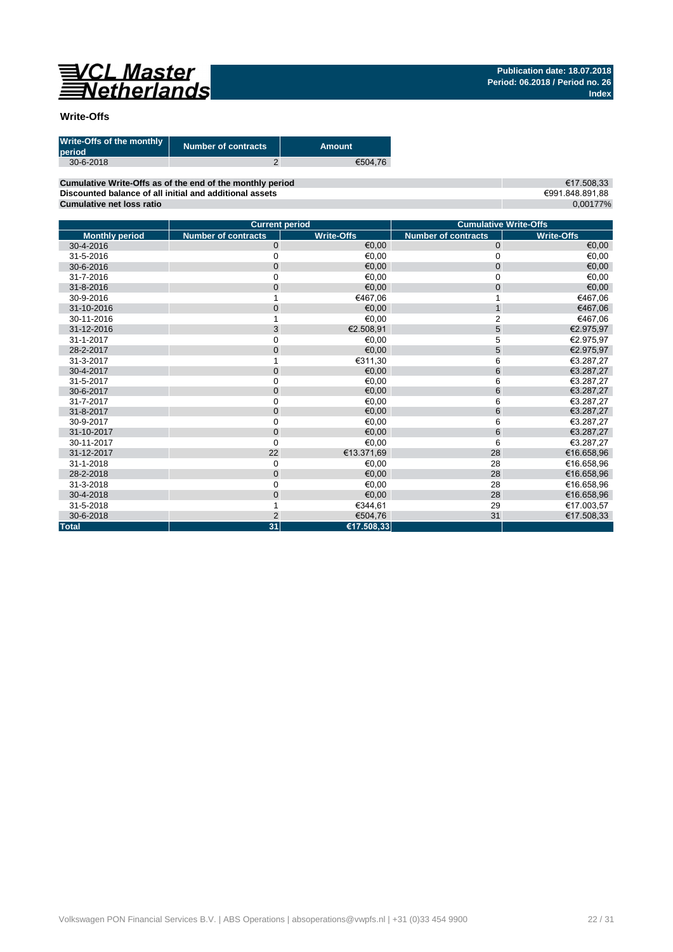

### **Write-Offs**

| Write-Offs of the monthly<br>period | <b>Number of contracts</b> | Amount  |
|-------------------------------------|----------------------------|---------|
| $30 - 6 - 2018$                     |                            | €504.76 |

**Cumulative Write-Offs as of the end of the monthly period Discounted balance of all initial and additional assets Cumulative net loss ratio**

€17.508,33 €991.848.891,88 0,00177%

|                       | <b>Current period</b>      |                   |                            | <b>Cumulative Write-Offs</b> |
|-----------------------|----------------------------|-------------------|----------------------------|------------------------------|
| <b>Monthly period</b> | <b>Number of contracts</b> | <b>Write-Offs</b> | <b>Number of contracts</b> | <b>Write-Offs</b>            |
| 30-4-2016             | $\mathbf 0$                | €0.00             | $\mathbf{0}$               | €0,00                        |
| 31-5-2016             | $\mathbf 0$                | €0,00             | 0                          | €0,00                        |
| 30-6-2016             | $\mathbf 0$                | €0.00             | $\mathbf 0$                | €0,00                        |
| 31-7-2016             | 0                          | €0,00             | 0                          | €0,00                        |
| 31-8-2016             | $\mathbf 0$                | €0.00             | $\mathbf 0$                | €0,00                        |
| 30-9-2016             |                            | €467,06           |                            | €467,06                      |
| 31-10-2016            | $\mathbf 0$                | €0.00             | $\mathbf{1}$               | €467,06                      |
| 30-11-2016            |                            | €0,00             | $\overline{2}$             | €467,06                      |
| 31-12-2016            | 3                          | €2.508,91         | 5                          | €2.975,97                    |
| 31-1-2017             | $\mathbf 0$                | €0.00             | 5                          | €2.975,97                    |
| 28-2-2017             | $\overline{0}$             | €0,00             | 5                          | €2.975,97                    |
| 31-3-2017             |                            | €311,30           | 6                          | €3.287,27                    |
| 30-4-2017             | $\mathbf{0}$               | €0,00             | 6                          | €3.287,27                    |
| 31-5-2017             | $\Omega$                   | €0.00             | 6                          | €3.287,27                    |
| 30-6-2017             | $\mathbf 0$                | €0,00             | 6                          | €3.287,27                    |
| 31-7-2017             | $\mathbf 0$                | €0.00             | 6                          | €3.287.27                    |
| 31-8-2017             | $\mathbf 0$                | €0,00             | 6                          | €3.287,27                    |
| 30-9-2017             | $\mathbf 0$                | €0,00             | 6                          | €3.287,27                    |
| 31-10-2017            | $\mathbf 0$                | €0,00             | 6                          | €3.287,27                    |
| 30-11-2017            | $\mathbf 0$                | €0,00             | 6                          | €3.287,27                    |
| 31-12-2017            | 22                         | €13.371,69        | 28                         | €16.658,96                   |
| 31-1-2018             | $\mathbf 0$                | €0,00             | 28                         | €16.658,96                   |
| 28-2-2018             | $\mathbf 0$                | €0.00             | 28                         | €16.658,96                   |
| 31-3-2018             | $\mathbf 0$                | €0.00             | 28                         | €16.658,96                   |
| 30-4-2018             | $\mathbf 0$                | €0,00             | 28                         | €16.658,96                   |
| 31-5-2018             |                            | €344.61           | 29                         | €17.003,57                   |
| 30-6-2018             | $\overline{2}$             | €504.76           | 31                         | €17.508.33                   |
| <b>Total</b>          | 31                         | €17.508,33        |                            |                              |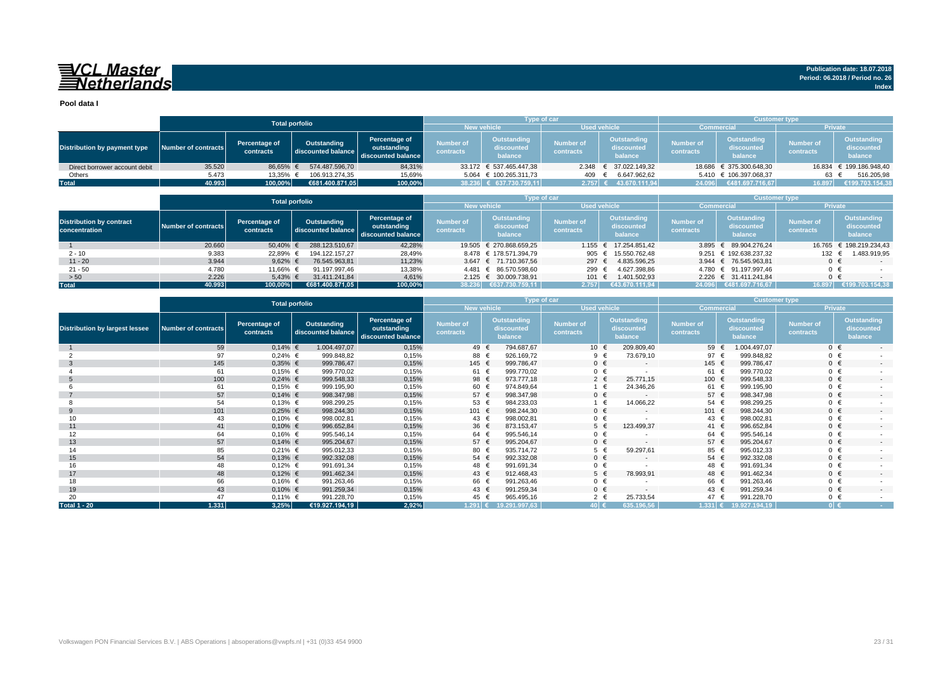## VCL Master<br>ENetherlands

**Pool data I**

|                               |                     | <b>Total porfolio</b>      |                                   |                                                    |                               | <b>Type of car</b>                   |                        |                                      | <b>Customer type</b>          |                                      |                               |                                             |
|-------------------------------|---------------------|----------------------------|-----------------------------------|----------------------------------------------------|-------------------------------|--------------------------------------|------------------------|--------------------------------------|-------------------------------|--------------------------------------|-------------------------------|---------------------------------------------|
|                               |                     |                            |                                   |                                                    | <b>New vehicle</b>            |                                      | <b>Used vehicle</b>    |                                      | <b>Commercial</b>             |                                      | <b>Private</b>                |                                             |
| Distribution by payment type  | Number of contracts | Percentage of<br>contracts | Outstanding<br>discounted balance | Percentage of<br>outstanding<br>discounted balance | <b>Number of</b><br>contracts | Outstanding<br>discounted<br>balance | Number of<br>contracts | Outstanding<br>discounted<br>balance | <b>Number of</b><br>contracts | Outstanding<br>discounted<br>balance | <b>Number of</b><br>contracts | <b>Outstanding</b><br>discounted<br>balance |
| Direct borrower account debit | 35.520              | 86.65% €                   | 574.487.596.70                    | 84,31%                                             |                               | 33.172 € 537.465.447.38              |                        | 2.348 € 37.022.149.32                |                               | 18.686 € 375.300.648.30              |                               | 16.834 € 199.186.948.40                     |
| Others                        | 5.473               | 13,35% €                   | 106.913.274.35                    | 15,69%                                             |                               | 5.064 € 100.265.311.73               | 409                    | 6.647.962,62                         |                               | 5.410 € 106.397.068,37               | 63                            | 516.205,98                                  |
| <b>Total</b>                  | 40.993              | 100,00%                    | €681.400.871.05                   | 100,00%                                            |                               | 38.236 € 637.730.759,11              | $2.757$ €              | 43.670.111,94                        |                               | 24.096 €481.697.716,67               | 16.897                        | €199.703.154,38                             |

|                                                  | <b>Total porfolio</b> |                            |                                   |                                                    |                               | <b>Type of car</b>                   |                        |                                      | <b>Customer type</b>          |                                      |                               |                                      |
|--------------------------------------------------|-----------------------|----------------------------|-----------------------------------|----------------------------------------------------|-------------------------------|--------------------------------------|------------------------|--------------------------------------|-------------------------------|--------------------------------------|-------------------------------|--------------------------------------|
|                                                  |                       |                            |                                   |                                                    | <b>New vehicle</b>            |                                      |                        | <b>Used vehicle</b>                  | <b>Commercial</b>             |                                      | <b>Private</b>                |                                      |
| <b>Distribution by contract</b><br>concentration | Number of contracts   | Percentage of<br>contracts | Outstanding<br>discounted balance | Percentage of<br>outstanding<br>discounted balance | <b>Number of</b><br>contracts | Outstanding<br>discounted<br>balance | Number of<br>contracts | Outstanding<br>discounted<br>balance | <b>Number of</b><br>contracts | Outstanding<br>discounted<br>balance | <b>Number of</b><br>contracts | Outstanding<br>discounted<br>balance |
|                                                  | 20.660                | 50,40%                     | 288.123.510.67                    | 42,28%                                             |                               | 19.505 € 270.868.659.25              | 1.155                  | € 17.254.851.42                      |                               | 3.895 € 89.904.276.24                | 16.765                        | € 198.219.234.43                     |
| $2 - 10$                                         | 9.383                 | 22,89%                     | 194.122.157.27                    | 28,49%                                             |                               | 8.478 € 178.571.394.79               | 905 €                  | 15.550.762.48                        |                               | 9.251 € 192.638.237.32               | 132                           | 1.483.919,95                         |
| $11 - 20$                                        | 3.944                 | 9.62% $\in$                | 76.545.963.81                     | 11,23%                                             |                               | 3.647 € 71.710.367.56                | 297 €                  | 4.835.596.25                         |                               | 3.944 € 76.545.963.81                | $0 \in$                       |                                      |
| $21 - 50$                                        | 4.780                 | 11.66% €                   | 91.197.997.46                     | 13,38%                                             |                               | 4.481 € 86.570.598.60                | 299 €                  | 4.627.398.86                         |                               | 4.780 € 91.197.997.46                | $0 \in$                       |                                      |
| > 50                                             | 2.226                 | $5,43%$ €                  | 31.411.241.84                     | 4,61%                                              |                               | 2.125 € 30.009.738,91                | 101 €                  | 1.401.502,93                         |                               | 2.226 € 31.411.241.84                | $0 \in$                       |                                      |
| <b>Total</b>                                     | 40.993                | 100.00%                    | €681.400.871.05                   | 100,00%                                            | 38.236                        | €637.730.759.11                      | 2.757                  | €43.670.111.94                       |                               | 24.096 €481.697.716.67               |                               | 16.897 €199.703.154,38               |

|                                       | <b>Total porfolio</b>      |                            |                                   |                                                    |                               |                                      | Type of car                   |                                      | <b>Customer type</b>          |                                      |                               |                                             |
|---------------------------------------|----------------------------|----------------------------|-----------------------------------|----------------------------------------------------|-------------------------------|--------------------------------------|-------------------------------|--------------------------------------|-------------------------------|--------------------------------------|-------------------------------|---------------------------------------------|
|                                       |                            |                            |                                   |                                                    | <b>New vehicle</b>            |                                      |                               | <b>Used vehicle</b>                  | <b>Commercial</b>             |                                      | Private                       |                                             |
| <b>Distribution by largest lessee</b> | <b>Number of contracts</b> | Percentage of<br>contracts | Outstanding<br>discounted balance | Percentage of<br>outstanding<br>discounted balance | <b>Number of</b><br>contracts | Outstanding<br>discounted<br>balance | <b>Number of</b><br>contracts | Outstanding<br>discounted<br>balance | <b>Number of</b><br>contracts | Outstanding<br>discounted<br>balance | <b>Number of</b><br>contracts | <b>Outstanding</b><br>discounted<br>balance |
|                                       | 59                         | $0,14%$ €                  | 1.004.497,07                      | 0,15%                                              | 49 €                          | 794.687,67                           |                               | 209.809,40<br>10 €                   | 59 €                          | 1.004.497,07                         | $0 \in$                       | $\sim$                                      |
|                                       | 97                         | $0,24%$ €                  | 999.848,82                        | 0,15%                                              | 88 €                          | 926.169,72                           |                               | 73.679,10<br>9 €                     | 97 $\epsilon$                 | 999.848,82                           | $0 \in$                       |                                             |
| -3                                    | 145                        | $0,35%$ €                  | 999.786,47                        | 0,15%                                              | 145 €                         | 999.786,47                           |                               | $0 \in$<br>$\overline{\phantom{a}}$  | 145 €                         | 999.786,47                           | $0 \in$                       | $\sim$                                      |
|                                       | 61                         | $0,15%$ €                  | 999.770,02                        | 0,15%                                              | 61 €                          | 999.770,02                           |                               | $0 \in$<br>$\overline{a}$            | 61 €                          | 999.770,02                           | $0 \in$                       |                                             |
|                                       | 100                        | $0,24%$ €                  | 999.548,33                        | 0,15%                                              | 98 €                          | 973.777,18                           |                               | $2 \in$<br>25.771,15                 | 100 €                         | 999.548,33                           | $0 \in$                       | $\sim$                                      |
|                                       | 61                         | $0,15%$ €                  | 999.195,90                        | 0,15%                                              | 60 €                          | 974.849,64                           |                               | 24.346,26<br>$1 \in$                 | 61 €                          | 999.195,90                           | $0 \in$                       |                                             |
|                                       | 57                         | $0,14%$ €                  | 998.347,98                        | 0,15%                                              | 57 $\epsilon$                 | 998.347,98                           |                               | $0 \in$<br>$\overline{\phantom{a}}$  | 57 $\epsilon$                 | 998.347,98                           | $0 \in$                       | $\overline{\phantom{a}}$                    |
|                                       | 54                         | $0,13%$ €                  | 998.299,25                        | 0,15%                                              | 53 €                          | 984.233,03                           |                               | 14.066,22<br>1 €                     | $54 \in$                      | 998.299,25                           | $0 \in$                       |                                             |
| 9                                     | 101                        | $0,25%$ €                  | 998.244,30                        | 0,15%                                              | 101 €                         | 998.244,30                           |                               | $0 \in$<br>$\sim$                    | 101 €                         | 998.244,30                           | $0 \in$                       | $\sim$                                      |
| 10                                    | 43                         | $0,10%$ €                  | 998.002,81                        | 0,15%                                              | 43 €                          | 998.002,81                           |                               | $0 \in$                              | 43 €                          | 998.002,81                           | $0 \in$                       |                                             |
| 11                                    | 41                         | $0,10%$ €                  | 996.652,84                        | 0,15%                                              | 36 €                          | 873.153,47                           |                               | $5 \in$<br>123.499,37                | 41 €                          | 996.652,84                           | $0 \in$                       | $\overline{\phantom{a}}$                    |
| 12                                    | 64                         | $0,16%$ €                  | 995.546,14                        | 0,15%                                              | 64 €                          | 995.546,14                           |                               | $0 \in$                              | 64 €                          | 995.546,14                           | $0 \in$                       |                                             |
| 13                                    | 57                         | $0,14%$ €                  | 995.204,67                        | 0,15%                                              | 57 €                          | 995.204,67                           |                               | $0 \in$<br>$\overline{\phantom{a}}$  | 57 €                          | 995.204,67                           | $0 \in$                       | $\sim$                                      |
| 14                                    | 85                         | $0,21%$ €                  | 995.012,33                        | 0,15%                                              | 80                            | 935.714,72                           |                               | $5 \in$<br>59.297,61                 | 85 €                          | 995.012,33                           | $0 \in$                       |                                             |
| 15                                    | 54                         | $0,13%$ €                  | 992.332,08                        | 0,15%                                              | 54 €                          | 992.332,08                           |                               | $0 \in$<br>$\overline{\phantom{a}}$  | $54 \in$                      | 992.332,08                           | $0 \in$                       | $\overline{\phantom{a}}$                    |
| 16                                    | 48                         | $0,12%$ €                  | 991.691,34                        | 0,15%                                              | 48 €                          | 991.691,34                           |                               | $0 \in$                              | 48 €                          | 991.691,34                           | $0 \in$                       |                                             |
| 17                                    | 48                         | $0,12%$ €                  | 991.462,34                        | 0,15%                                              | 43 $\epsilon$                 | 912.468,43                           |                               | 78.993,91<br>$5 \in$                 | 48 €                          | 991.462,34                           | $0 \in$                       | $\sim$                                      |
| 18                                    | 66                         | $0,16%$ €                  | 991.263,46                        | 0,15%                                              | 66 €                          | 991.263,46                           |                               | $0 \in$                              | 66 €                          | 991.263,46                           | $0 \in$                       |                                             |
| 19                                    | 43                         | $0,10%$ €                  | 991.259,34                        | 0,15%                                              | 43 €                          | 991.259,34                           |                               | $0 \in$<br>$\overline{\phantom{a}}$  | 43 €                          | 991.259,34                           | $0 \in$                       | $\overline{\phantom{a}}$                    |
| 20                                    | 47                         | $0,11%$ €                  | 991.228,70                        | 0,15%                                              | 45 €                          | 965.495,16                           |                               | 25.733,54<br>$2 \in$                 | 47                            | 991.228,70                           | $0 \in$                       |                                             |
| <b>Total 1 - 20</b>                   | 1.331                      | 3,25%                      | €19.927.194,19                    | 2,92%                                              | $1.291$ €                     | 19.291.997,63                        | 40 €                          | 635.196,56                           | 1.331 $\epsilon$              | 19.927.194,19                        | $0 \in$                       | <b>Contract</b>                             |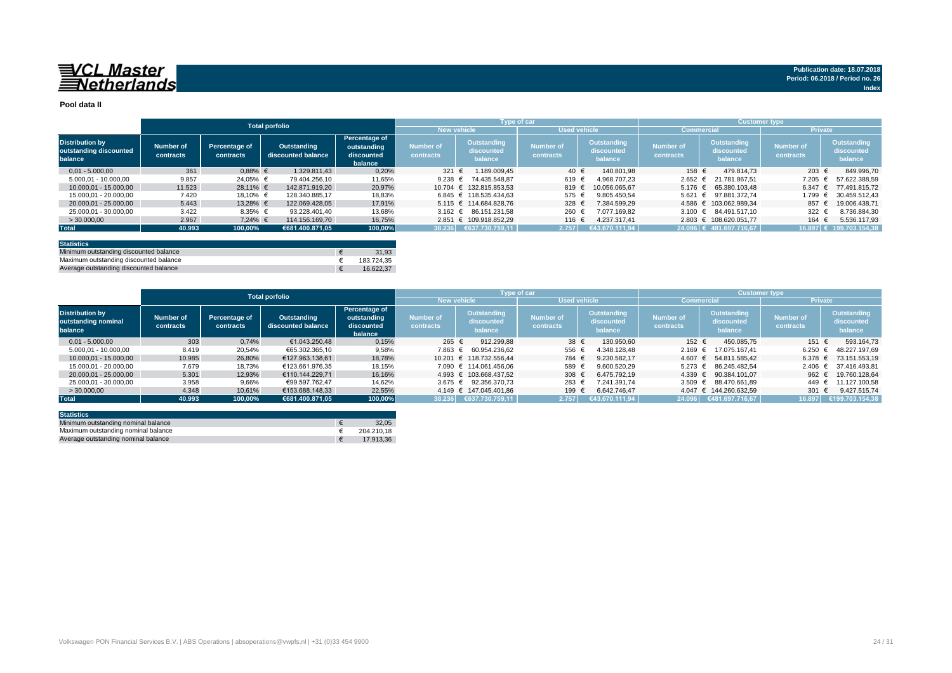## 

#### **Pool data II**

|                                                             |                        |                            | <b>Total porfolio</b>             |                                                       |                               |                                             | Type of car                   |                                      | <b>Customer type</b>          |                                             |                               |                                      |
|-------------------------------------------------------------|------------------------|----------------------------|-----------------------------------|-------------------------------------------------------|-------------------------------|---------------------------------------------|-------------------------------|--------------------------------------|-------------------------------|---------------------------------------------|-------------------------------|--------------------------------------|
|                                                             |                        |                            |                                   |                                                       | <b>New vehicle</b>            |                                             | <b>Used vehicle</b>           |                                      | <b>Commercial</b>             |                                             | <b>Private</b>                |                                      |
| <b>Distribution by</b><br>outstanding discounted<br>balance | Number of<br>contracts | Percentage of<br>contracts | Outstanding<br>discounted balance | Percentage of<br>outstanding<br>discounted<br>balance | <b>Number of</b><br>contracts | <b>Outstanding</b><br>discounted<br>balance | <b>Number of</b><br>contracts | Outstanding<br>discounted<br>balance | <b>Number of</b><br>contracts | <b>Outstanding</b><br>discounted<br>balance | <b>Number of</b><br>contracts | Outstanding<br>discounted<br>balance |
| $0.01 - 5.000.00$                                           | 361                    | $0.88%$ €                  | 1.329.811.43                      | 0,20%                                                 | 321 €                         | .189.009.45                                 | 40 €                          | 140.801.98                           | 158 €                         | 479.814.73                                  | 203 €                         | 849.996.70                           |
| 5.000.01 - 10.000.00                                        | 9.857                  | 24.05% €                   | 79.404.256.10                     | 11,65%                                                | 9.238 $\in$                   | 74.435.548.87                               | 619 €                         | 4.968.707.23                         | $2.652 \in$                   | 21.781.867.51                               | 7.205                         | 57.622.388.59                        |
| 10.000.01 - 15.000.00                                       | 11.523                 | 28.11% €                   | 142.871.919,20                    | 20.97%                                                |                               | 10.704 € 132.815.853.53                     | 819 €                         | 10.056.065.67                        |                               | $5.176 \text{ } \in 65.380.103.48$          | 6.347                         | 77.491.815.72                        |
| 15.000.01 - 20.000.00                                       | 7.420                  | 18.10% €                   | 128.340.885.17                    | 18,83%                                                |                               | $6.845 \text{ } \in 118.535.434.63$         | 575 €                         | 9.805.450.54                         | 5.621                         | $\epsilon$ 97.881.372.74                    | 1.799                         | 30.459.512.43                        |
| 20.000.01 - 25.000.00                                       | 5.443                  | 13.28% €                   | 122.069.428.05                    | 17,91%                                                |                               | 5.115 € 114.684.828.76                      | 328 €                         | 7.384.599.29                         |                               | 4.586 € 103.062.989.34                      | 857                           | 19.006.438.71                        |
| 25.000.01 - 30.000.00                                       | 3.422                  | $8,35%$ €                  | 93.228.401.40                     | 13,68%                                                |                               | 3.162 € 86.151.231.58                       | 260 €                         | 7.077.169.82                         |                               | 3.100 € 84.491.517.10                       | $322 +$                       | 8.736.884.30                         |
| > 30,000,00                                                 | 2.967                  | $7.24\%$ €                 | 114.156.169.70                    | 16,75%                                                |                               | 2.851 € 109.918.852.29                      | 116 €                         | 4.237.317.41                         |                               | 2.803 € 108.620.051.77                      | 164                           | 5.536.117,93                         |
| <b>Total</b>                                                | 40.993                 | 100,00%                    | €681.400.871.05                   | 100,00%                                               |                               | 38.236 €637.730.759,11                      | 2.757                         | €43.670.111.94                       |                               | 24.096 € 481.697.716.67                     |                               | 16.897 € 199.703.154.38              |
|                                                             |                        |                            |                                   |                                                       |                               |                                             |                               |                                      |                               |                                             |                               |                                      |

| <b>Statistics</b>                      |            |
|----------------------------------------|------------|
| Minimum outstanding discounted balance | 31.93      |
| Maximum outstanding discounted balance | 183.724.35 |
| Average outstanding discounted balance | 16.622.37  |

|                                                          | <b>Total porfolio</b>         |                            |                                   |                                                              |                        | <b>Type of car</b>                   |                               |                                      | <b>Customer type</b>          |                                      |                               |                                      |
|----------------------------------------------------------|-------------------------------|----------------------------|-----------------------------------|--------------------------------------------------------------|------------------------|--------------------------------------|-------------------------------|--------------------------------------|-------------------------------|--------------------------------------|-------------------------------|--------------------------------------|
|                                                          |                               |                            |                                   |                                                              |                        | <b>New vehicle</b>                   | <b>Used vehicle</b>           |                                      | <b>Commercial</b>             |                                      | <b>Private</b>                |                                      |
| <b>Distribution by</b><br>outstanding nominal<br>balance | <b>Number of</b><br>contracts | Percentage of<br>contracts | Outstanding<br>discounted balance | <b>Percentage of</b><br>outstanding<br>discounted<br>balance | Number of<br>contracts | Outstanding<br>discounted<br>balance | <b>Number of</b><br>contracts | Outstanding<br>discounted<br>balance | <b>Number of</b><br>contracts | Outstanding<br>discounted<br>balance | <b>Number of</b><br>contracts | Outstanding<br>discounted<br>balance |
| $0.01 - 5.000.00$                                        | 303                           | 0.74%                      | €1.043.250.48                     | 0,15%                                                        | 265 €                  | 912.299.88                           | $38 \epsilon$                 | 130.950.60                           | 152 €                         | 450.085.75                           | 151 €                         | 593.164.73                           |
| 5.000.01 - 10.000.00                                     | 8.419                         | 20,54%                     | €65.302.365.10                    | 9,58%                                                        | 7.863 €                | 60.954.236.62                        | 556                           | 4.348.128.48                         | $2.169$ €                     | 17.075.167.41                        | 6.250                         | 48.227.197.69                        |
| 10.000.01 - 15.000.00                                    | 10.985                        | 26,80%                     | €127.963.138.61                   | 18,78%                                                       |                        | 10.201 € 118.732.556.44              | 784 €                         | 9.230.582.17                         |                               | 4.607 € 54.811.585.42                | 6.378                         | 73.151.553,19                        |
| 15.000.01 - 20.000.00                                    | 7.679                         | 18.73%                     | €123.661.976.35                   | 18.15%                                                       |                        | 7.090 € 114.061.456.06               | 589                           | 9.600.520.29                         | $5.273$ €                     | 86.245.482.54                        | $2.406 \text{ } \in$          | 37.416.493.81                        |
| 20.000.01 - 25.000.00                                    | 5.301                         | 12,93%                     | €110.144.229.71                   | 16.16%                                                       |                        | 4.993 € 103.668.437.52               | 308                           | 6.475.792.19                         |                               | 4.339 € 90.384.101.07                | 962 €                         | 19.760.128.64                        |
| 25.000.01 - 30.000.00                                    | 3.958                         | 9,66%                      | €99.597.762.47                    | 14,62%                                                       |                        | 3.675 € 92.356.370.73                | 283                           | 7.241.391.74                         | 3.509 $\epsilon$              | 88.470.661.89                        | 449                           | 11.127.100.58                        |
| >30.000,00                                               | 4.348                         | 10,61%                     | €153.688.148.33                   | 22,55%                                                       |                        | 4.149 € 147.045.401.86               | 199                           | 6.642.746.47                         |                               | 4.047 € 144.260.632,59               | 301 €                         | 9.427.515.74                         |
| <b>Total</b>                                             | 40.993                        | 100.00%                    | €681.400.871.05                   | 100.00%                                                      | 38.236                 | 6637.730.759,11                      | 2.757                         | (€43.670.111.94                      | 24.096                        | €481.697.716,67                      | 16.897                        | €199.703.154.38                      |

| <b>Statistics</b>                   |            |
|-------------------------------------|------------|
| Minimum outstanding nominal balance | 32.05      |
| Maximum outstanding nominal balance | 204.210.18 |
| Average outstanding nominal balance | 17.913.36  |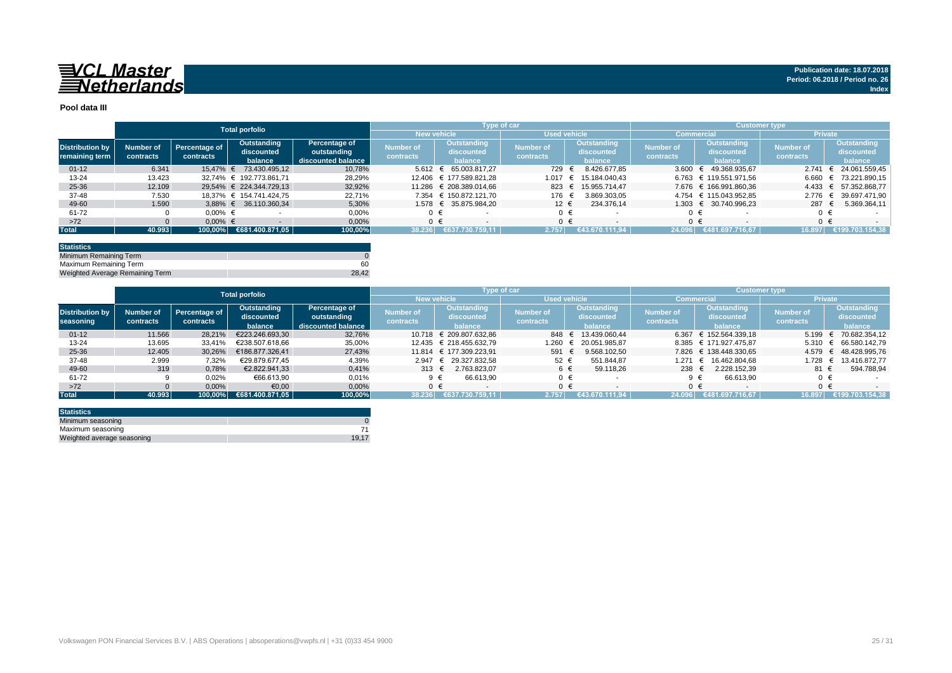

#### **Pool data III**

|                        |           |               | <b>Total porfolio</b>    |                    |                  |                         | Type of car      |                          |                  |                                | <b>Customer type</b> |                             |
|------------------------|-----------|---------------|--------------------------|--------------------|------------------|-------------------------|------------------|--------------------------|------------------|--------------------------------|----------------------|-----------------------------|
|                        |           |               |                          |                    |                  | <b>New vehicle</b>      |                  | <b>Used vehicle</b>      |                  | <b>Commercial</b>              |                      | <b>Private</b>              |
| <b>Distribution by</b> | Number of | Percentage of | Outstanding              | Percentage of      | <b>Number of</b> | Outstanding             | <b>Number of</b> | Outstanding              | <b>Number of</b> | Outstanding                    | Number of            | <b>Outstanding</b>          |
|                        |           | contracts     | discounted               | outstanding        | contracts        | discounted              | contracts        | discounted               | contracts        | discounted                     | contracts            | discounted                  |
| remaining term         | contracts |               | balance                  | discounted balance |                  | balance                 |                  | balance                  |                  | balance                        |                      | balance                     |
| $01 - 12$              | 6.341     | 15.47% €      | 73.430.495.12            | 10.78%             | $5.612 \in$      | 65.003.817.27           | 729              | 8.426.677.85             | 3.600            | 49.368.935.67<br>ŧ.            | 2.741                | 24.061.559.45<br>$\epsilon$ |
| $13 - 24$              | 13.423    |               | 32,74% € 192.773.861,71  | 28,29%             |                  | 12.406 € 177.589.821.28 | 1.017            | 15.184.040.43<br>€       |                  | 6.763 € 119.551.971.56         | 6.660                | € 73.221.890,15             |
| 25-36                  | 12.109    |               | 29.54% € 224.344.729.13  | 32,92%             |                  | 11.286 € 208.389.014.66 | 823 €            | 15.955.714.47            |                  | 7.676 € 166.991.860.36         | $4.433 \in$          | 57.352.868,77               |
| 37-48                  | 7.530     |               | 18.37% € 154.741.424.75  | 22,71%             | 7.354            | € 150.872.121.70        | 176 €            | 3.869.303,05             | 4.754            | € 115.043.952.85               |                      | 2.776 € 39.697.471,90       |
| 49-60                  | 1.590     |               | $3.88\%$ € 36.110.360.34 | 5.30%              |                  | 1.578 € 35.875.984.20   | $12 \epsilon$    | 234.376.14               | $1.303$ €        | 30.740.996.23                  | 287 $\epsilon$       | 5.369.364,11                |
| 61-72                  |           | $0.00\%$ €    |                          | 0,00%              | 0 €              |                         | $0 \in$          |                          |                  |                                | 0 €                  |                             |
| $>72$                  |           | $0.00\%$ €    |                          | 0,00%              |                  | $0 \in$                 | $0 \in$          | $\overline{\phantom{a}}$ |                  | $0 \in$                        |                      | $0 \in$                     |
| <b>Total</b>           | 40.993    | 100.00%       | €681.400.871,05          | 100,00%            | 38.236           | €637.730.759.11         | 2.757            | (€43.670.111.94          | 24.096           | ⊧ €481.697.716.67 <sup>'</sup> | 16.897               | €199.703.154.38             |

| <b>Statistics</b>               |       |
|---------------------------------|-------|
| Minimum Remaining Term          |       |
| Maximum Remaining Term          | 60    |
| Weighted Average Remaining Term | 28.42 |

|                        | <b>Total porfolio</b> |                      |                 |                    | Type of car    |                         | <b>Customer type</b> |                            |                  |                        |                  |                                  |
|------------------------|-----------------------|----------------------|-----------------|--------------------|----------------|-------------------------|----------------------|----------------------------|------------------|------------------------|------------------|----------------------------------|
|                        |                       |                      |                 |                    |                | <b>New vehicle</b>      | <b>Used vehicle</b>  |                            |                  | <b>Commercial</b>      | <b>Private</b>   |                                  |
|                        |                       |                      | Outstanding     | Percentage of      |                | Outstanding             |                      | <b>Outstanding</b>         |                  | <b>Outstanding</b>     | <b>Number of</b> | Outstanding                      |
| <b>Distribution by</b> | Number of             | <b>Percentage of</b> | discounted      | outstanding        | Number of      | discounted              | Number of            | discounted                 | <b>Number of</b> | discounted             |                  | discounted                       |
| seasoning              | contracts             | contracts            | balance         | discounted balance | contracts      | balance                 | contracts            | balance                    | contracts        | balance                | contracts        | balance                          |
| $01 - 12$              | 11.566                | 28.21%               | €223.246.693.30 | 32,76%             |                | 10.718 € 209.807.632.86 |                      | 848 € 13.439.060.44        |                  | 6.367 € 152.564.339.18 | 5.199            | € 70.682.354,12                  |
| 13-24                  | 13.695                | 33.41%               | €238.507.618.66 | 35,00%             |                | 12.435 € 218.455.632.79 | 1.260                | 20.051.985.87              |                  | 8.385 € 171.927.475,87 |                  | $5.310 \leftarrow 66.580.142.79$ |
| 25-36                  | 12.405                | 30.26%               | €186.877.326.41 | 27,43%             |                | 11.814 € 177.309.223.91 | 591                  | 9.568.102.50<br>$\epsilon$ |                  | 7.826 € 138.448.330.65 |                  | 4.579 € 48.428.995,76            |
| 37-48                  | 2.999                 | 7,32%                | €29.879.677.45  | 4,39%              |                | 2.947 € 29.327.832.58   | 52 €                 | 551.844.87                 | 1.271            | € 16.462.804.68        | 1.728            | 13.416.872.77<br>$\epsilon$      |
| 49-60                  | 319                   | 0,78%                | €2.822.941.33   | 0,41%              | 313 $\epsilon$ | 2.763.823.07            | 6 €                  | 59.118.26                  | 238              | 2.228.152.39           | 81 €             | 594.788,94                       |
| 61-72                  |                       | 0,02%                | €66.613,90      | 0,01%              |                | 66.613.90<br>9 €        | $0 \in$              |                            |                  | 66.613.90              |                  |                                  |
| $>72$                  |                       | 0,00%                | €0,00           | 0,00%              |                | $0 \in$                 | $0 \in$              |                            |                  | ∩ €                    | $0 \in$          |                                  |
| <b>Total</b>           | 40.993                | 100.00%              | 6681.400.871,05 | 100,00%            | 38.236         | €637.730.759.11         | 2.757                | €43.670.111.94             | 24.096           | €481.697.716.67        | 16.897           | €199.703.154.38                  |

| <b>Statistics</b>          |          |
|----------------------------|----------|
| Minimum seasoning          |          |
| Maximum seasoning          |          |
| Weighted average seasoning | $19.1^-$ |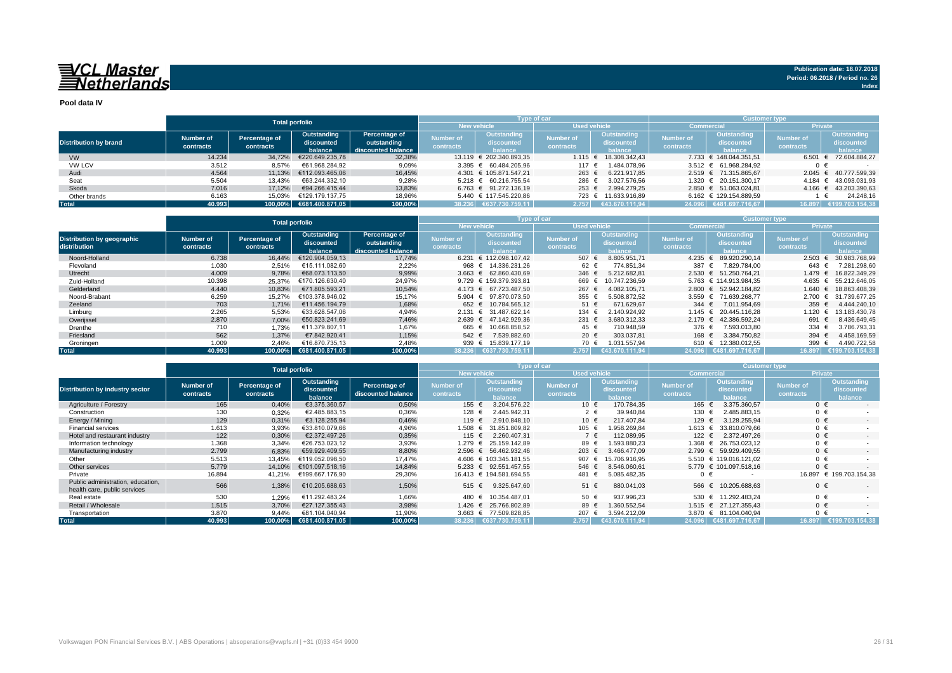## 

**Pool data IV**

|                              |           |               | <b>Total porfolio</b>   |                    |                  | Type of car                        |                     |                           | <b>Customer type</b> |                                    |                  |                       |  |  |  |
|------------------------------|-----------|---------------|-------------------------|--------------------|------------------|------------------------------------|---------------------|---------------------------|----------------------|------------------------------------|------------------|-----------------------|--|--|--|
|                              |           |               |                         |                    |                  | <b>New vehicle</b>                 | <b>Used vehicle</b> |                           |                      | <b>Commercial</b>                  | <b>Private</b>   |                       |  |  |  |
|                              | Number of |               | Outstanding             | Percentage of      | <b>Number of</b> | Outstanding                        | <b>Number of</b>    | Outstanding               | <b>Number of</b>     | Outstanding                        | <b>Number of</b> | Outstanding           |  |  |  |
| <b>Distribution by brand</b> |           | Percentage of | discounted              | outstanding        |                  | discounted                         | contracts           | discounted                | contracts            | discounted                         | <b>contracts</b> | discounted            |  |  |  |
|                              | contracts | contracts     | halance                 | discounted balance | contracts        | <b>balance</b>                     |                     | <b>halance</b>            |                      | <b>balance</b>                     |                  | balance               |  |  |  |
| <b>VW</b>                    | 14.234    | 34,72%        | €220.649.235.78         | 32,38%             |                  | 13.119 € 202.340.893.35            |                     | $1.115 \in 18.308.342.43$ |                      | 7.733 € 148.044.351.51             | 6.501            | € 72.604.884.27       |  |  |  |
| <b>VW LCV</b>                | 3.512     | 8,57%         | €61.968.284.92          | 9,09%              |                  | 3.395 € 60.484.205.96              | 117 €               | 1.484.078.96              |                      | $3.512 \text{ } \in 61.968.284.92$ | 0€               |                       |  |  |  |
| Audi                         | 4.564     | 11.13%        | €112.093.465.06         | 16,45%             |                  | 4.301 € 105.871.547.21             | 263 $\epsilon$      | 6.221.917.85              |                      | 2.519 € 71.315.865.67              |                  | 2.045 € 40.777.599.39 |  |  |  |
| Seat                         | 5.504     | 13,43%        | €63.244.332.10          | 9,28%              |                  | $5.218 \text{ } \in 60.216.755.54$ | 286 €               | 3.027.576,56              |                      | 1.320 € 20.151.300.17              |                  | 4.184 € 43.093.031,93 |  |  |  |
| Skoda                        | 7.016     | 17.12%        | €94.266.415.44          | 13,83%             |                  | $6.763$ € 91.272.136.19            | $253 \epsilon$      | 2.994.279.25              |                      | 2.850 € 51.063.024.81              |                  | 4.166 € 43.203.390.63 |  |  |  |
| Other brands                 | 6.163     | 15,03%        | €129.179.137.75         | 18,96%             |                  | 5.440 € 117.545.220.86             |                     | 723 € 11.633.916.89       |                      | 6.162 € 129.154.889.59             |                  | 24.248.16             |  |  |  |
| <b>Total</b>                 | 40.993    |               | 100.00% €681.400.871.05 | 100,00%            |                  | 38.236 €637.730.759.11             | 2.757               | €43.670.111.94            |                      | 24.096 €481.697.716,67             | 16.897           | €199.703.154,38       |  |  |  |

|                                                   |                        | <b>Total porfolio</b>      |                                      |                                                    |                               | <b>Type of car</b>                          |                               |                                                    | <b>Customer type</b>          |                                      |                |                                             |  |  |  |
|---------------------------------------------------|------------------------|----------------------------|--------------------------------------|----------------------------------------------------|-------------------------------|---------------------------------------------|-------------------------------|----------------------------------------------------|-------------------------------|--------------------------------------|----------------|---------------------------------------------|--|--|--|
|                                                   |                        |                            |                                      |                                                    |                               | <b>New vehicle</b>                          | <b>Used vehicle</b>           |                                                    |                               | Commercia                            | <b>Private</b> |                                             |  |  |  |
| <b>Distribution by geographic</b><br>distribution | Number of<br>contracts | Percentage of<br>contracts | Outstanding<br>discounted<br>balance | Percentage of<br>outstanding<br>discounted balance | <b>Number of</b><br>contracts | <b>Outstanding</b><br>discounted<br>balance | <b>Number of</b><br>contracts | <b>Outstanding</b><br>discounted<br><b>balance</b> | <b>Number of</b><br>contracts | Outstanding<br>discounted<br>balance |                | <b>Outstanding</b><br>discounted<br>balance |  |  |  |
| Noord-Holland                                     | 6.738                  | 16.44%                     | €120.904.059.13                      | 17,74%                                             |                               | 6.231 € 112.098.107.42                      | 507 €                         | 8.805.951,71                                       | $4.235 \in$                   | 89.920.290.14                        | 2.503          | 30.983.768,99                               |  |  |  |
| Flevoland                                         | 1.030                  | 2.51%                      | €15.111.082.60                       | 2,22%                                              |                               | 968 € 14.336.231.26                         | 62 €                          | 774.851.34                                         | 387 €                         | 7.829.784.00                         | 643 €          | 7.281.298,60                                |  |  |  |
| Utrecht                                           | 4.009                  | 9,78%                      | €68.073.113.50                       | 9,99%                                              |                               | $3.663 \in 62.860.430.69$                   | 346 €                         | 5.212.682.81                                       |                               | 2.530 € 51.250.764.21                | 1.479          | 16.822.349.29                               |  |  |  |
| Zuid-Holland                                      | 10.398                 | 25.37%                     | €170.126.630.40                      | 24,97%                                             |                               | 9.729 € 159.379.393.81                      | 669 €                         | 10.747.236.59                                      |                               | 5.763 € 114.913.984.35               | 4.635          | € 55.212.646.05                             |  |  |  |
| Gelderland                                        | 4.440                  | 10.83%                     | €71.805.593.21                       | 10,54%                                             |                               | 4.173 € 67.723.487.50                       | 267 €                         | 4.082.105.71                                       |                               | 2.800 € 52.942.184.82                | 1.640          | 18.863.408.39                               |  |  |  |
| Noord-Brabant                                     | 6.259                  | 15,27%                     | €103.378.946.02                      | 15,17%                                             |                               | $5.904 \quad \in \quad 97.870.073.50$       | 355 €                         | 5.508.872.52                                       |                               | 3.559 € 71.639.268,77                | 2.700          | € 31.739.677.25                             |  |  |  |
| Zeeland                                           | 703                    | 1.71%                      | €11.456.194.79                       | 1,68%                                              |                               | 652 € 10.784.565.12                         | 51 €                          | 671.629.67                                         | 344 $\epsilon$                | 7.011.954.69                         | 359 $\epsilon$ | 4.444.240.10                                |  |  |  |
| Limburg                                           | 2.265                  | 5,53%                      | €33.628.547.06                       | 4,94%                                              |                               | 2.131 € 31.487.622.14                       | 134 €                         | 2.140.924.92                                       | 1.145 €                       | 20.445.116.28                        | 1.120          | 13.183.430.78                               |  |  |  |
| Overijssel                                        | 2.870                  | 7,00%                      | €50.823.241.69                       | 7,46%                                              |                               | 2.639 € 47.142.929.36                       | 231 $\epsilon$                | 3.680.312.33                                       | $2.179 \text{ }€$             | 42.386.592.24                        | 691            | 8.436.649.45                                |  |  |  |
| Drenthe                                           | 710                    | 1,73%                      | €11.379.807.11                       | 1.67%                                              | 665 €                         | 10.668.858.52                               | 45 €                          | 710.948.59                                         | 376 €                         | 7.593.013.80                         | 334 $\epsilon$ | 3.786.793.31                                |  |  |  |
| Friesland                                         | 562                    | 1.37%                      | €7.842.920.41                        | 1,15%                                              | 542 €                         | 7.539.882.60                                | 20 €                          | 303.037.81                                         | 168 €                         | 3.384.750.82                         | 394 $\in$      | 4.458.169,59                                |  |  |  |
| Groningen                                         | 1.009                  | 2,46%                      | €16.870.735.13                       | 2,48%                                              | 939                           | 15.839.177,19<br>$\pm$                      | 70 €                          | 1.031.557,94                                       | 610 €                         | 12.380.012,55                        | 399            | 4.490.722,58                                |  |  |  |
| Total                                             | 40.993                 | $100.00\%$                 | €681.400.871.05                      | 100,00%                                            |                               | 38.236 €637.730.759.11                      | 2.757                         | €43.670.111.94                                     |                               | 24.096 €481.697.716.67               | 16.897         | €199.703.154.38                             |  |  |  |

|                                                                   |                               | <b>Total porfolio</b>      |                                      |                                     |                                      |                                             | Type of car                   |                                             | <b>Customer type</b>          |                                             |                        |                                             |  |  |  |
|-------------------------------------------------------------------|-------------------------------|----------------------------|--------------------------------------|-------------------------------------|--------------------------------------|---------------------------------------------|-------------------------------|---------------------------------------------|-------------------------------|---------------------------------------------|------------------------|---------------------------------------------|--|--|--|
|                                                                   |                               |                            |                                      |                                     |                                      | <b>New vehicle</b>                          | <b>Used vehicle</b>           |                                             | <b>Commercia</b>              |                                             | <b>Private</b>         |                                             |  |  |  |
| <b>Distribution by industry sector</b>                            | <b>Number of</b><br>contracts | Percentage of<br>contracts | Outstanding<br>discounted<br>balance | Percentage of<br>discounted balance | <b>Number of</b><br><b>contracts</b> | <b>Outstanding</b><br>discounted<br>balance | <b>Number of</b><br>contracts | <b>Outstanding</b><br>discounted<br>balance | <b>Number of</b><br>contracts | <b>Outstanding</b><br>discounted<br>balance | Number of<br>contracts | <b>Outstanding</b><br>discounted<br>balance |  |  |  |
| Agriculture / Forestry                                            | 165                           | 0,40%                      | €3.375.360.57                        | 0,50%                               | 155 €                                | 3.204.576.22                                | 10 €                          | 170.784.35                                  | 165 €                         | 3.375.360.57                                | $0 \in$                |                                             |  |  |  |
| Construction                                                      | 130                           | 0,32%                      | €2.485.883,15                        | 0,36%                               | 128 €                                | 2.445.942.31                                | $2 \in$                       | 39.940,84                                   | 130 €                         | 2.485.883.15                                | $0 \in$                |                                             |  |  |  |
| Energy / Mining                                                   | 129                           | 0,31%                      | €3.128.255.94                        | 0,46%                               | 119 €                                | 2.910.848.10                                | 10 €                          | 217.407.84                                  | 129 $\epsilon$                | 3.128.255.94                                | $0 \in$                | $\sim$                                      |  |  |  |
| <b>Financial services</b>                                         | 1.613                         | 3,93%                      | €33.810.079.66                       | 4,96%                               | 1.508 €                              | 31.851.809.82                               | 105 €                         | .958.269.84                                 | 1.613 $∈$                     | 33.810.079.66                               | $0 \in$                |                                             |  |  |  |
| Hotel and restaurant industry                                     | 122                           | 0,30%                      | €2.372.497.26                        | 0,35%                               | 115 €                                | 2.260.407.31                                | $7 \in$                       | 112.089,95                                  | 122 €                         | 2.372.497.26                                | $0 \in$                | $\sim$                                      |  |  |  |
| Information technology                                            | 1.368                         | 3,34%                      | €26.753.023,12                       | 3,93%                               | 1.279 €                              | 25.159.142.89                               | 89 €                          | .593.880.23                                 | 1.368 €                       | 26.753.023.12                               | $0 \in$                |                                             |  |  |  |
| Manufacturing industry                                            | 2.799                         | 6,83%                      | €59.929.409,55                       | 8,80%                               |                                      | 2.596 € 56.462.932.46                       | 203 €                         | 3.466.477.09                                | $2.799$ €                     | 59.929.409.55                               | $0 \in$                |                                             |  |  |  |
| Other                                                             | 5.513                         | 13,45%                     | €119.052.098,50                      | 17.47%                              |                                      | 4.606 € 103.345.181.55                      | 907 $\epsilon$                | 15.706.916.95                               |                               | 5.510 € 119.016.121.02                      | $0 \in$                |                                             |  |  |  |
| Other services                                                    | 5.779                         | 14.10%                     | €101.097.518.16                      | 14.84%                              |                                      | 5.233 € 92.551.457.55                       | 546 €                         | 8.546.060.61                                |                               | 5.779 € 101.097.518.16                      | $0 \in$                |                                             |  |  |  |
| Private                                                           | 16.894                        | 41,21%                     | €199.667.176,90                      | 29,30%                              |                                      | 16.413 € 194.581.694,55                     | 481 €                         | 5.085.482.35                                | $0 \in$                       |                                             | 16.897                 | € 199.703.154.38                            |  |  |  |
| Public administration, education,<br>health care, public services | 566                           | 1,38%                      | €10.205.688,63                       | 1,50%                               |                                      | 515 € 9.325.647,60                          | $51 \text{ } \in$             | 880.041,03                                  | 566 €                         | 10.205.688,63                               | $0 \in$                |                                             |  |  |  |
| Real estate                                                       | 530                           | 1,29%                      | €11.292.483.24                       | 1.66%                               | 480 €                                | 10.354.487.01                               | 50 €                          | 937.996.23                                  | 530 €                         | 11.292.483.24                               | $0 \in$                |                                             |  |  |  |
| Retail / Wholesale                                                | 1.515                         | 3,70%                      | €27.127.355.43                       | 3,98%                               | 1.426 €                              | 25.766.802.89                               | 89 €                          | .360.552,54                                 | $1.515 \in$                   | 27.127.355.43                               | $0 \in$                | $\sim$                                      |  |  |  |
| Transportation                                                    | 3.870                         | 9.44%                      | €81.104.040,94                       | 11,90%                              |                                      | 3.663 € 77.509.828,85                       | 207 $\epsilon$                | 3.594.212.09                                |                               | 3.870 € 81.104.040.94                       | $0 \in$                |                                             |  |  |  |
| <b>Total</b>                                                      | 40.993                        | 100,00%                    | €681.400.871,05                      | 100,00%                             |                                      | 38.236 €637.730.759.11                      | 2.757                         | €43.670.111.94                              |                               | 24.096 €481.697.716.67                      | 16.897                 | €199.703.154.38                             |  |  |  |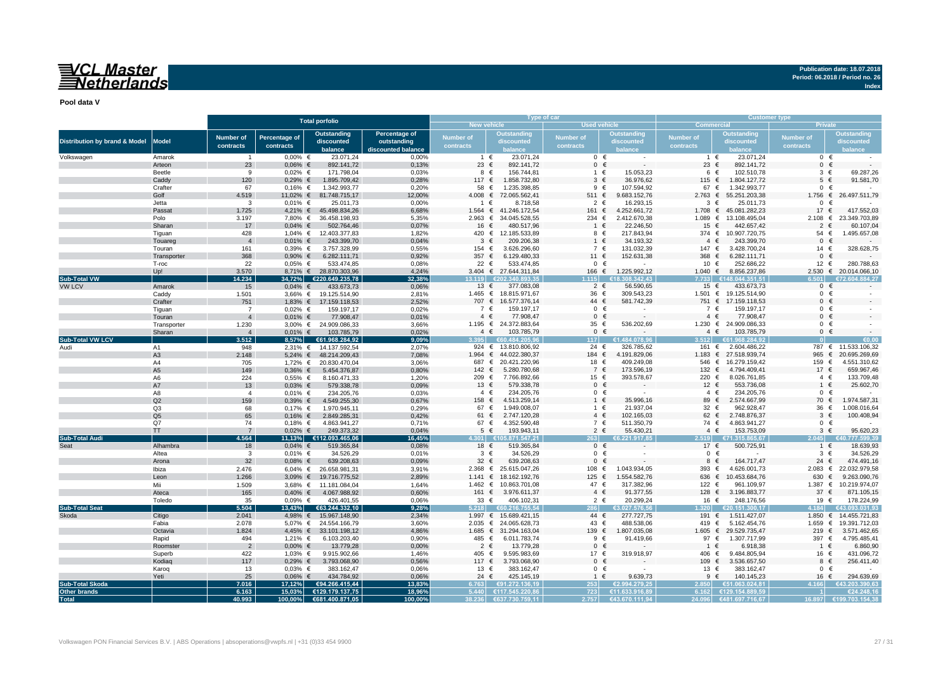## VCL Master<br>Netherlands

**Publication date: 18.07.2018 Period: 06.2018 / Period no. 26**

**Index**

**Pool data V**

|                                          |                      |                  |                        | <b>Total porfolio</b>               |                    |                    | Type of car                  |                     |                          | <b>Customer type</b>         |                                     |                           |                                 |  |  |  |
|------------------------------------------|----------------------|------------------|------------------------|-------------------------------------|--------------------|--------------------|------------------------------|---------------------|--------------------------|------------------------------|-------------------------------------|---------------------------|---------------------------------|--|--|--|
|                                          |                      |                  |                        |                                     |                    | <b>New vehicle</b> |                              | <b>Used vehicle</b> |                          | <b>Commercial</b><br>Private |                                     |                           |                                 |  |  |  |
|                                          |                      | <b>Number of</b> | Percentage of          | <b>Outstanding</b>                  | Percentage of      | Number of          | <b>Outstanding</b>           | Number of           | <b>Outstanding</b>       | <b>Number of</b>             | <b>Outstanding</b>                  | <b>Number of</b>          | <b>Outstanding</b>              |  |  |  |
| <b>Distribution by brand &amp; Model</b> | <b>Model</b>         | contracts        | contracts              | discounted                          | outstanding        | contracts          | discounted                   | contracts           | discounted               | contracts                    | discounted                          | contracts                 | discounted                      |  |  |  |
|                                          |                      |                  |                        | balance                             | discounted balance |                    | balance                      |                     |                          |                              | balance                             |                           |                                 |  |  |  |
| Volkswagen                               | Amarok               | $\overline{1}$   | $0.00\%$ €             | 23.071.24                           | 0.00%              |                    | 23.071,24<br>1 €             | $0 \in$             | $\sim$                   | 1 €                          | 23.071,24                           |                           | $0 \in$                         |  |  |  |
|                                          | Arteon               | 23               | $0,06%$ €              | 892.141,72                          | 0,13%              | 23 €               | 892.141,72                   | $0 \in$             |                          | 23 $\epsilon$                | 892.141,72                          | $\mathbf{0}$              | $\epsilon$                      |  |  |  |
|                                          | Beetle               | 9                | $0,02%$ €              | 171.798,04                          | 0,03%              |                    | 8 €<br>156.744,81            | 1 €                 | 15.053,23                | 6 €                          | 102.510,78                          |                           | $3 \in$<br>69.287,26            |  |  |  |
|                                          | Caddv                | 120              | $0,29%$ €              | 1.895.709,42                        | 0,28%              | 117 $∈$            | 1.858.732,80                 | $3 \in$             | 36.976,62                | 115 €                        | 1.804.127,72                        |                           | $5 \in$<br>91.581,70            |  |  |  |
|                                          | Crafter              | 67               | $0,16%$ €              | 1.342.993,77                        | 0,20%              | 58 €               | 1.235.398,85                 | 9 €                 | 107.594,92               | 67 €                         | 1.342.993,77                        |                           | $0 \in$                         |  |  |  |
|                                          | Golf                 | 4.519            |                        | 11,02% € 81.748.715,17              | 12,00%             | 4.008 ∈            | 72.065.562,41                | 511 $\in$           | 9.683.152,76             |                              | 2.763 € 55.251.203,38               |                           | 1.756 € 26.497.511,79           |  |  |  |
|                                          | Jetta                | 3                | $0,01%$ €              | 25.011,73                           | 0,00%              | $\overline{1}$     | 8.718,58<br>€                | $2 \in$             | 16.293,15                | 3<br>€                       | 25.011,73                           | $\mathbf{0}$              |                                 |  |  |  |
|                                          | Passat               | 1.725            |                        | 4,21% € 45.498.834,26               | 6,68%              | $1.564 \in$        | 41.246.172,54                | 161 €               | 4.252.661,72             |                              | 1.708 € 45.081.282,23               | 17 €                      | 417.552,03                      |  |  |  |
|                                          | Polo<br>Sharan       | 3.197<br>17      | $0,04%$ €              | 7,80% € 36.458.198,93               | 5,35%<br>0,07%     | $2.963$ €<br>16 €  | 34.045.528,55                | 234 €<br>1 €        | 2.412.670,38             | 15                           | 1.089 € 13.108.495,04<br>442.657,42 | 2.108 ∈<br>$\overline{2}$ | 23.349.703,89<br>60.107,04<br>€ |  |  |  |
|                                          | Tiquan               | 428              |                        | 502.764,46<br>1,04% € 12.403.377,83 | 1,82%              | 420 €              | 480.517,96<br>12.185.533,89  | 8 €                 | 22.246,50<br>217.843,94  | €                            | 374 € 10.907.720,75                 | 54 €                      | 1.495.657,08                    |  |  |  |
|                                          | Touareg              | $\overline{4}$   | $0,01\%$ €             | 243.399,70                          | 0,04%              | 3                  | 209.206,38<br>€              | $1 \in$             | 34.193,32                | €<br>$\overline{4}$          | 243.399,70                          | $\mathbf{0}$              | $\epsilon$                      |  |  |  |
|                                          | Touran               | 161              | $0,39%$ €              | 3.757.328,99                        | 0,55%              | 154 €              | 3.626.296,60                 | 7 €                 | 131.032,39               | 147 €                        | 3.428.700,24                        | 14 €                      | 328.628,75                      |  |  |  |
|                                          | Transporter          | 368              | $0,90%$ €              | 6.282.111,71                        | 0,92%              | 357 $\epsilon$     | 6.129.480,33                 | 11 €                | 152.631,38               | 368 $\epsilon$               | 6.282.111,71                        | $\mathbf{0}$              | €                               |  |  |  |
|                                          | T-roc                | 22               | $0.05%$ €              | 533.474,85                          | 0.08%              | 22 $\epsilon$      | 533.474,85                   | $0 \in$             |                          | 10 €                         | 252.686,22                          | $12$ €                    | 280.788,63                      |  |  |  |
|                                          | Up!                  | 3.570            |                        | 8,71% € 28.870.303,96               | 4,24%              |                    | 3.404 € 27.644.311,84        | 166 €               | 1.225.992,12             | 1.040 $€$                    | 8.856.237,86                        |                           | 2.530 € 20.014.066,10           |  |  |  |
| <b>Sub-Total VW</b>                      |                      | 14.234           |                        | 34,72% €220.649.235,78              | 32.38%             | 13 119             | 620234089335                 | 115                 | <b>R 308 342 43</b>      | 7733                         | €148.044.351.51                     |                           |                                 |  |  |  |
| <b>VW LCV</b>                            | Amarok               | 15               | $0,04%$ €              | 433.673,73                          | 0,06%              | 13 €               | 377.083,08                   | $2 \in$             | 56.590,65                | 15 €                         | 433.673,73                          |                           | $0 \in$                         |  |  |  |
|                                          | Caddy                | 1.501            |                        | 3,66% € 19.125.514,90               | 2,81%              |                    | 1.465 € 18.815.971,67        | 36 €                | 309.543,23               |                              | 1.501 € 19.125.514,90               | $\mathbf 0$               | €                               |  |  |  |
|                                          | Crafter              | 751              | $1,83%$ €              | 17.159.118,53                       | 2,52%              |                    | 707 € 16.577.376,14          | 44 €                | 581.742,39               |                              | 751 € 17.159.118,53                 |                           | $0 \in$                         |  |  |  |
|                                          | Tiquan               | $\overline{7}$   | $0,02%$ €              | 159.197,17                          | 0,02%              | 7 €                | 159.197.17                   | $0 \in$             |                          | 7 €                          | 159.197,17                          |                           | $0 \in$                         |  |  |  |
|                                          | Touran               | $\overline{4}$   | $0,01\%$ €             | 77.908,47                           | 0,01%              | $4 \in$            | 77.908,47                    | $0 \in$             |                          | $4 \in$                      | 77.908,47                           |                           | $0 \in$                         |  |  |  |
|                                          | Transporter          | 1.230            |                        | 3,00% € 24.909.086,33               | 3,66%              |                    | 1.195 € 24.372.883,64        | 35 €                | 536.202,69               |                              | 1.230 € 24.909.086,33               |                           | $0 \in$                         |  |  |  |
|                                          | Sharan               | $\overline{4}$   | $0.01\%$ €             | 103.785,79                          | 0.02%              |                    | $4 \in$<br>103.785,79        | $0 \in$             |                          | $4 \in$                      | 103.785,79                          |                           | $0 \in$                         |  |  |  |
| Sub-Total VW LCV                         |                      | 3.512            | 8.57%                  | €61.968.284.92                      | 9.09%              | 3.395              | €60.484.205.96               | 117                 | €1.484.078.9(            | 3.512                        | €61.968.284.92                      |                           |                                 |  |  |  |
| Audi                                     | A <sub>1</sub>       | 948              |                        | 2,31% € 14.137.592,54               | 2,07%              | 924 $\in$          | 13.810.806,92                | 24 €                | 326.785,62               | 161 €                        | 2.604.486,22                        |                           | 787 € 11.533.106,32             |  |  |  |
|                                          | A <sub>3</sub>       | 2.148            |                        | 5,24% € 48.214.209,43               | 7,08%              | $1.964$ €          | 44.022.380.37                | 184 €               | 4.191.829,06             | 1.183<br>€                   | 27.518.939,74                       | 965                       | €<br>20.695.269,69              |  |  |  |
|                                          | A4                   | 705              |                        | 1,72% € 20.830.470,04               | 3,06%              | 687 €              | 20.421.220,96                | 18 €                | 409.249,08               | 546 €                        | 16.279.159,42                       | 159 €                     | 4.551.310,62                    |  |  |  |
|                                          | A <sub>5</sub>       | 149              | $0,36%$ €              | 5.454.376,87                        | 0,80%              | 142 €              | 5.280.780,68                 | 7 €                 | 173.596,19               | 132<br>€                     | 4.794.409,41                        | 17 €                      | 659.967,46                      |  |  |  |
|                                          | A6                   | 224              | $0,55%$ €              | 8.160.471,33                        | 1.20%              | 209 €              | 7.766.892,66                 | 15 €                | 393.578,67               | 220 €                        | 8.026.761,85                        |                           | 133.709,48<br>$4 \in$           |  |  |  |
|                                          | A7                   | 13               | $0,03%$ €              | 579.338,78                          | 0,09%              | 13 $\epsilon$      | 579.338,78                   | $0 \in$             |                          | 12 $\epsilon$                | 553.736,08                          |                           | 25.602,70<br>1 €                |  |  |  |
|                                          | A8                   | $\overline{a}$   | $0,01\%$ €             | 234.205,76                          | 0,03%              | $4 \in$            | 234.205,76                   | $0 \in$             |                          | $4 \in$                      | 234.205,76                          |                           | $0 \in$                         |  |  |  |
|                                          | Q2                   | 159              | $0,39%$ €              | 4.549.255,30                        | 0,67%              | 158 €              | 4.513.259,14                 | $1 \in$             | 35.996,16                | 89 €                         | 2.574.667,99                        | 70 €                      | 1.974.587,3                     |  |  |  |
|                                          | Q3                   | 68               | $0,17%$ €              | 1.970.945,11                        | 0,29%              | 67 €<br>61 €       | 1.949.008,07<br>2.747.120.28 | $1 \in$<br>$4 \in$  | 21.937,04<br>102.165.03  | 32 €<br>62<br>€              | 962.928,47<br>2.748.876,37          | 36 €<br>$\mathbf{3}$      | 1.008.016,64<br>100.408.94<br>€ |  |  |  |
|                                          | Q <sub>5</sub><br>Q7 | 65<br>74         | $0,16%$ €              | 2.849.285,31                        | 0,42%<br>0.71%     | 67 €               | 4.352.590,48                 | 7 €                 | 511.350,79               | 74 €                         | 4.863.941,27                        |                           | $0 \in$                         |  |  |  |
|                                          | <b>TT</b>            | $\overline{7}$   | $0,18%$ €<br>$0,02%$ € | 4.863.941,27<br>249.373,32          | 0,04%              | $5 \in$            | 193.943,11                   | $2 \in$             | 55.430,21                | $4 \in$                      | 153.753,09                          |                           | $3 \in$<br>95.620,23            |  |  |  |
| <b>Sub-Total Audi</b>                    |                      | 4.564            |                        | 11,13% €112.093.465,06              | 16.45%             | .301 <sub>1</sub>  | €105.871.547.21              | 831                 | E6.221.917.85            |                              | 2.519 €71.315.865.67                | 2.045                     | 777.599.39                      |  |  |  |
| Seat                                     | Alhambra             | 18               | $0,04%$ €              | 519.365,84                          | 0,08%              | 18 €               | 519.365,84                   | $0 \in$             |                          | 17 €                         | 500.725,91                          |                           | 18.639,93<br>$1 \in$            |  |  |  |
|                                          | Altea                | 3                | $0,01%$ €              | 34.526,29                           | 0,01%              | $3 \in$            | 34.526,29                    | $0 \in$             |                          | $0 \in$                      |                                     |                           | 34.526,29<br>$3 \in$            |  |  |  |
|                                          | Arona                | 32               | $0,08%$ €              | 639.208,63                          | 0,09%              | 32 $\epsilon$      | 639.208,63                   | $0 \in$             |                          | 8 €                          | 164.717,47                          | 24 $\in$                  | 474.491,16                      |  |  |  |
|                                          | Ibiza                | 2.476            |                        | 6,04% € 26.658.981,31               | 3,91%              | 2.368 ∈            | 25.615.047,26                | 108 €               | 1.043.934,05             | 393 $\epsilon$               | 4.626.001,73                        | 2.083 ∈                   | 22.032.979,58                   |  |  |  |
|                                          | Leon                 | 1.266            |                        | 3,09% € 19.716.775,52               | 2,89%              |                    | 1.141 € 18.162.192,76        | 125 €               | 1.554.582,76             | 636                          | € 10.453.684,76                     | 630                       | 9.263.090,76<br>$\epsilon$      |  |  |  |
|                                          | Mii                  | 1.509            |                        | 3,68% € 11.181.084,04               | 1,64%              | 1.462 $∈$          | 10.863.701,08                | 47 €                | 317.382,96               | 122 €                        | 961.109,97                          | 1.387 $∈$                 | 10.219.974,07                   |  |  |  |
|                                          | Ateca                | 165              | $0,40%$ €              | 4.067.988,92                        | 0,60%              | 161 €              | 3.976.611,37                 | $4 \in$             | 91.377,55                | 128 $\in$                    | 3.196.883,77                        | 37 $\epsilon$             | 871.105,15                      |  |  |  |
|                                          | Toledo               | 35               | $0,09%$ €              | 426.401,55                          | 0,06%              | 33 $\epsilon$      | 406.102,31                   | $2 \in$             | 20.299,24                | 16 €                         | 248.176,56                          | 19 €                      | 178.224,99                      |  |  |  |
| <b>Sub-Total Seat</b>                    |                      | 5.504            | 13.43%                 | €63.244.332,10                      | 9.28%              | 5.218              | 60.216.755.54                |                     | 3.027.576.56             | 320                          | €20.151.300.17                      |                           | €43.093.031.93                  |  |  |  |
| Skoda                                    | Citigo               | 2.041            |                        | 4,98% € 15.967.148,90               | 2.34%              |                    | 1.997 € 15.689.421,15        | 44 €                | 277.727,75               | 191 €                        | 1.511.427,07                        |                           | 1.850 € 14.455.721,83           |  |  |  |
|                                          | Fabia                | 2.078            |                        | 5,07% € 24.554.166,79               | 3,60%              |                    | 2.035 € 24.065.628,73        | 43 €                | 488.538,06               | 419 €                        | 5.162.454,76                        |                           | 1.659 € 19.391.712,03           |  |  |  |
|                                          | Octavia              | 1.824            |                        | 4,45% € 33.101.198,12               | 4.86%              | 1.685 $∈$          | 31.294.163,04                | 139 €               | 1.807.035,08             | 1.605<br>€                   | 29.529.735,47                       | 219 $\in$                 | 3.571.462,65                    |  |  |  |
|                                          | Rapid                | 494              | 1,21% €                | 6.103.203,40                        | 0,90%              | 485 €              | 6.011.783,74                 | 9 €                 | 91.419,66                | 97 $\epsilon$                | 1.307.717,99                        | 397 €                     | 4.795.485,4                     |  |  |  |
|                                          | Roomster             | $\overline{2}$   | $0,00%$ €              | 13.779,28                           | 0,00%              | $2 \epsilon$       | 13.779.28                    | $0 \in$             |                          | $1 \in$                      | 6.918,38                            | $1 \in$                   | 6.860,90                        |  |  |  |
|                                          | Superb               | 422              | 1,03% $∈$              | 9.915.902,66                        | 1,46%              | 405 €              | 9.595.983,69                 | 17 €                | 319.918,97               | 406 €                        | 9.484.805,94                        | 16 €                      | 431.096,72                      |  |  |  |
|                                          | Kodiaq               | 117              | $0,29%$ €              | 3.793.068,90                        | 0,56%              | 117 €              | 3.793.068,90                 | $0 \in$             |                          | 109 €                        | 3.536.657,50                        | 8                         | 256.411,40<br>€                 |  |  |  |
|                                          | Karog                | 13               | $0,03%$ €              | 383.162,47                          | 0,06%              | 13 €               | 383.162,47                   | $0 \in$             |                          | 13 $\epsilon$                | 383.162,47                          |                           | $0 \in$                         |  |  |  |
|                                          | Yeti                 | 25               | $0.06\%$ €             | 434.784,92                          | 0,06%              | 24 $\in$           | 425.145,19                   | 1 €                 | 9.639,73                 | $9 \in$                      | 140.145,23                          | 16 €                      | 294.639,69                      |  |  |  |
| <b>Sub-Total Skoda</b>                   |                      | 7.016            | 17,12%                 | €94.266.415,44                      | 13,83%             | 6.763              | €91.272.136.19               | 253                 | €2.994.279.25            | 2.850                        | €51.063.024.81                      |                           | €43.203.390.63                  |  |  |  |
| Other brands                             |                      | 6.163            | 15.03%                 | €129.179.137.75                     | 18.96%             |                    | 5.440 €117.545.220.86        | 723                 | €11.633.916.89           |                              | 6.162 €129.154.889.59               |                           | €24.248,16                      |  |  |  |
| <b>Total</b>                             |                      | 40.993           |                        | 100,00% €681.400.871,05             | 100,00%            |                    | 38.236 €637.730.759,11       |                     | $2.757$ $643.670.111.94$ |                              | 24.096 €481.697.716,67              |                           | 16.897 €199.703.154,38          |  |  |  |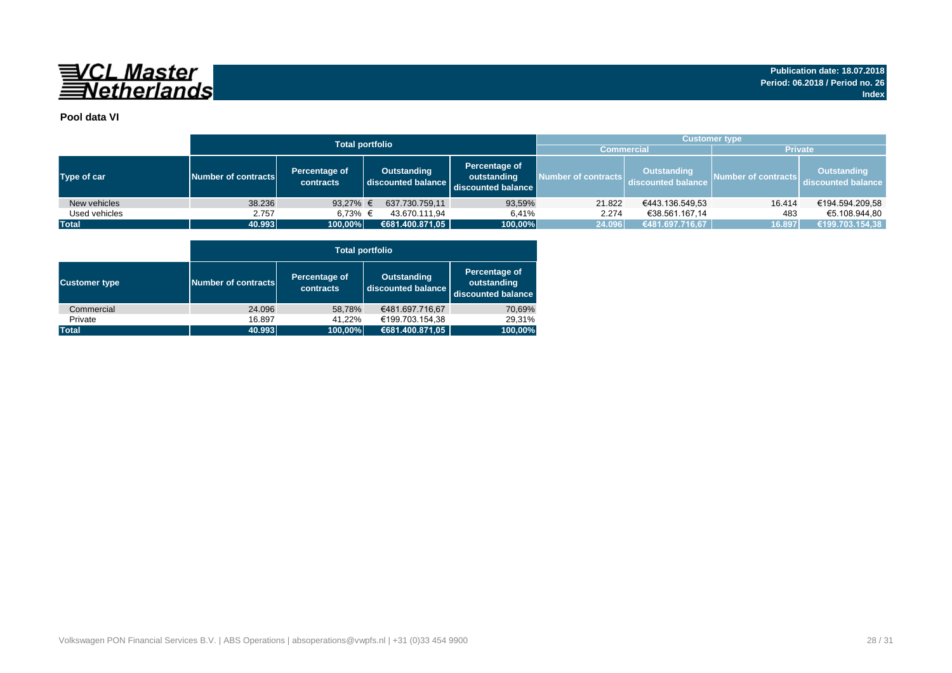

### **Pool data VI**

|               |                     |                                                                        | <b>Total portfolio</b> |                                                    | <b>Customer type</b> |                                          |                     |                                          |  |  |  |  |  |  |
|---------------|---------------------|------------------------------------------------------------------------|------------------------|----------------------------------------------------|----------------------|------------------------------------------|---------------------|------------------------------------------|--|--|--|--|--|--|
|               |                     |                                                                        |                        |                                                    | <b>Commercial</b>    |                                          | <b>Private</b>      |                                          |  |  |  |  |  |  |
| Type of car   | Number of contracts | Percentage of<br><b>Outstanding</b><br>discounted balance<br>contracts |                        | Percentage of<br>outstanding<br>discounted balance | Number of contracts  | <b>Outstanding</b><br>discounted balance | Number of contracts | <b>Outstanding</b><br>discounted balance |  |  |  |  |  |  |
| New vehicles  | 38.236              | 93,27% $\in$                                                           | 637.730.759,11         | 93,59%                                             | 21.822               | €443.136.549,53                          | 16.414              | €194.594.209,58                          |  |  |  |  |  |  |
| Used vehicles | 2.757               | 6.73% €                                                                | 43.670.111.94          | 6,41%                                              | 2.274                | €38.561.167,14                           | 483                 | €5.108.944.80                            |  |  |  |  |  |  |
| <b>Total</b>  | 40.993              | 100,00%                                                                | €681.400.871,05        | 100,00%                                            | 24.096               | €481.697.716,67                          | 16.897              | €199.703.154,38                          |  |  |  |  |  |  |

|                      |                     | <b>Total portfolio</b>     |                                          |                                                    |  |  |  |  |  |  |  |  |  |
|----------------------|---------------------|----------------------------|------------------------------------------|----------------------------------------------------|--|--|--|--|--|--|--|--|--|
| <b>Customer type</b> | Number of contracts | Percentage of<br>contracts | <b>Outstanding</b><br>discounted balance | Percentage of<br>outstanding<br>discounted balance |  |  |  |  |  |  |  |  |  |
| Commercial           | 24.096              | 58,78%                     | €481.697.716,67                          | 70,69%                                             |  |  |  |  |  |  |  |  |  |
| Private              | 16.897              | 41.22%                     | €199.703.154,38                          | 29,31%                                             |  |  |  |  |  |  |  |  |  |
| <b>Total</b>         | 40.993              | 100,00%                    | €681.400.871,05                          | 100,00%                                            |  |  |  |  |  |  |  |  |  |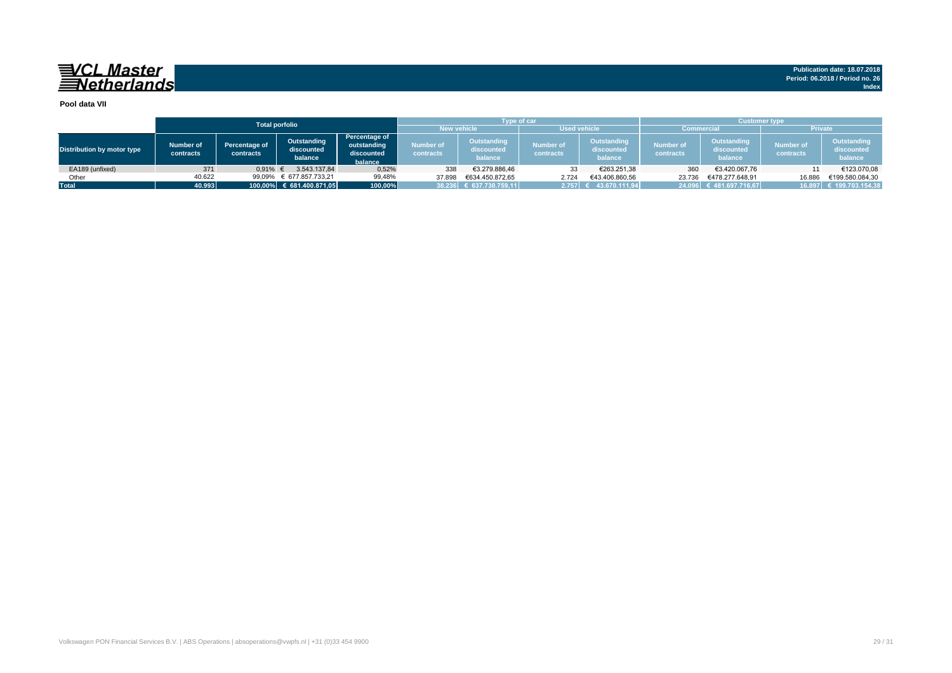## 

#### **Pool data VII**

|                            |                        |                                   | <b>Total porfolio</b>                |                                                       |                        | <b>Type of car</b>                   |                               |                                      | <b>Customer type</b>   |                                      |                               |                                      |  |  |  |
|----------------------------|------------------------|-----------------------------------|--------------------------------------|-------------------------------------------------------|------------------------|--------------------------------------|-------------------------------|--------------------------------------|------------------------|--------------------------------------|-------------------------------|--------------------------------------|--|--|--|
|                            |                        |                                   |                                      |                                                       |                        | <b>New vehicle</b>                   | <b>Used vehicle</b>           |                                      | <b>Commercial</b>      |                                      | <b>Private</b>                |                                      |  |  |  |
| Distribution by motor type | Number of<br>contracts | <b>Percentage of</b><br>contracts | Outstanding<br>discounted<br>balance | Percentage of<br>outstanding<br>discounted<br>balance | Number of<br>contracts | Outstanding<br>discounted<br>balance | <b>Number of</b><br>contracts | Outstanding<br>discounted<br>balance | Number of<br>contracts | Outstanding<br>discounted<br>balance | <b>Number of</b><br>contracts | Outstanding<br>discounted<br>balance |  |  |  |
| EA189 (unfixed)            | 371                    | 0,91%                             | 3.543.137.84                         | 0,52%                                                 | 338                    | €3.279.886,46                        | 33                            | €263.251,38                          | 360                    | €3.420.067,76                        |                               | €123.070,08                          |  |  |  |
| Other                      | 40.622                 | 99,09%                            | € 677.857.733,21                     | 99,48%                                                | 37.898                 | €634.450.872.65                      | 2.724                         | €43.406.860,56                       | 23.736                 | €478.277.648.91                      | 16.886                        | €199.580.084.30                      |  |  |  |
| <b>Total</b>               | 40.993                 |                                   | 100,00% € 681.400.871,05             | 100,00%                                               |                        | 38.236 € 637.730.759,11              | 2.757                         | 43.670.111.94                        |                        | 24.096 € 481.697.716,67              |                               | 16.897 € 199.703.154,38              |  |  |  |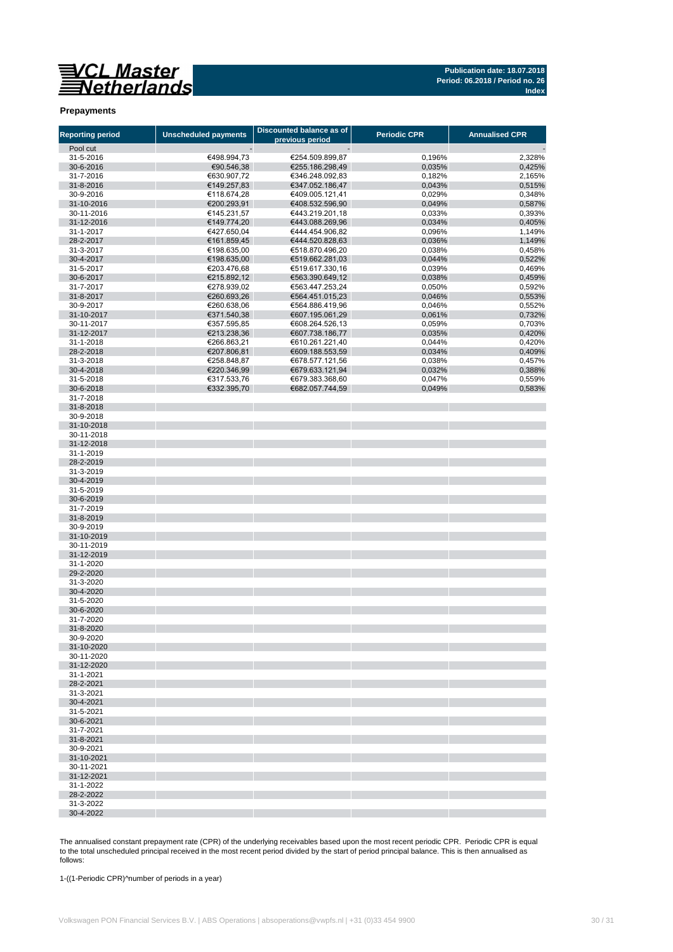

#### **Prepayments**

| <b>Reporting period</b>  | <b>Unscheduled payments</b> | <b>Discounted balance as of</b><br>previous period | <b>Periodic CPR</b> | <b>Annualised CPR</b> |
|--------------------------|-----------------------------|----------------------------------------------------|---------------------|-----------------------|
| Pool cut                 |                             |                                                    |                     |                       |
| 31-5-2016                | €498.994,73                 | €254.509.899,87                                    | 0,196%              | 2,328%                |
| 30-6-2016                | €90.546,38                  | €255.186.298,49                                    | 0,035%              | 0,425%                |
| 31-7-2016                | €630.907,72                 | €346.248.092,83                                    | 0,182%              | 2,165%                |
| 31-8-2016                | €149.257,83                 | €347.052.186.47                                    | 0,043%              | 0,515%                |
| 30-9-2016                | €118.674,28                 | €409.005.121,41                                    | 0,029%              | 0,348%                |
| 31-10-2016               | €200.293,91                 | €408.532.596,90                                    | 0,049%              | 0,587%                |
| 30-11-2016               | €145.231,57                 | €443.219.201,18                                    | 0,033%              | 0,393%                |
| 31-12-2016               | €149.774,20                 | €443.088.269,96                                    | 0,034%              | 0,405%                |
| 31-1-2017                | €427.650,04                 | €444.454.906,82                                    | 0,096%              | 1,149%                |
| 28-2-2017                | €161.859,45                 | €444.520.828,63                                    | 0,036%              | 1,149%                |
| 31-3-2017                | €198.635,00                 | €518.870.496,20                                    | 0,038%              | 0,458%                |
| 30-4-2017                | €198.635,00                 | €519.662.281,03                                    | 0,044%              | 0,522%                |
| 31-5-2017                | €203.476,68                 | €519.617.330,16                                    | 0,039%              | 0,469%                |
| 30-6-2017                | €215.892,12                 | €563.390.649,12                                    | 0,038%              | 0,459%                |
| 31-7-2017                | €278.939,02                 | €563.447.253,24                                    | 0,050%              | 0,592%                |
| 31-8-2017<br>30-9-2017   | €260.693,26<br>€260.638,06  | €564.451.015,23<br>€564.886.419,96                 | 0,046%<br>0,046%    | 0,553%<br>0,552%      |
| 31-10-2017               | €371.540,38                 | €607.195.061,29                                    | 0,061%              | 0,732%                |
| 30-11-2017               | €357.595,85                 | €608.264.526,13                                    | 0,059%              | 0,703%                |
| 31-12-2017               | €213.238,36                 | €607.738.186,77                                    | 0,035%              | 0,420%                |
| 31-1-2018                | €266.863,21                 | €610.261.221,40                                    | 0,044%              | 0,420%                |
| 28-2-2018                | €207.806,81                 | €609.188.553,59                                    | 0,034%              | 0,409%                |
| 31-3-2018                | €258.848,87                 | €678.577.121,56                                    | 0,038%              | 0,457%                |
| 30-4-2018                | €220.346,99                 | €679.633.121,94                                    | 0,032%              | 0,388%                |
| 31-5-2018                | €317.533,76                 | €679.383.368,60                                    | 0,047%              | 0,559%                |
| 30-6-2018                | €332.395,70                 | €682.057.744,59                                    | 0,049%              | 0,583%                |
| 31-7-2018                |                             |                                                    |                     |                       |
| 31-8-2018                |                             |                                                    |                     |                       |
| 30-9-2018                |                             |                                                    |                     |                       |
| 31-10-2018               |                             |                                                    |                     |                       |
| 30-11-2018               |                             |                                                    |                     |                       |
| 31-12-2018               |                             |                                                    |                     |                       |
| 31-1-2019                |                             |                                                    |                     |                       |
| 28-2-2019                |                             |                                                    |                     |                       |
| 31-3-2019                |                             |                                                    |                     |                       |
| 30-4-2019                |                             |                                                    |                     |                       |
| 31-5-2019                |                             |                                                    |                     |                       |
| 30-6-2019                |                             |                                                    |                     |                       |
| 31-7-2019                |                             |                                                    |                     |                       |
| 31-8-2019                |                             |                                                    |                     |                       |
| 30-9-2019                |                             |                                                    |                     |                       |
| 31-10-2019<br>30-11-2019 |                             |                                                    |                     |                       |
| 31-12-2019               |                             |                                                    |                     |                       |
| 31-1-2020                |                             |                                                    |                     |                       |
| 29-2-2020                |                             |                                                    |                     |                       |
| 31-3-2020                |                             |                                                    |                     |                       |
| 30-4-2020                |                             |                                                    |                     |                       |
| 31-5-2020                |                             |                                                    |                     |                       |
| 30-6-2020                |                             |                                                    |                     |                       |
| 31-7-2020                |                             |                                                    |                     |                       |
| 31-8-2020                |                             |                                                    |                     |                       |
| 30-9-2020                |                             |                                                    |                     |                       |
| 31-10-2020               |                             |                                                    |                     |                       |
| 30-11-2020               |                             |                                                    |                     |                       |
| 31-12-2020               |                             |                                                    |                     |                       |
| 31-1-2021                |                             |                                                    |                     |                       |
| 28-2-2021                |                             |                                                    |                     |                       |
| 31-3-2021                |                             |                                                    |                     |                       |
| 30-4-2021                |                             |                                                    |                     |                       |
| 31-5-2021                |                             |                                                    |                     |                       |
| 30-6-2021                |                             |                                                    |                     |                       |
| 31-7-2021                |                             |                                                    |                     |                       |
| 31-8-2021                |                             |                                                    |                     |                       |
| 30-9-2021                |                             |                                                    |                     |                       |
| 31-10-2021<br>30-11-2021 |                             |                                                    |                     |                       |
| 31-12-2021               |                             |                                                    |                     |                       |
| 31-1-2022                |                             |                                                    |                     |                       |
| 28-2-2022                |                             |                                                    |                     |                       |
| 31-3-2022                |                             |                                                    |                     |                       |
| 30-4-2022                |                             |                                                    |                     |                       |

The annualised constant prepayment rate (CPR) of the underlying receivables based upon the most recent periodic CPR. Periodic CPR is equal to the total unscheduled principal received in the most recent period divided by the start of period principal balance. This is then annualised as follows:

1-((1-Periodic CPR)^number of periods in a year)